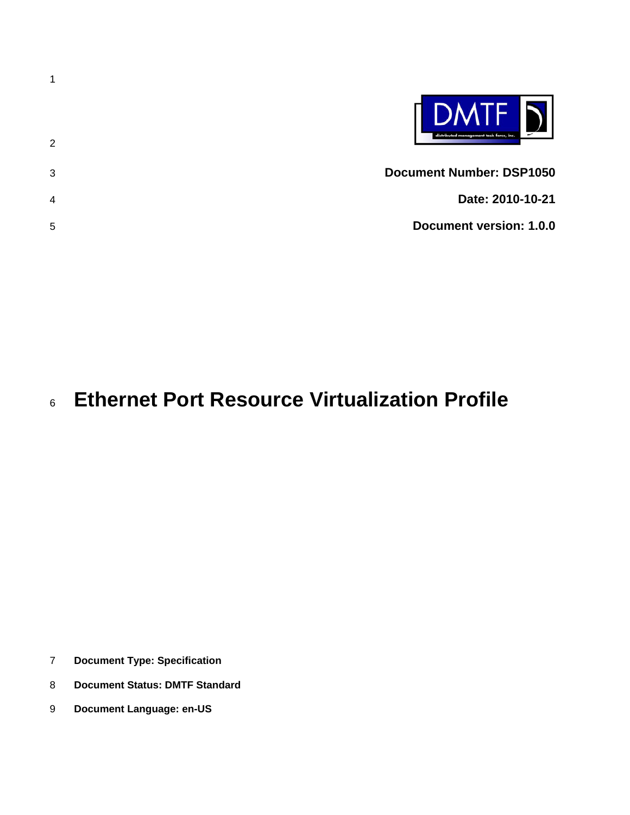

| 3              | <b>Document Number: DSP1050</b> |
|----------------|---------------------------------|
| $\overline{4}$ | Date: 2010-10-21                |
| 5              | Document version: 1.0.0         |

# **Ethernet Port Resource Virtualization Profile**

**Document Type: Specification** 

<span id="page-0-0"></span>

- **Document Status: DMTF Standard**
- **Document Language: en-US**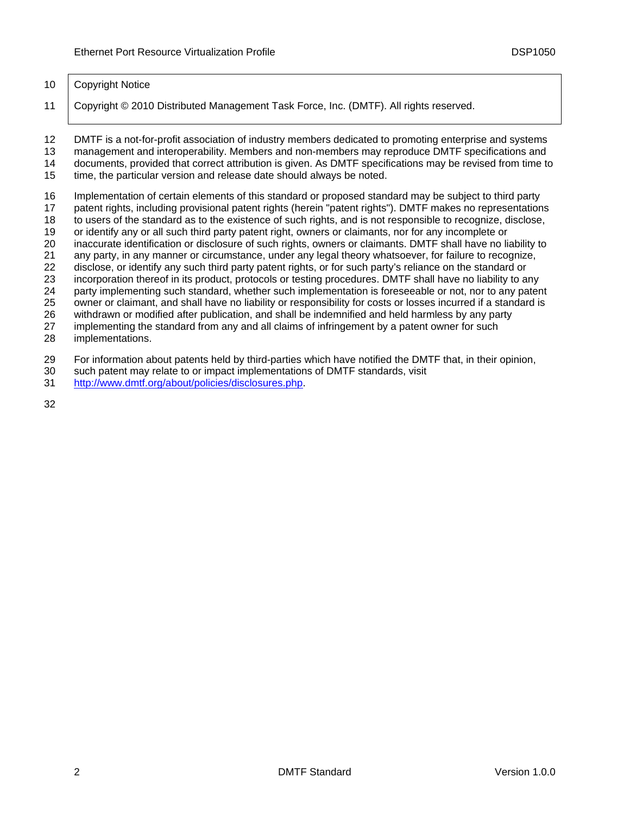#### 10 | Copyright Notice

11 Copyright © 2010 Distributed Management Task Force, Inc. (DMTF). All rights reserved.

12 DMTF is a not-for-profit association of industry members dedicated to promoting enterprise and systems 13 management and interoperability. Members and non-members may reproduce DMTF specifications and 14 documents, provided that correct attribution is given. As DMTF specifications may be revised from time to

15 time, the particular version and release date should always be noted.

16 Implementation of certain elements of this standard or proposed standard may be subject to third party

17 patent rights, including provisional patent rights (herein "patent rights"). DMTF makes no representations

18 to users of the standard as to the existence of such rights, and is not responsible to recognize, disclose,

19 or identify any or all such third party patent right, owners or claimants, nor for any incomplete or 120<br>20 inaccurate identification or disclosure of such rights, owners or claimants. DMTF shall have no li inaccurate identification or disclosure of such rights, owners or claimants. DMTF shall have no liability to

21 any party, in any manner or circumstance, under any legal theory whatsoever, for failure to recognize,<br>22 disclose, or identify any such third party patent rights, or for such party's reliance on the standard or disclose, or identify any such third party patent rights, or for such party's reliance on the standard or

23 incorporation thereof in its product, protocols or testing procedures. DMTF shall have no liability to any

24 party implementing such standard, whether such implementation is foreseeable or not, nor to any patent

25 owner or claimant, and shall have no liability or responsibility for costs or losses incurred if a standard is

26 withdrawn or modified after publication, and shall be indemnified and held harmless by any party

27 implementing the standard from any and all claims of infringement by a patent owner for such

28 implementations.

29 For information about patents held by third-parties which have notified the DMTF that, in their opinion,

30 such patent may relate to or impact implementations of DMTF standards, visit

31 <http://www.dmtf.org/about/policies/disclosures.php>.

32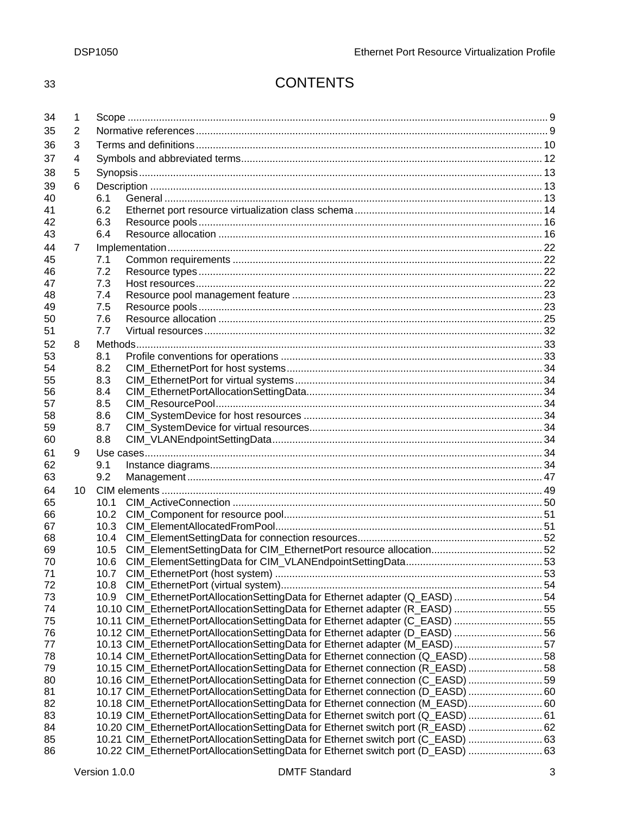# 33 CONTENTS

| 34       | 1              |            |                                                                                                                                                              |  |  |
|----------|----------------|------------|--------------------------------------------------------------------------------------------------------------------------------------------------------------|--|--|
| 35       | 2              |            |                                                                                                                                                              |  |  |
| 36       | 3              |            |                                                                                                                                                              |  |  |
| 37       | 4              |            |                                                                                                                                                              |  |  |
| 38       | 5              |            |                                                                                                                                                              |  |  |
| 39       | 6              |            |                                                                                                                                                              |  |  |
| 40       |                | 6.1        |                                                                                                                                                              |  |  |
| 41       |                | 6.2        |                                                                                                                                                              |  |  |
| 42       |                | 6.3        |                                                                                                                                                              |  |  |
| 43       |                | 6.4        |                                                                                                                                                              |  |  |
| 44       | $\overline{7}$ |            |                                                                                                                                                              |  |  |
| 45       |                | 7.1        |                                                                                                                                                              |  |  |
| 46       |                | 7.2        |                                                                                                                                                              |  |  |
| 47       |                | 7.3        |                                                                                                                                                              |  |  |
| 48       |                | 7.4        |                                                                                                                                                              |  |  |
| 49       |                | 7.5        |                                                                                                                                                              |  |  |
| 50       |                | 7.6        |                                                                                                                                                              |  |  |
| 51       |                | 7.7        |                                                                                                                                                              |  |  |
| 52       | 8              |            |                                                                                                                                                              |  |  |
| 53       |                | 8.1        |                                                                                                                                                              |  |  |
| 54       |                | 8.2        |                                                                                                                                                              |  |  |
| 55       |                | 8.3        |                                                                                                                                                              |  |  |
| 56<br>57 |                | 8.4<br>8.5 |                                                                                                                                                              |  |  |
| 58       |                | 8.6        |                                                                                                                                                              |  |  |
| 59       |                | 8.7        |                                                                                                                                                              |  |  |
| 60       |                | 8.8        |                                                                                                                                                              |  |  |
| 61       | 9              |            |                                                                                                                                                              |  |  |
| 62       |                | 9.1        |                                                                                                                                                              |  |  |
| 63       |                | 9.2        |                                                                                                                                                              |  |  |
| 64       | 10             |            |                                                                                                                                                              |  |  |
| 65       |                | 10.1       |                                                                                                                                                              |  |  |
| 66       |                | 10.2       |                                                                                                                                                              |  |  |
| 67       |                | 10.3       |                                                                                                                                                              |  |  |
| 68       |                | 10.4       |                                                                                                                                                              |  |  |
| 69       |                | 10.5       |                                                                                                                                                              |  |  |
| 70       |                |            |                                                                                                                                                              |  |  |
| 71       |                |            |                                                                                                                                                              |  |  |
| 72       |                | 10.8       |                                                                                                                                                              |  |  |
| 73       |                |            | 10.9 CIM_EthernetPortAllocationSettingData for Ethernet adapter (Q_EASD) 54                                                                                  |  |  |
| 74       |                |            | 10.10 CIM_EthernetPortAllocationSettingData for Ethernet adapter (R_EASD) 55                                                                                 |  |  |
| 75       |                |            | 10.11 CIM_EthernetPortAllocationSettingData for Ethernet adapter (C_EASD)  55                                                                                |  |  |
| 76<br>77 |                |            | 10.12 CIM_EthernetPortAllocationSettingData for Ethernet adapter (D_EASD) 56<br>10.13 CIM_EthernetPortAllocationSettingData for Ethernet adapter (M_EASD) 57 |  |  |
| 78       |                |            | 10.14 CIM_EthernetPortAllocationSettingData for Ethernet connection (Q_EASD)  58                                                                             |  |  |
| 79       |                |            | 10.15 CIM_EthernetPortAllocationSettingData for Ethernet connection (R_EASD) 58                                                                              |  |  |
| 80       |                |            | 10.16 CIM_EthernetPortAllocationSettingData for Ethernet connection (C_EASD)  59                                                                             |  |  |
| 81       |                |            | 10.17 CIM_EthernetPortAllocationSettingData for Ethernet connection (D_EASD)  60                                                                             |  |  |
| 82       |                |            | 10.18 CIM_EthernetPortAllocationSettingData for Ethernet connection (M_EASD) 60                                                                              |  |  |
| 83       |                |            | 10.19 CIM_EthernetPortAllocationSettingData for Ethernet switch port (Q_EASD)  61                                                                            |  |  |
| 84       |                |            | 10.20 CIM_EthernetPortAllocationSettingData for Ethernet switch port (R_EASD)  62                                                                            |  |  |
| 85       |                |            | 10.21 CIM_EthernetPortAllocationSettingData for Ethernet switch port (C_EASD)  63                                                                            |  |  |
| 86       |                |            | 10.22 CIM_EthernetPortAllocationSettingData for Ethernet switch port (D_EASD)  63                                                                            |  |  |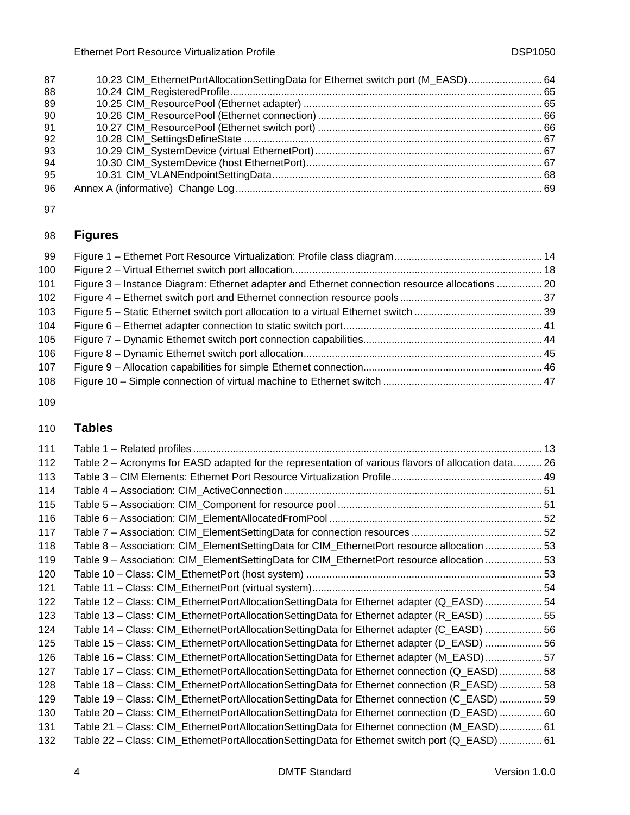| 87<br>88<br>89<br>90<br>91<br>92<br>93<br>94 | 10.23 CIM_EthernetPortAllocationSettingData for Ethernet switch port (M_EASD) 64 |  |
|----------------------------------------------|----------------------------------------------------------------------------------|--|
|                                              |                                                                                  |  |
| 95<br>96                                     |                                                                                  |  |
|                                              |                                                                                  |  |

97

## 98 **Figures**

| -99 |                                                                                                |  |
|-----|------------------------------------------------------------------------------------------------|--|
| 100 |                                                                                                |  |
| 101 | Figure 3 - Instance Diagram: Ethernet adapter and Ethernet connection resource allocations  20 |  |
| 102 |                                                                                                |  |
| 103 |                                                                                                |  |
| 104 |                                                                                                |  |
| 105 |                                                                                                |  |
| 106 |                                                                                                |  |
| 107 |                                                                                                |  |
| 108 |                                                                                                |  |
|     |                                                                                                |  |

109

## 110 **Tables**

| 111 |                                                                                                     |  |
|-----|-----------------------------------------------------------------------------------------------------|--|
| 112 | Table 2 - Acronyms for EASD adapted for the representation of various flavors of allocation data 26 |  |
| 113 |                                                                                                     |  |
| 114 |                                                                                                     |  |
| 115 |                                                                                                     |  |
| 116 |                                                                                                     |  |
| 117 |                                                                                                     |  |
| 118 | Table 8 - Association: CIM_ElementSettingData for CIM_EthernetPort resource allocation  53          |  |
| 119 | Table 9 - Association: CIM_ElementSettingData for CIM_EthernetPort resource allocation  53          |  |
| 120 |                                                                                                     |  |
| 121 |                                                                                                     |  |
| 122 | Table 12 - Class: CIM_EthernetPortAllocationSettingData for Ethernet adapter (Q_EASD)  54           |  |
| 123 | Table 13 - Class: CIM_EthernetPortAllocationSettingData for Ethernet adapter (R_EASD)  55           |  |
| 124 | Table 14 - Class: CIM_EthernetPortAllocationSettingData for Ethernet adapter (C_EASD)  56           |  |
| 125 | Table 15 - Class: CIM_EthernetPortAllocationSettingData for Ethernet adapter (D_EASD)  56           |  |
| 126 | Table 16 - Class: CIM_EthernetPortAllocationSettingData for Ethernet adapter (M_EASD)  57           |  |
| 127 | Table 17 - Class: CIM_EthernetPortAllocationSettingData for Ethernet connection (Q_EASD)  58        |  |
| 128 | Table 18 - Class: CIM_EthernetPortAllocationSettingData for Ethernet connection (R_EASD)  58        |  |
| 129 | Table 19 - Class: CIM_EthernetPortAllocationSettingData for Ethernet connection (C_EASD)  59        |  |
| 130 | Table 20 - Class: CIM_EthernetPortAllocationSettingData for Ethernet connection (D_EASD)  60        |  |
| 131 | Table 21 - Class: CIM_EthernetPortAllocationSettingData for Ethernet connection (M_EASD) 61         |  |
| 132 | Table 22 - Class: CIM_EthernetPortAllocationSettingData for Ethernet switch port (Q_EASD)  61       |  |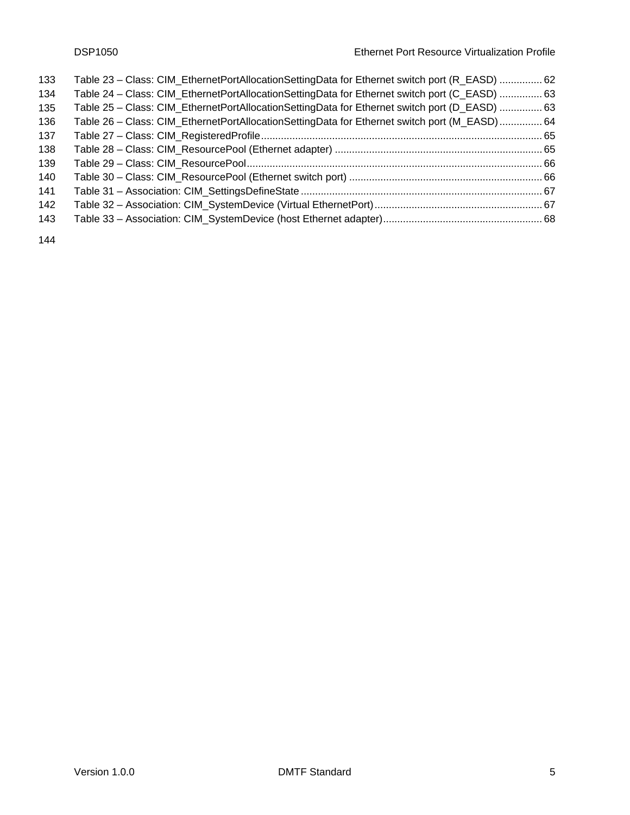| 133 | Table 23 - Class: CIM_EthernetPortAllocationSettingData for Ethernet switch port (R_EASD)  62     |  |
|-----|---------------------------------------------------------------------------------------------------|--|
| 134 | 63. Table 24 - Class: CIM_EthernetPortAllocationSettingData for Ethernet switch port (C_EASD)  63 |  |
| 135 | 63. Table 25 - Class: CIM_EthernetPortAllocationSettingData for Ethernet switch port (D_EASD)  63 |  |
| 136 | Table 26 - Class: CIM_EthernetPortAllocationSettingData for Ethernet switch port (M_EASD)  64     |  |
| 137 |                                                                                                   |  |
| 138 |                                                                                                   |  |
| 139 |                                                                                                   |  |
| 140 |                                                                                                   |  |
| 141 |                                                                                                   |  |
| 142 |                                                                                                   |  |
| 143 |                                                                                                   |  |

144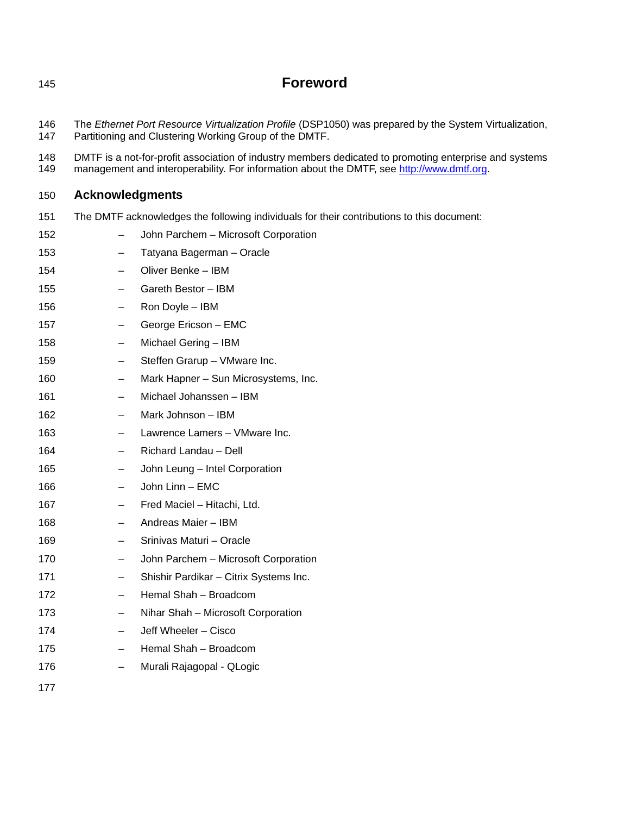## 145 **Foreword**

146 The *Ethernet Port Resource Virtualization Profile* (DSP1050) was prepared by the System Virtualization, 147 Partitioning and Clustering Working Group of the DMTF.

148 DMTF is a not-for-profit association of industry members dedicated to promoting enterprise and systems 149 management and interoperability. For information about the DMTF, see [http://www.dmtf.org.](http://www.dmtf.org/)

## 150 **Acknowledgments**

- 151 The DMTF acknowledges the following individuals for their contributions to this document:
- 152 John Parchem Microsoft Corporation
- 153 Tatyana Bagerman Oracle
- 154 Oliver Benke IBM
- 155 Gareth Bestor IBM
- 156 Ron Doyle IBM
- 157 George Ericson EMC
- 158 Michael Gering IBM
- 159 Steffen Grarup VMware Inc.
- 160 Mark Hapner Sun Microsystems, Inc.
- 161 Michael Johanssen IBM
- 162 Mark Johnson IBM
- 163 Lawrence Lamers VMware Inc.
- 164 Richard Landau Dell
- 165 John Leung Intel Corporation
- 166 John Linn EMC
- 167 Fred Maciel Hitachi, Ltd.
- 168 Andreas Maier IBM
- 169 Srinivas Maturi Oracle
- 170 John Parchem Microsoft Corporation
- 171 Shishir Pardikar Citrix Systems Inc.
- 172 Hemal Shah Broadcom
- 173 Nihar Shah Microsoft Corporation
- 174 Jeff Wheeler Cisco
- 175 Hemal Shah Broadcom
- 176 Murali Rajagopal QLogic

177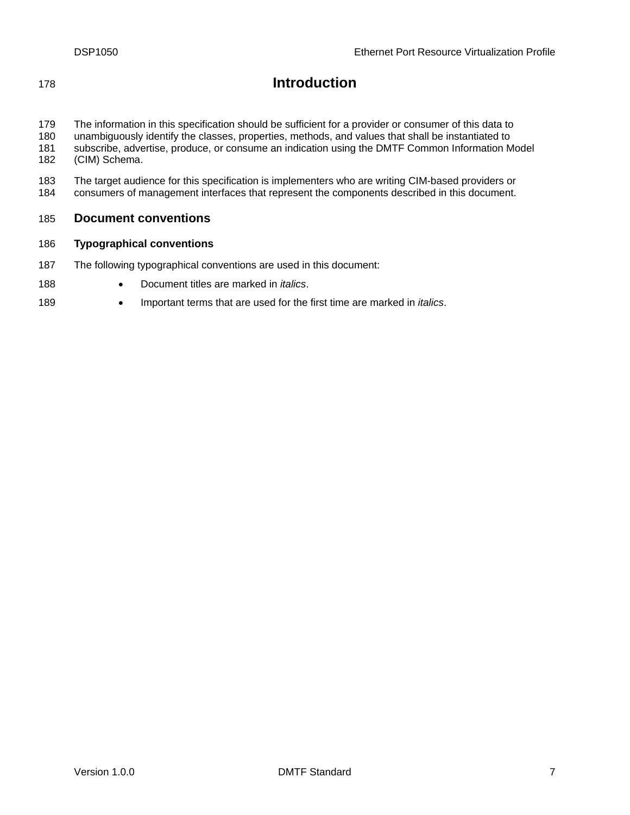## 178 **Introduction**

179 The information in this specification should be sufficient for a provider or consumer of this data to

180 unambiguously identify the classes, properties, methods, and values that shall be instantiated to 181 subscribe, advertise, produce, or consume an indication using the DMTF Common Information M

181 subscribe, advertise, produce, or consume an indication using the DMTF Common Information Model<br>182 (CIM) Schema. (CIM) Schema.

- 183 The target audience for this specification is implementers who are writing CIM-based providers or
- 184 consumers of management interfaces that represent the components described in this document.

### 185 **Document conventions**

#### 186 **Typographical conventions**

- 187 The following typographical conventions are used in this document:
- 188 Document titles are marked in *italics*.
- 189 Important terms that are used for the first time are marked in *italics*.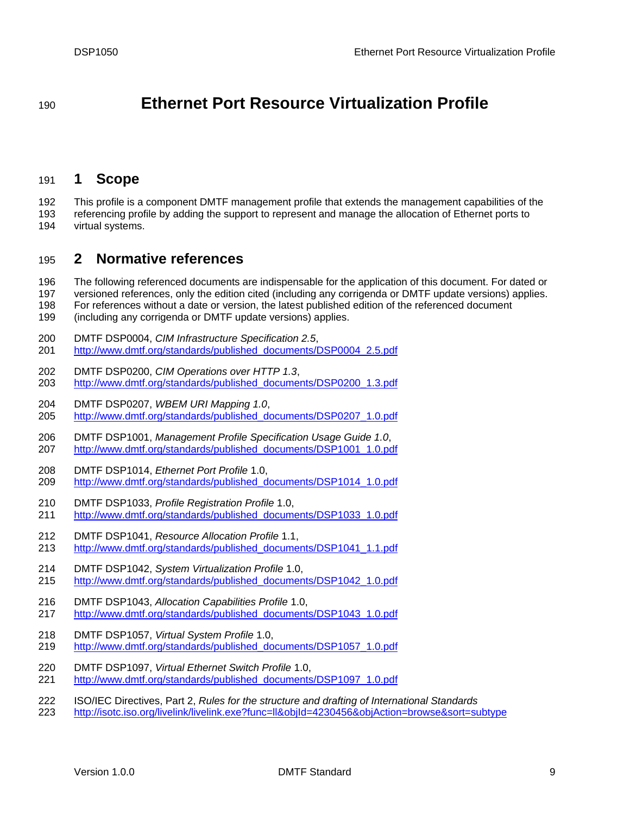# <span id="page-8-2"></span><sup>190</sup>**Ethernet Port Resource Virtualization Profile**

#### <span id="page-8-0"></span>191 **1 Scope**

- 192 This profile is a component DMTF management profile that extends the management capabilities of the
- 193 referencing profile by adding the support to represent and manage the allocation of Ethernet ports to 194 virtual systems.

## <span id="page-8-1"></span>195 **2 Normative references**

- 196 The following referenced documents are indispensable for the application of this document. For dated or
- 197 versioned references, only the edition cited (including any corrigenda or DMTF update versions) applies.
- 198 For references without a date or version, the latest published edition of the referenced document
- 199 (including any corrigenda or DMTF update versions) applies.
- 200 DMTF DSP0004, *CIM Infrastructure Specification 2.5*,
- 201 [http://www.dmtf.org/standards/published\\_documents/DSP0004\\_2.5.pdf](http://www.dmtf.org/standards/published_documents/DSP0004_2.5.pdf)
- 202 DMTF DSP0200, *CIM Operations over HTTP 1.3*, 203 [http://www.dmtf.org/standards/published\\_documents/DSP0200\\_1.3.pdf](http://www.dmtf.org/standards/published_documents/DSP0200_1.3.pdf)
- 204 DMTF DSP0207, *WBEM URI Mapping 1.0*,
- 205 [http://www.dmtf.org/standards/published\\_documents/DSP0207\\_1.0.pdf](http://www.dmtf.org/standards/published_documents/DSP0207_1.0.pdf)
- 206 DMTF DSP1001, *Management Profile Specification Usage Guide 1.0*,
- 207 [http://www.dmtf.org/standards/published\\_documents/DSP1001\\_1.0.pdf](http://www.dmtf.org/standards/published_documents/DSP1001_1.0.pdf)
- 208 DMTF DSP1014, *Ethernet Port Profile* 1.0,
- 209 [http://www.dmtf.org/standards/published\\_documents/DSP1014\\_1.0.pdf](http://www.dmtf.org/standards/published_documents/DSP1014_1.0.pdf)
- 210 DMTF DSP1033, *Profile Registration Profile* 1.0,
- 211 [http://www.dmtf.org/standards/published\\_documents/DSP1033\\_1.0.pdf](http://www.dmtf.org/standards/published_documents/DSP1033_1.0.pdf)
- <span id="page-8-3"></span>212 DMTF DSP1041, *Resource Allocation Profile* 1.1,
- 213 [http://www.dmtf.org/standards/published\\_documents/DSP1041\\_1.1.pdf](http://www.dmtf.org/standards/published_documents/DSP1041_1.1.pdf)
- 214 DMTF DSP1042, *System Virtualization Profile* 1.0, 215 [http://www.dmtf.org/standards/published\\_documents/DSP1042\\_1.0.pdf](http://www.dmtf.org/standards/published_documents/DSP1042_1.0.pdf)
- 216 DMTF DSP1043, *Allocation Capabilities Profile* 1.0, 217 [http://www.dmtf.org/standards/published\\_documents/DSP1043\\_1.0.pdf](http://www.dmtf.org/standards/published_documents/DSP1043_1.0.pdf)
- 218 DMTF DSP1057, *Virtual System Profile* 1.0,
- 219 [http://www.dmtf.org/standards/published\\_documents/DSP1057\\_1.0.pdf](http://www.dmtf.org/standards/published_documents/DSP1057_1.0.pdf)
- 220 DMTF DSP1097, *Virtual Ethernet Switch Profile* 1.0,
- 221 [http://www.dmtf.org/standards/published\\_documents/DSP1097\\_1.0.pdf](http://www.dmtf.org/standards/published_documents/DSP1097_1.0.pdf)
- 222 ISO/IEC Directives, Part 2, *Rules for the structure and drafting of International Standards*  223 <http://isotc.iso.org/livelink/livelink.exe?func=ll&objId=4230456&objAction=browse&sort=subtype>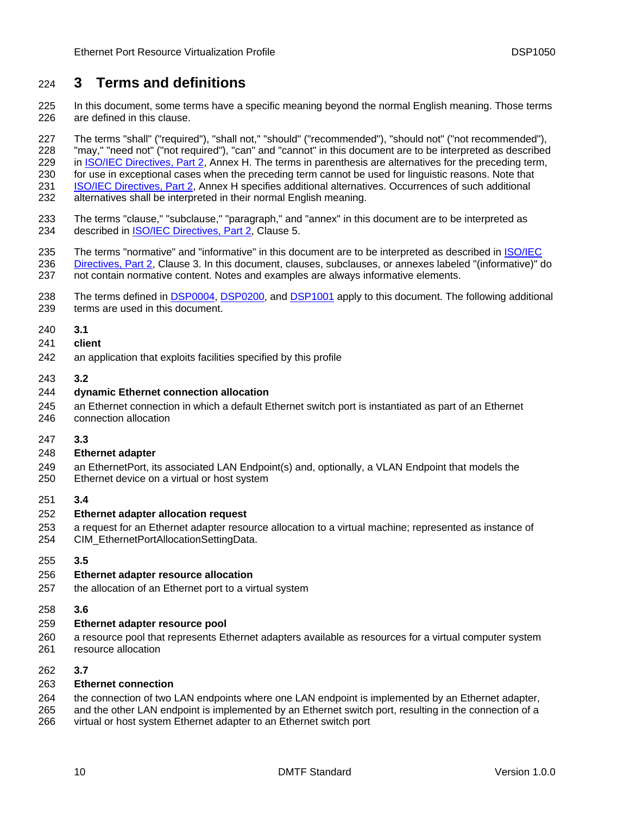## <span id="page-9-0"></span>224 **3 Terms and definitions**

225 In this document, some terms have a specific meaning beyond the normal English meaning. Those terms 226 are defined in this clause.

227 The terms "shall" ("required"), "shall not," "should" ("recommended"), "should not" ("not recommended"), 228 "may," "need not" ("not required"), "can" and "cannot" in this document are to be interpreted as described 229 in [ISO/IEC Directives, Part 2](#page-0-0), Annex H. The terms in parenthesis are alternatives for the preceding term, 230 for use in exceptional cases when the preceding term cannot be used for linguistic reasons. Note that 231 **[ISO/IEC Directives, Part 2,](#page-0-0) Annex H specifies additional alternatives. Occurrences of such additional** 232 alternatives shall be interpreted in their normal English meaning.

- 233 The terms "clause," "subclause," "paragraph," and "annex" in this document are to be interpreted as 234 described in [ISO/IEC Directives, Part 2](#page-0-0), Clause 5.
- 235 The terms "normative" and "informative" in this document are to be interpreted as described in ISO/IEC
- 236 [Directives, Par](#page-0-0)t 2, Clause 3. In this document, clauses, subclauses, or annexes labeled "(informative)" do 237 not contain normative content. Notes and examples are always informative elements.
- 238 The terms defined in [DSP0004, DSP0200](#page-0-0), and [DSP1001](#page-0-0) apply to this document. The following additional 239 terms are used in this document.
- 240 **3.1**
- 241 **client**
- 242 an application that exploits facilities specified by this profile
- <span id="page-9-1"></span>243 **3.2**

#### 244 **dynamic Ethernet connection allocation**

- 245 an Ethernet connection in which a default Ethernet switch port is instantiated as part of an Ethernet 246 connection allocation
- 247 **3.3**

#### 248 **Ethernet adapter**

- 249 an EthernetPort, its associated LAN Endpoint(s) and, optionally, a VLAN Endpoint that models the 250 Ethernet device on a virtual or host system
- 251 **3.4**

#### 252 **Ethernet adapter allocation request**

- 253 a request for an Ethernet adapter resource allocation to a virtual machine; represented as instance of
- 254 CIM\_EthernetPortAllocationSettingData.
- 255 **3.5**

#### 256 **Ethernet adapter resource allocation**

- 257 the allocation of an Ethernet port to a virtual system
- 258 **3.6**
- 259 **Ethernet adapter resource pool**
- 260 a resource pool that represents Ethernet adapters available as resources for a virtual computer system 261 resource allocation
- 262 **3.7**

#### 263 **Ethernet connection**

- 264 the connection of two LAN endpoints where one LAN endpoint is implemented by an Ethernet adapter,
- 265 and the other LAN endpoint is implemented by an Ethernet switch port, resulting in the connection of a
- 266 virtual or host system Ethernet adapter to an Ethernet switch port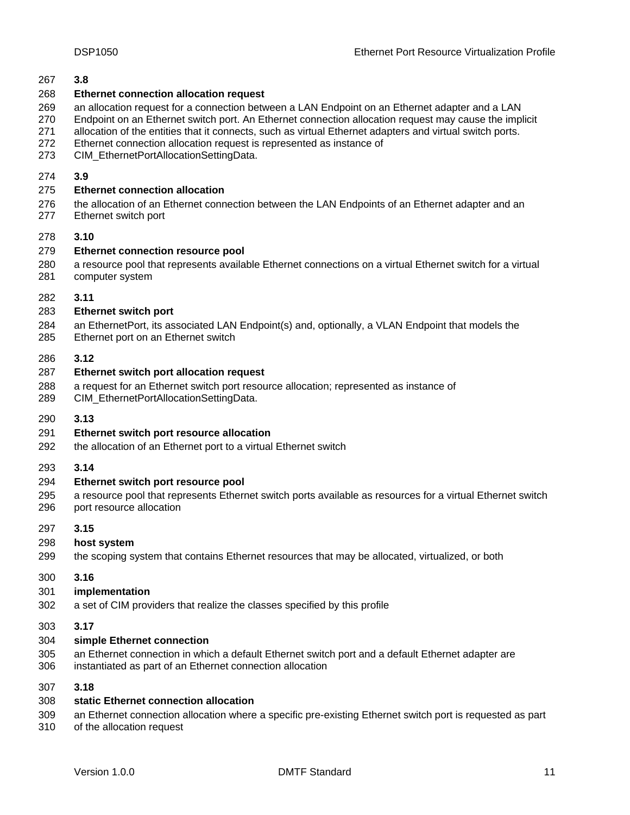#### 267 **3.8**

#### 268 **Ethernet connection allocation request**

- 269 an allocation request for a connection between a LAN Endpoint on an Ethernet adapter and a LAN
- 270 Endpoint on an Ethernet switch port. An Ethernet connection allocation request may cause the implicit
- 271 allocation of the entities that it connects, such as virtual Ethernet adapters and virtual switch ports.
- 272 Ethernet connection allocation request is represented as instance of
- 273 CIM\_EthernetPortAllocationSettingData.

#### 274 **3.9**

#### 275 **Ethernet connection allocation**

- 276 the allocation of an Ethernet connection between the LAN Endpoints of an Ethernet adapter and an
- 277 Ethernet switch port

#### 278 **3.10**

#### 279 **Ethernet connection resource pool**

280 a resource pool that represents available Ethernet connections on a virtual Ethernet switch for a virtual 281 computer system

#### 282 **3.11**

#### 283 **Ethernet switch port**

284 an EthernetPort, its associated LAN Endpoint(s) and, optionally, a VLAN Endpoint that models the 285 Ethernet port on an Ethernet switch

#### 286 **3.12**

#### 287 **Ethernet switch port allocation request**

- 288 a request for an Ethernet switch port resource allocation; represented as instance of
- 289 CIM EthernetPortAllocationSettingData.

#### 290 **3.13**

#### 291 **Ethernet switch port resource allocation**

292 the allocation of an Ethernet port to a virtual Ethernet switch

#### 293 **3.14**

#### 294 **Ethernet switch port resource pool**

295 a resource pool that represents Ethernet switch ports available as resources for a virtual Ethernet switch 296 port resource allocation

#### 297 **3.15**

#### 298 **host system**

- 299 the scoping system that contains Ethernet resources that may be allocated, virtualized, or both
- 300 **3.16**
- 301 **implementation**
- 302 a set of CIM providers that realize the classes specified by this profile

#### <span id="page-10-1"></span>303 **3.17**

#### 304 **simple Ethernet connection**

305 an Ethernet connection in which a default Ethernet switch port and a default Ethernet adapter are 306 instantiated as part of an Ethernet connection allocation

#### <span id="page-10-0"></span>307 **3.18**

#### 308 **static Ethernet connection allocation**

- 309 an Ethernet connection allocation where a specific pre-existing Ethernet switch port is requested as part
- 310 of the allocation request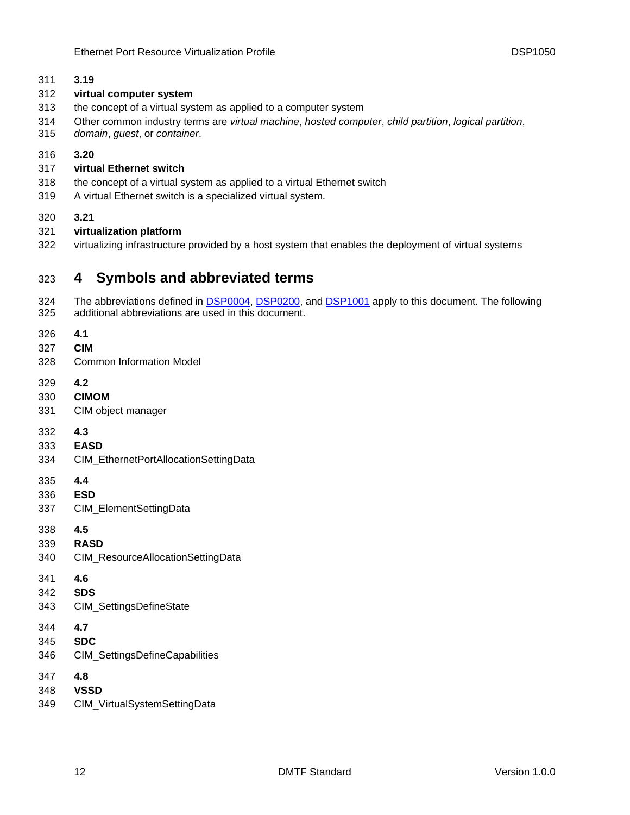| 311 | 3.19 |
|-----|------|
|     |      |

#### 312 **virtual computer system**

- 313 the concept of a virtual system as applied to a computer system
- 314 Other common industry terms are *virtual machine*, *hosted computer*, *child partition*, *logical partition*,
- 315 *domain*, *guest*, or *container*.
- 316 **3.20**
- 317 **virtual Ethernet switch**
- 318 the concept of a virtual system as applied to a virtual Ethernet switch
- 319 A virtual Ethernet switch is a specialized virtual system.
- 320 **3.21**

#### 321 **virtualization platform**

322 virtualizing infrastructure provided by a host system that enables the deployment of virtual systems

## <span id="page-11-0"></span>323 **4 Symbols and abbreviated terms**

- 324 The abbreviations defined in [DSP0004](#page-8-2), [DSP0200,](#page-8-2) and [DSP1001](#page-8-2) apply to this document. The following 325 additional abbreviations are used in this document.
- 326 **4.1**
- 327 **CIM**
- 328 Common Information Model
- 329 **4.2**
- 330 **CIMOM**
- 331 CIM object manager
- 332 **4.3**
- 333 **EASD**
- 334 CIM\_EthernetPortAllocationSettingData
- 335 **4.4**
- 336 **ESD**
- 337 CIM\_ElementSettingData
- 338 **4.5**
- 339 **RASD**
- 340 CIM\_ResourceAllocationSettingData
- 341 **4.6**
- 342 **SDS**
- 343 CIM\_SettingsDefineState
- 344 **4.7**
- 345 **SDC**
- 346 CIM\_SettingsDefineCapabilities
- 347 **4.8**
- 348 **VSSD**
- 349 CIM\_VirtualSystemSettingData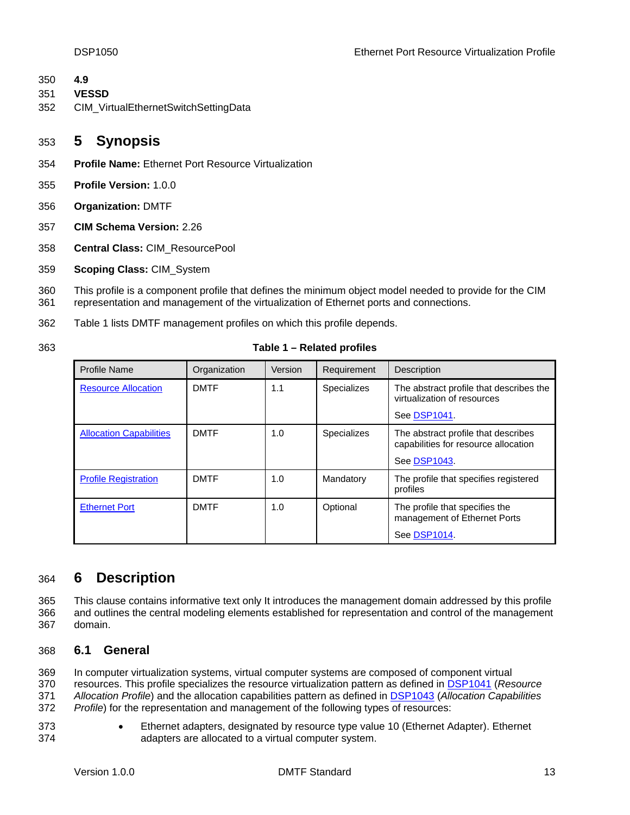- 350 **4.9**
- 351 **VESSD**
- 352 CIM\_VirtualEthernetSwitchSettingData

## <span id="page-12-0"></span>353 **5 Synopsis**

- 354 **Profile Name:** Ethernet Port Resource Virtualization
- 355 **Profile Version:** 1.0.0
- 356 **Organization:** DMTF
- 357 **CIM Schema Version:** 2.26
- 358 **Central Class:** CIM\_ResourcePool
- 359 **Scoping Class:** CIM\_System
- 360 This profile is a component profile that defines the minimum object model needed to provide for the CIM 361 representation and management of the virtualization of Ethernet ports and connections.
- 362 [Table 1](#page-12-3) lists DMTF management profiles on which this profile depends.

#### <span id="page-12-3"></span>363 **Table 1 – Related profiles**

| <b>Profile Name</b>            | Organization | Version | Requirement        | Description                                                                                 |
|--------------------------------|--------------|---------|--------------------|---------------------------------------------------------------------------------------------|
| <b>Resource Allocation</b>     | <b>DMTF</b>  | 1.1     | <b>Specializes</b> | The abstract profile that describes the<br>virtualization of resources<br>See DSP1041.      |
| <b>Allocation Capabilities</b> | <b>DMTF</b>  | 1.0     | Specializes        | The abstract profile that describes<br>capabilities for resource allocation<br>See DSP1043. |
| <b>Profile Registration</b>    | <b>DMTF</b>  | 1.0     | Mandatory          | The profile that specifies registered<br>profiles                                           |
| <b>Ethernet Port</b>           | <b>DMTF</b>  | 1.0     | Optional           | The profile that specifies the<br>management of Ethernet Ports<br>See DSP1014.              |

## <span id="page-12-1"></span>364 **6 Description**

365 This clause contains informative text only It introduces the management domain addressed by this profile 366 and outlines the central modeling elements established for representation and control of the management 367 domain.

### <span id="page-12-2"></span>368 **6.1 General**

369 In computer virtualization systems, virtual computer systems are composed of component virtual 370 resources. This profile specializes the resource virtualization pattern as defined in [DSP1041](#page-8-2) (*Resource*  371 *Allocation Profile*) and the allocation capabilities pattern as defined in [DSP1043](#page-8-2) (*Allocation Capabilities*  372 *Profile*) for the representation and management of the following types of resources:

373 • Ethernet adapters, designated by resource type value 10 (Ethernet Adapter). Ethernet 374 adapters are allocated to a virtual computer system.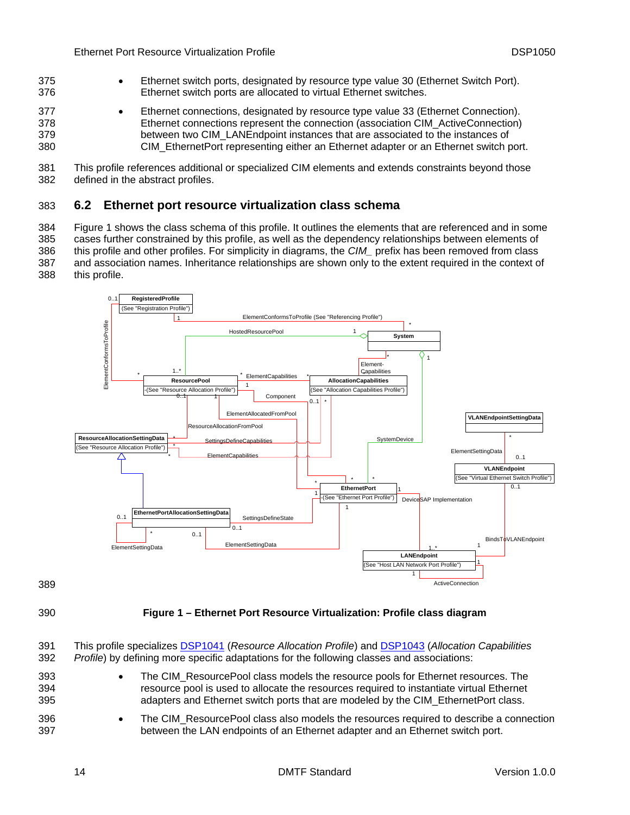<span id="page-13-1"></span>375 • Ethernet switch ports, designated by resource type value 30 (Ethernet Switch Port). 376 Ethernet switch ports are allocated to virtual Ethernet switches. 377 • Ethernet connections, designated by resource type value 33 (Ethernet Connection). 378 Ethernet connections represent the connection (association CIM\_ActiveConnection) 379 between two CIM\_LANEndpoint instances that are associated to the instances of 380 CIM\_EthernetPort representing either an Ethernet adapter or an Ethernet switch port.

381 This profile references additional or specialized CIM elements and extends constraints beyond those 382 defined in the abstract profiles.

#### <span id="page-13-0"></span>383 **6.2 Ethernet port resource virtualization class schema**

384 [Figure 1](#page-13-2) shows the class schema of this profile. It outlines the elements that are referenced and in some 385 cases further constrained by this profile, as well as the dependency relationships between elements of 386 this profile and other profiles. For simplicity in diagrams, the *CIM\_* prefix has been removed from class 387 and association names. Inheritance relationships are shown only to the extent required in the context of 388 this profile.



389

#### <span id="page-13-2"></span>390 **Figure 1 – Ethernet Port Resource Virtualization: Profile class diagram**

- 391 This profile specializes [DSP1041](#page-8-2) (*Resource Allocation Profile*) and [DSP1043](#page-8-2) (*Allocation Capabilities*  392 *Profile*) by defining more specific adaptations for the following classes and associations:
- 393 The CIM\_ResourcePool class models the resource pools for Ethernet resources. The 394 resource pool is used to allocate the resources required to instantiate virtual Ethernet 395 adapters and Ethernet switch ports that are modeled by the CIM\_EthernetPort class. 396 • The CIM\_ResourcePool class also models the resources required to describe a connection
- 397 between the LAN endpoints of an Ethernet adapter and an Ethernet switch port.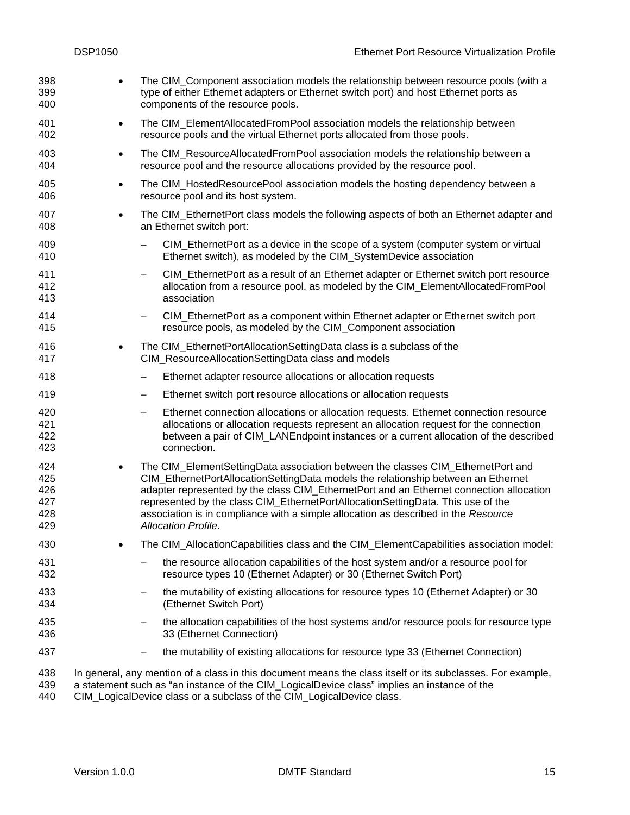398 • The CIM Component association models the relationship between resource pools (with a 399 type of either Ethernet adapters or Ethernet switch port) and host Ethernet ports as 400 components of the resource pools. 401 • The CIM\_ElementAllocatedFromPool association models the relationship between 402 resource pools and the virtual Ethernet ports allocated from those pools. 403 • The CIM\_ResourceAllocatedFromPool association models the relationship between a 404 resource pool and the resource allocations provided by the resource pool. 405 • The CIM HostedResourcePool association models the hosting dependency between a 406 resource pool and its host system. 407 • The CIM EthernetPort class models the following aspects of both an Ethernet adapter and 408 an Ethernet switch port: 409 – CIM\_EthernetPort as a device in the scope of a system (computer system or virtual 410 Ethernet switch), as modeled by the CIM\_SystemDevice association 411 – CIM\_EthernetPort as a result of an Ethernet adapter or Ethernet switch port resource 412 allocation from a resource pool, as modeled by the CIM\_ElementAllocatedFromPool 413 association 414 – CIM\_EthernetPort as a component within Ethernet adapter or Ethernet switch port 415 resource pools, as modeled by the CIM\_Component association 416 • The CIM\_EthernetPortAllocationSettingData class is a subclass of the 417 CIM\_ResourceAllocationSettingData class and models 418 – Ethernet adapter resource allocations or allocation requests 419 – Ethernet switch port resource allocations or allocation requests 420 – Ethernet connection allocations or allocation requests. Ethernet connection resource 421 allocations or allocation requests represent an allocation request for the connection 422 between a pair of CIM\_LANEndpoint instances or a current allocation of the described 423 connection. 424 • The CIM\_ElementSettingData association between the classes CIM\_EthernetPort and 425 CIM\_EthernetPortAllocationSettingData models the relationship between an Ethernet 426 **and adapter represented by the class CIM** EthernetPort and an Ethernet connection allocation 427 represented by the class CIM\_EthernetPortAllocationSettingData. This use of the [428 association is in compliance with a simple allocation as described in the](#page-8-3) *Resource*  429 *[Allocation Prof](#page-8-3)ile*. 430 • The CIM AllocationCapabilities class and the CIM ElementCapabilities association model: 431 – the resource allocation capabilities of the host system and/or a resource pool for 432 resource types 10 (Ethernet Adapter) or 30 (Ethernet Switch Port) 433 – the mutability of existing allocations for resource types 10 (Ethernet Adapter) or 30 434 (Ethernet Switch Port) 435 – the allocation capabilities of the host systems and/or resource pools for resource type 436 33 (Ethernet Connection) 437 – the mutability of existing allocations for resource type 33 (Ethernet Connection) 438 In general, any mention of a class in this document means the class itself or its subclasses. For example, 439 a statement such as "an instance of the CIM\_LogicalDevice class" implies an instance of the

440 CIM\_LogicalDevice class or a subclass of the CIM\_LogicalDevice class.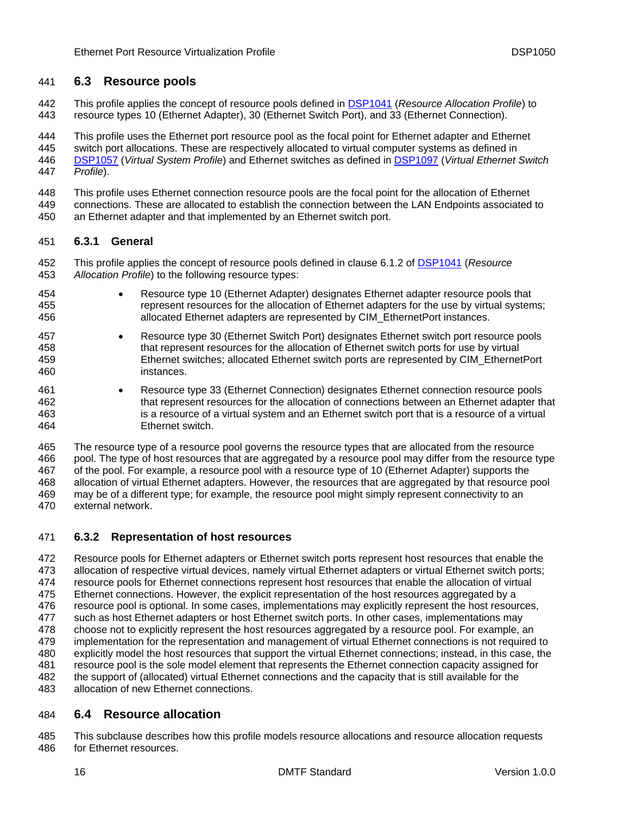## <span id="page-15-0"></span>441 **6.3 Resource pools**

442 This profile applies the concept of resource pools defined in [DSP1041](#page-8-2) (*Resource Allocation Profile*) to 443 resource types 10 (Ethernet Adapter), 30 (Ethernet Switch Port), and 33 (Ethernet Connection).

444 This profile uses the Ethernet port resource pool as the focal point for Ethernet adapter and Ethernet 445 switch port allocations. These are respectively allocated to virtual computer systems as defined in 446 [DSP1057](#page-8-2) (*Virtual System Profile*) and Ethernet switches as defined in [DSP1097](#page-8-2) (*Virtual Ethernet Switch*  447 *Profile*).

- 448 This profile uses Ethernet connection resource pools are the focal point for the allocation of Ethernet 449 connections. These are allocated to establish the connection between the LAN Endpoints associated to
- 450 an Ethernet adapter and that implemented by an Ethernet switch port.

#### 451 **6.3.1 General**

452 This profile applies the concept of resource pools defined in clause 6.1.2 of [DSP1041](#page-8-2) (*Resource*  453 *Allocation Profile*) to the following resource types:

- 454 Resource type 10 (Ethernet Adapter) designates Ethernet adapter resource pools that 455 represent resources for the allocation of Ethernet adapters for the use by virtual systems; 456 allocated Ethernet adapters are represented by CIM\_EthernetPort instances.
- 457 Resource type 30 (Ethernet Switch Port) designates Ethernet switch port resource pools 458 that represent resources for the allocation of Ethernet switch ports for use by virtual 459 Ethernet switches; allocated Ethernet switch ports are represented by CIM\_EthernetPort 460 instances.
- 461 Resource type 33 (Ethernet Connection) designates Ethernet connection resource pools 462 that represent resources for the allocation of connections between an Ethernet adapter that 463 is a resource of a virtual system and an Ethernet switch port that is a resource of a virtual 464 Ethernet switch.

465 The resource type of a resource pool governs the resource types that are allocated from the resource 466 pool. The type of host resources that are aggregated by a resource pool may differ from the resource type 467 of the pool. For example, a resource pool with a resource type of 10 (Ethernet Adapter) supports the 468 allocation of virtual Ethernet adapters. However, the resources that are aggregated by that resource pool 469 may be of a different type; for example, the resource pool might simply represent connectivity to an 470 external network.

#### 471 **6.3.2 Representation of host resources**

472 Resource pools for Ethernet adapters or Ethernet switch ports represent host resources that enable the 473 allocation of respective virtual devices, namely virtual Ethernet adapters or virtual Ethernet switch ports; 474 resource pools for Ethernet connections represent host resources that enable the allocation of virtual 475 Ethernet connections. However, the explicit representation of the host resources aggregated by a 476 resource pool is optional. In some cases, implementations may explicitly represent the host resources, 477 such as host Ethernet adapters or host Ethernet switch ports. In other cases, implementations may 478 choose not to explicitly represent the host resources aggregated by a resource pool. For example, an 479 implementation for the representation and management of virtual Ethernet connections is not required to 480 explicitly model the host resources that support the virtual Ethernet connections; instead, in this case, the 481 resource pool is the sole model element that represents the Ethernet connection capacity assigned for 482 the support of (allocated) virtual Ethernet connections and the capacity that is still available for the 483 allocation of new Ethernet connections.

### <span id="page-15-1"></span>484 **6.4 Resource allocation**

485 This subclause describes how this profile models resource allocations and resource allocation requests 486 for Ethernet resources.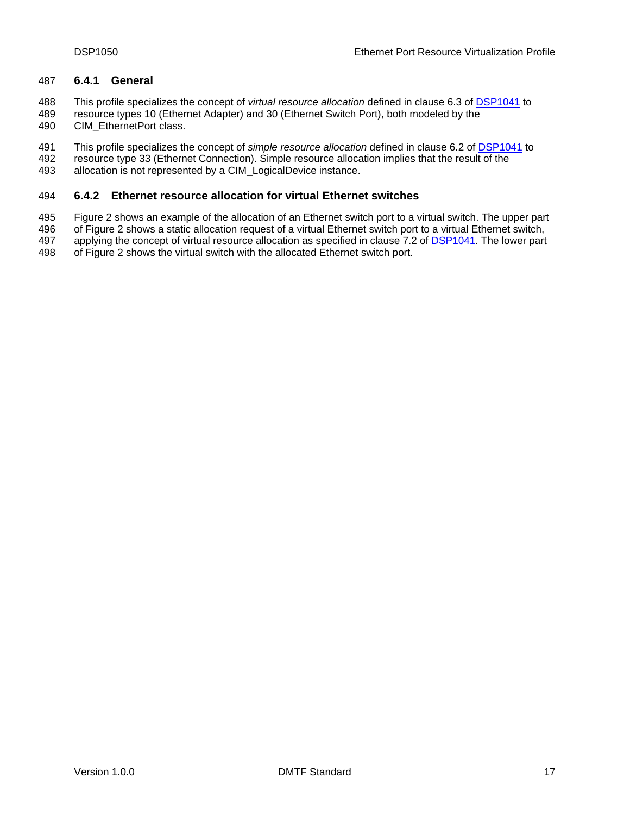#### 487 **6.4.1 General**

488 This profile specializes the concept of *virtual resource allocation* defined in clause 6.3 of [DSP1041](#page-8-2) to

- 489 resource types 10 (Ethernet Adapter) and 30 (Ethernet Switch Port), both modeled by the 490 CIM EthernetPort class.
- CIM\_EthernetPort class.
- 491 This profile specializes the concept of *simple resource allocation* defined in clause 6.2 of **DSP1041** to 492 resource type 33 (Ethernet Connection). Simple resource allocation implies that the result of the
- resource type 33 (Ethernet Connection). Simple resource allocation implies that the result of the
- 493 allocation is not represented by a CIM\_LogicalDevice instance.

#### 494 **6.4.2 Ethernet resource allocation for virtual Ethernet switches**

495 [Figure 2](#page-17-1) shows an example of the allocation of an Ethernet switch port to a virtual switch. The upper part

496 of [Figure 2](#page-17-1) shows a static allocation request of a virtual Ethernet switch port to a virtual Ethernet switch,

- 497 applying the concept of virtual resource allocation as specified in clause 7.2 of [DSP1041](#page-8-2). The lower part
- 498 of [Figure 2](#page-17-1) shows the virtual switch with the allocated Ethernet switch port.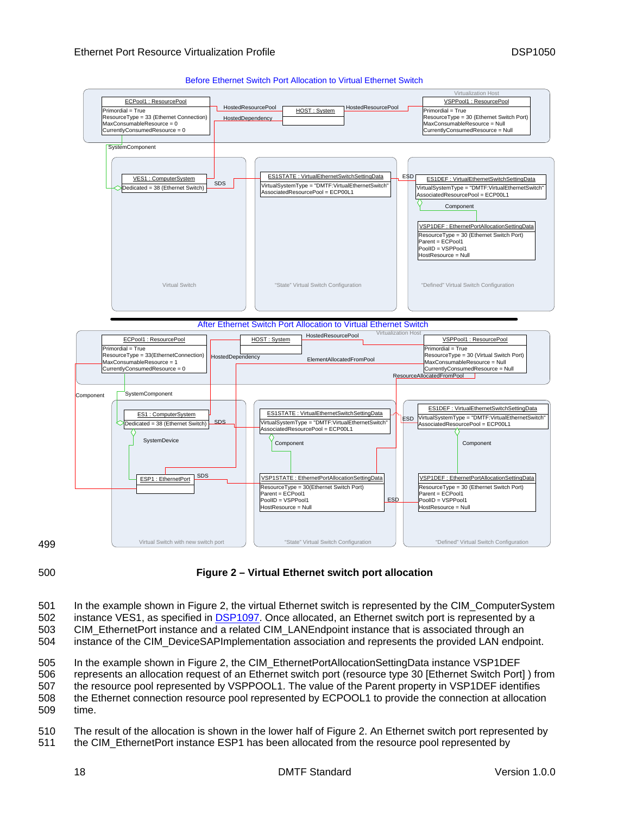

<span id="page-17-0"></span>

499

<span id="page-17-1"></span>500 **Figure 2 – Virtual Ethernet switch port allocation** 

501 In the example shown in [Figure 2](#page-17-1), the virtual Ethernet switch is represented by the CIM\_ComputerSystem 502 instance VES1, as specified in [DSP1097](#page-8-2). Once allocated, an Ethernet switch port is represented by a 503 CIM EthernetPort instance and a related CIM LANEndpoint instance that is associated through an 504 instance of the CIM\_DeviceSAPImplementation association and represents the provided LAN endpoint.

505 In the example shown in [Figure 2](#page-17-1), the CIM\_EthernetPortAllocationSettingData instance VSP1DEF 506 represents an allocation request of an Ethernet switch port (resource type 30 [Ethernet Switch Port] ) from 507 the resource pool represented by VSPPOOL1. The value of the Parent property in VSP1DEF identifies 508 the Ethernet connection resource pool represented by ECPOOL1 to provide the connection at allocation 509 time.

510 The result of the allocation is shown in the lower half of [Figure 2](#page-17-1). An Ethernet switch port represented by 511 the CIM\_EthernetPort instance ESP1 has been allocated from the resource pool represented by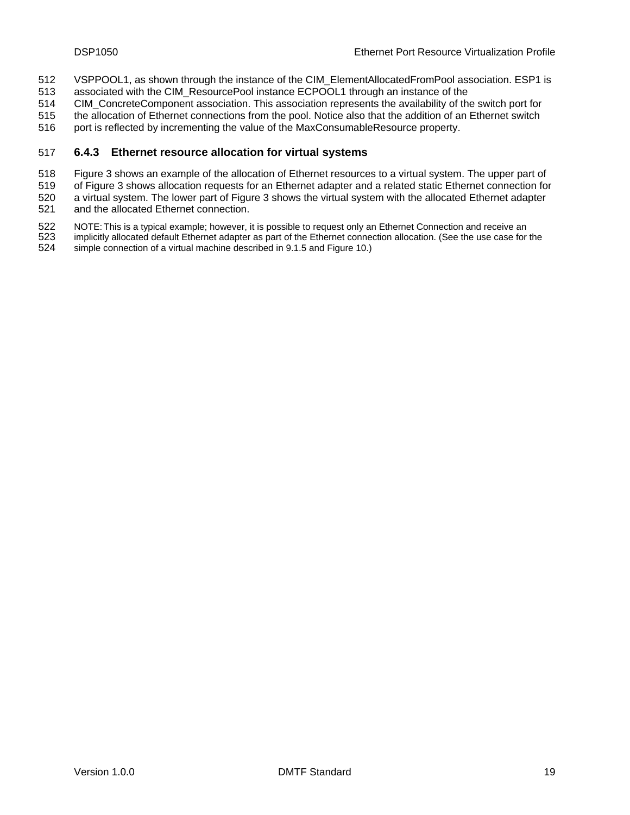- 512 VSPPOOL1, as shown through the instance of the CIM\_ElementAllocatedFromPool association. ESP1 is
- 513 associated with the CIM\_ResourcePool instance ECPOOL1 through an instance of the
- 514 CIM\_ConcreteComponent association. This association represents the availability of the switch port for
- 515 the allocation of Ethernet connections from the pool. Notice also that the addition of an Ethernet switch
- 516 port is reflected by incrementing the value of the MaxConsumableResource property.

#### 517 **6.4.3 Ethernet resource allocation for virtual systems**

- 518 [Figure 3](#page-19-1) shows an example of the allocation of Ethernet resources to a virtual system. The upper part of
- 519 of [Figure 3](#page-19-1) shows allocation requests for an Ethernet adapter and a related static Ethernet connection for
- 520 a virtual system. The lower part of [Figure 3](#page-19-1) shows the virtual system with the allocated Ethernet adapter
- 521 and the allocated Ethernet connection.
- 522 NOTE: This is a typical example; however, it is possible to request only an Ethernet Connection and receive an 523 implicitly allocated default Ethernet adapter as part of the Ethernet connection allocation. (See the u
- 523 implicitly allocated default Ethernet adapter as part of the Ethernet connection allocation. (See the use case for the 524 simple connection of a virtual machine described in 9.1.5 and Figure 10.) simple connection of a virtual machine described in [9.1.5](#page-44-2) and [Figure 10](#page-46-2).)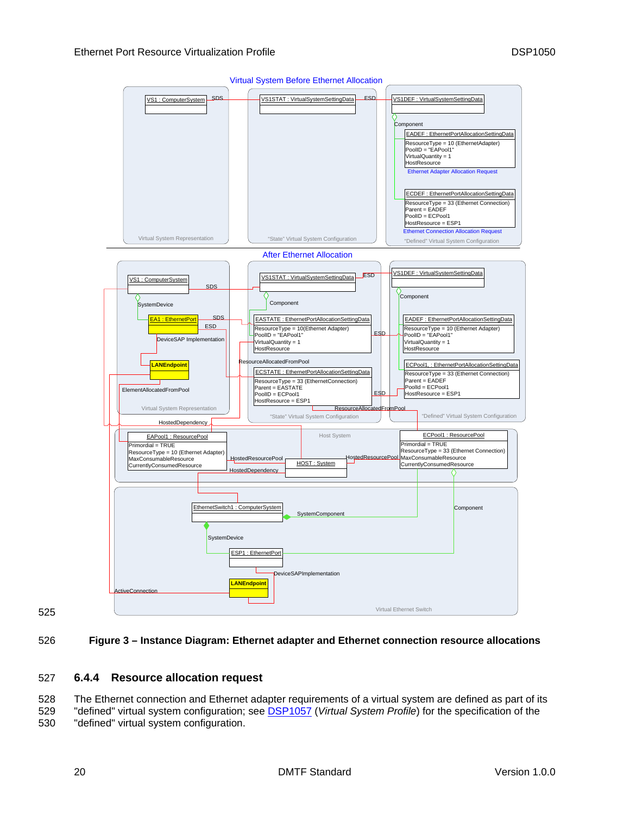<span id="page-19-0"></span>

525

#### <span id="page-19-1"></span>526 **Figure 3 – Instance Diagram: Ethernet adapter and Ethernet connection resource allocations**

#### <span id="page-19-2"></span>527 **6.4.4 Resource allocation request**

528 The Ethernet connection and Ethernet adapter requirements of a virtual system are defined as part of its 529 "defined" virtual system configuration; see [DSP1057](#page-8-2) (*Virtual System Profile*) for the specification of the 530 "defined" virtual system configuration.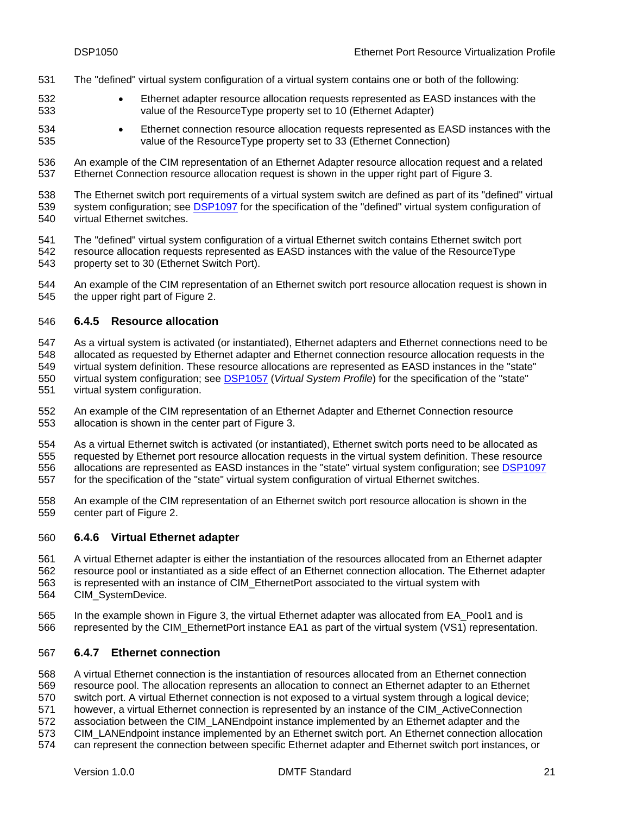- 531 The "defined" virtual system configuration of a virtual system contains one or both of the following:
- 532 Ethernet adapter resource allocation requests represented as EASD instances with the 533 value of the ResourceType property set to 10 (Ethernet Adapter)
- 534 Ethernet connection resource allocation requests represented as EASD instances with the 535 value of the ResourceType property set to 33 (Ethernet Connection)
- 536 An example of the CIM representation of an Ethernet Adapter resource allocation request and a related 537 Ethernet Connection resource allocation request is shown in the upper right part of [Figure 3](#page-19-1).
- 538 The Ethernet switch port requirements of a virtual system switch are defined as part of its "defined" virtual 539 system configuration; see [DSP1097](#page-8-2) for the specification of the "defined" virtual system configuration of 540 virtual Ethernet switches.
- 541 The "defined" virtual system configuration of a virtual Ethernet switch contains Ethernet switch port 542 resource allocation requests represented as EASD instances with the value of the ResourceType 543 property set to 30 (Ethernet Switch Port).
- 544 An example of the CIM representation of an Ethernet switch port resource allocation request is shown in 545 the upper right part of [Figure 2](#page-17-1).

#### <span id="page-20-0"></span>546 **6.4.5 Resource allocation**

- 547 As a virtual system is activated (or instantiated), Ethernet adapters and Ethernet connections need to be 548 allocated as requested by Ethernet adapter and Ethernet connection resource allocation requests in the 549 virtual system definition. These resource allocations are represented as EASD instances in the "state" 550 virtual system configuration; see [DSP1057](#page-8-2) (*Virtual System Profile*) for the specification of the "state" 551 virtual system configuration.
- 552 An example of the CIM representation of an Ethernet Adapter and Ethernet Connection resource 553 allocation is shown in the center part of [Figure 3](#page-19-1).
- 554 As a virtual Ethernet switch is activated (or instantiated), Ethernet switch ports need to be allocated as 555 requested by Ethernet port resource allocation requests in the virtual system definition. These resource 556 allocations are represented as EASD instances in the "state" virtual system configuration; see [DSP1097](#page-8-2) 557 for the specification of the "state" virtual system configuration of virtual Ethernet switches.
- 558 An example of the CIM representation of an Ethernet switch port resource allocation is shown in the 559 center part of [Figure 2](#page-17-1).

#### 560 **6.4.6 Virtual Ethernet adapter**

- 561 A virtual Ethernet adapter is either the instantiation of the resources allocated from an Ethernet adapter
- 562 resource pool or instantiated as a side effect of an Ethernet connection allocation. The Ethernet adapter
- 563 is represented with an instance of CIM\_EthernetPort associated to the virtual system with
- 564 CIM\_SystemDevice.
- 565 In the example shown in [Figure 3](#page-19-1), the virtual Ethernet adapter was allocated from EA\_Pool1 and is 566 represented by the CIM\_EthernetPort instance EA1 as part of the virtual system (VS1) representation.

## 567 **6.4.7 Ethernet connection**

- 568 A virtual Ethernet connection is the instantiation of resources allocated from an Ethernet connection
- 569 resource pool. The allocation represents an allocation to connect an Ethernet adapter to an Ethernet
- 570 switch port. A virtual Ethernet connection is not exposed to a virtual system through a logical device;
- 571 however, a virtual Ethernet connection is represented by an instance of the CIM\_ActiveConnection
- 572 association between the CIM\_LANEndpoint instance implemented by an Ethernet adapter and the 573 CIM\_LANEndpoint instance implemented by an Ethernet switch port. An Ethernet connection allocation
- 574 can represent the connection between specific Ethernet adapter and Ethernet switch port instances, or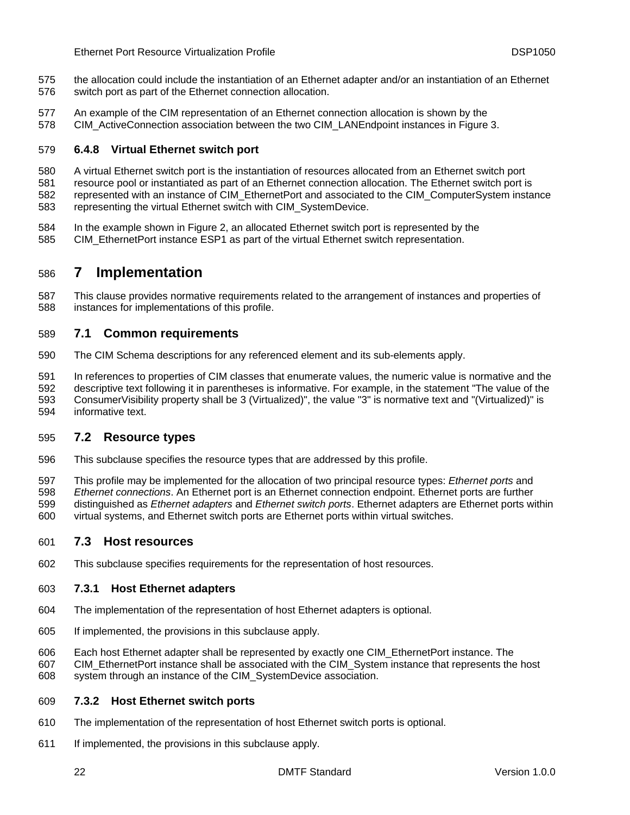- 575 the allocation could include the instantiation of an Ethernet adapter and/or an instantiation of an Ethernet
- 576 switch port as part of the Ethernet connection allocation.
- 577 An example of the CIM representation of an Ethernet connection allocation is shown by the
- 578 CIM ActiveConnection association between the two CIM LANEndpoint instances in [Figure 3.](#page-19-1)

## 579 **6.4.8 Virtual Ethernet switch port**

- 580 A virtual Ethernet switch port is the instantiation of resources allocated from an Ethernet switch port
- 581 resource pool or instantiated as part of an Ethernet connection allocation. The Ethernet switch port is 582 represented with an instance of CIM\_EthernetPort and associated to the CIM\_ComputerSystem instance 583 representing the virtual Ethernet switch with CIM\_SystemDevice.
- 584 In the example shown in [Figure 2](#page-17-1), an allocated Ethernet switch port is represented by the
- 585 CIM\_EthernetPort instance ESP1 as part of the virtual Ethernet switch representation.

## <span id="page-21-0"></span>586 **7 Implementation**

587 This clause provides normative requirements related to the arrangement of instances and properties of 588 instances for implementations of this profile.

## <span id="page-21-1"></span>589 **7.1 Common requirements**

- 590 The CIM Schema descriptions for any referenced element and its sub-elements apply.
- 591 In references to properties of CIM classes that enumerate values, the numeric value is normative and the 592 descriptive text following it in parentheses is informative. For example, in the statement "The value of the 593 ConsumerVisibility property shall be 3 (Virtualized)", the value "3" is normative text and "(Virtualized)" is 594 informative text.

## <span id="page-21-2"></span>595 **7.2 Resource types**

- 596 This subclause specifies the resource types that are addressed by this profile.
- 597 This profile may be implemented for the allocation of two principal resource types: *Ethernet ports* and
- 598 *Ethernet connections*. An Ethernet port is an Ethernet connection endpoint. Ethernet ports are further 599 distinguished as *Ethernet adapters* and *Ethernet switch ports*. Ethernet adapters are Ethernet ports within
- 600 virtual systems, and Ethernet switch ports are Ethernet ports within virtual switches.

## <span id="page-21-3"></span>601 **7.3 Host resources**

602 This subclause specifies requirements for the representation of host resources.

## 603 **7.3.1 Host Ethernet adapters**

- 604 The implementation of the representation of host Ethernet adapters is optional.
- 605 If implemented, the provisions in this subclause apply.
- 606 Each host Ethernet adapter shall be represented by exactly one CIM\_EthernetPort instance. The
- 607 CIM\_EthernetPort instance shall be associated with the CIM\_System instance that represents the host 608 system through an instance of the CIM\_SystemDevice association.

## 609 **7.3.2 Host Ethernet switch ports**

- 610 The implementation of the representation of host Ethernet switch ports is optional.
- 611 If implemented, the provisions in this subclause apply.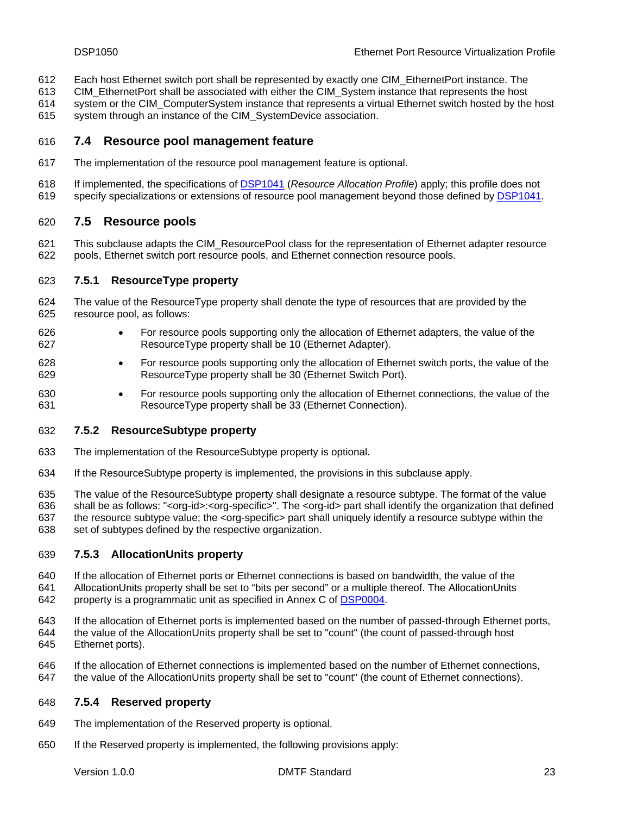- 612 Each host Ethernet switch port shall be represented by exactly one CIM\_EthernetPort instance. The
- 613 CIM EthernetPort shall be associated with either the CIM System instance that represents the host
- 614 system or the CIM\_ComputerSystem instance that represents a virtual Ethernet switch hosted by the host
- 615 system through an instance of the CIM\_SystemDevice association.

## <span id="page-22-0"></span>616 **7.4 Resource pool management feature**

- 617 The implementation of the resource pool management feature is optional.
- 618 If implemented, the specifications of [DSP1041](#page-8-2) (*Resource Allocation Profile*) apply; this profile does not
- 619 specify specializations or extensions of resource pool management beyond those defined by [DSP1041](#page-8-2).

## <span id="page-22-1"></span>620 **7.5 Resource pools**

621 This subclause adapts the CIM\_ResourcePool class for the representation of Ethernet adapter resource 622 pools, Ethernet switch port resource pools, and Ethernet connection resource pools.

### 623 **7.5.1 ResourceType property**

- 624 The value of the ResourceType property shall denote the type of resources that are provided by the 625 resource pool, as follows:
- 626 For resource pools supporting only the allocation of Ethernet adapters, the value of the 627 ResourceType property shall be 10 (Ethernet Adapter).
- 628 For resource pools supporting only the allocation of Ethernet switch ports, the value of the 629 ResourceType property shall be 30 (Ethernet Switch Port).
- 630 For resource pools supporting only the allocation of Ethernet connections, the value of the 631 ResourceType property shall be 33 (Ethernet Connection).

### <span id="page-22-4"></span>632 **7.5.2 ResourceSubtype property**

- 633 The implementation of the ResourceSubtype property is optional.
- 634 If the ResourceSubtype property is implemented, the provisions in this subclause apply.

635 The value of the ResourceSubtype property shall designate a resource subtype. The format of the value 636 shall be as follows: "<org-id>:<org-specific>". The <org-id> part shall identify the organization that defined 637 the resource subtype value; the <org-specific> part shall uniquely identify a resource subtype within the 638 set of subtypes defined by the respective organization.

### <span id="page-22-2"></span>639 **7.5.3 AllocationUnits property**

- 640 If the allocation of Ethernet ports or Ethernet connections is based on bandwidth, the value of the 641 AllocationUnits property shall be set to "bits per second" or a multiple thereof. The AllocationUnits
- 642 property is a programmatic unit as specified in Annex C of [DSP0004.](#page-8-2)
- 643 If the allocation of Ethernet ports is implemented based on the number of passed-through Ethernet ports, 644 the value of the AllocationUnits property shall be set to "count" (the count of passed-through host 645 Ethernet ports).
- 646 If the allocation of Ethernet connections is implemented based on the number of Ethernet connections, 647 the value of the AllocationUnits property shall be set to "count" (the count of Ethernet connections).

### <span id="page-22-3"></span>648 **7.5.4 Reserved property**

- 649 The implementation of the Reserved property is optional.
- 650 If the Reserved property is implemented, the following provisions apply: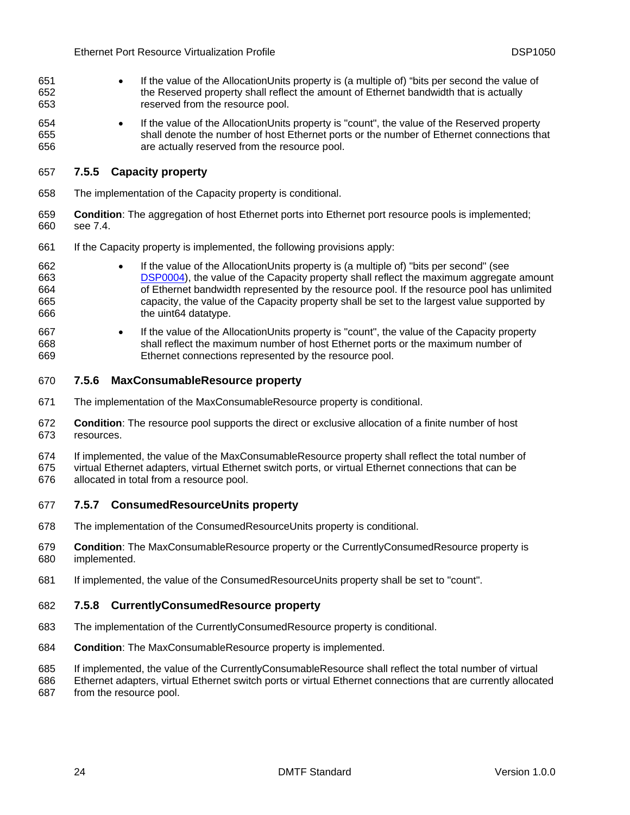- 651 If the value of the AllocationUnits property is (a multiple of) "bits per second the value of 652 the Reserved property shall reflect the amount of Ethernet bandwidth that is actually 653 reserved from the resource pool.
- 654 If the value of the AllocationUnits property is "count", the value of the Reserved property 655 shall denote the number of host Ethernet ports or the number of Ethernet connections that 656 are actually reserved from the resource pool.

#### <span id="page-23-0"></span>657 **7.5.5 Capacity property**

- 658 The implementation of the Capacity property is conditional.
- 659 **Condition**: The aggregation of host Ethernet ports into Ethernet port resource pools is implemented; 660 see [7.4.](#page-22-0)
- 661 If the Capacity property is implemented, the following provisions apply:
- 662 If the value of the AllocationUnits property is (a multiple of) "bits per second" (see 663 [DSP0004\)](#page-8-2), the value of the Capacity property shall reflect the maximum aggregate amount 664 of Ethernet bandwidth represented by the resource pool. If the resource pool has unlimited 665 capacity, the value of the Capacity property shall be set to the largest value supported by 666 the uint64 datatype.
- 667 If the value of the AllocationUnits property is "count", the value of the Capacity property 668 shall reflect the maximum number of host Ethernet ports or the maximum number of 669 Ethernet connections represented by the resource pool.
- <span id="page-23-1"></span>670 **7.5.6 MaxConsumableResource property**
- 671 The implementation of the MaxConsumableResource property is conditional.
- 672 **Condition**: The resource pool supports the direct or exclusive allocation of a finite number of host 673 resources.
- 674 If implemented, the value of the MaxConsumableResource property shall reflect the total number of
- 675 virtual Ethernet adapters, virtual Ethernet switch ports, or virtual Ethernet connections that can be 676 allocated in total from a resource pool.

#### <span id="page-23-3"></span>677 **7.5.7 ConsumedResourceUnits property**

- 678 The implementation of the ConsumedResourceUnits property is conditional.
- 679 **Condition**: The MaxConsumableResource property or the CurrentlyConsumedResource property is 680 implemented.
- 681 If implemented, the value of the ConsumedResourceUnits property shall be set to "count".

#### <span id="page-23-2"></span>682 **7.5.8 CurrentlyConsumedResource property**

- 683 The implementation of the CurrentlyConsumedResource property is conditional.
- 684 **Condition**: The MaxConsumableResource property is implemented.
- 685 If implemented, the value of the CurrentlyConsumableResource shall reflect the total number of virtual
- 686 Ethernet adapters, virtual Ethernet switch ports or virtual Ethernet connections that are currently allocated

687 from the resource pool.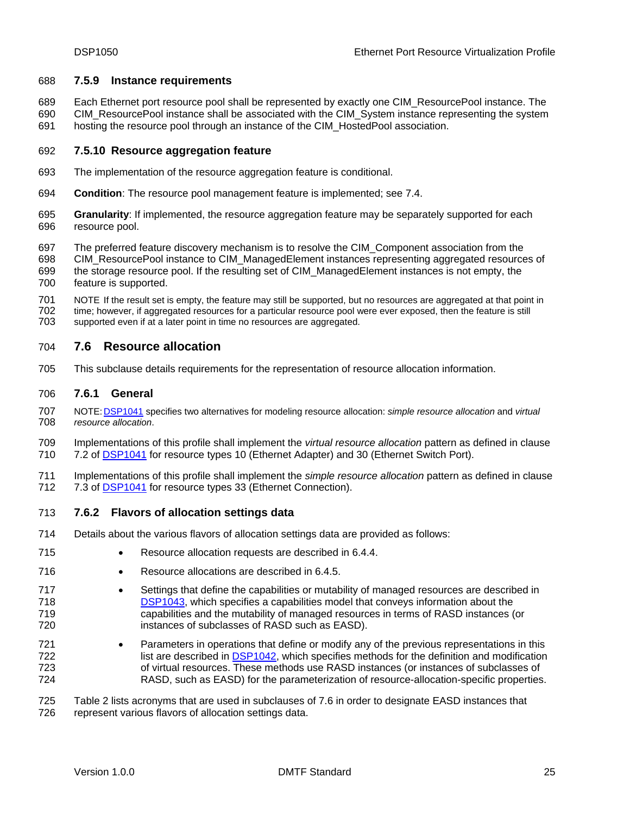#### 688 **7.5.9 Instance requirements**

689 Each Ethernet port resource pool shall be represented by exactly one CIM\_ResourcePool instance. The

- 690 CIM\_ResourcePool instance shall be associated with the CIM\_System instance representing the system
- 691 hosting the resource pool through an instance of the CIM\_HostedPool association.

#### <span id="page-24-1"></span>692 **7.5.10 Resource aggregation feature**

- 693 The implementation of the resource aggregation feature is conditional.
- 694 **Condition**: The resource pool management feature is implemented; see [7.4](#page-22-0).
- 695 **Granularity**: If implemented, the resource aggregation feature may be separately supported for each 696 resource pool.
- 697 The preferred feature discovery mechanism is to resolve the CIM\_Component association from the
- 698 CIM\_ResourcePool instance to CIM\_ManagedElement instances representing aggregated resources of 699 the storage resource pool. If the resulting set of CIM\_ManagedElement instances is not empty, the
- 700 feature is supported.
- 701 NOTE If the result set is empty, the feature may still be supported, but no resources are aggregated at that point in<br>702 time: however, if aggregated resources for a particular resource pool were ever exposed, then th 702 time; however, if aggregated resources for a particular resource pool were ever exposed, then the feature is still 703 supported even if at a later point in time no resources are aggregated.
- supported even if at a later point in time no resources are aggregated.

### <span id="page-24-0"></span>704 **7.6 Resource allocation**

705 This subclause details requirements for the representation of resource allocation information.

#### 706 **7.6.1 General**

- 707 NOTE: [DSP1041](#page-8-2) specifies two alternatives for modeling resource allocation: *simple resource allocation* and *virtual*  708 *resource allocation*.
- 709 Implementations of this profile shall implement the *virtual resource allocation* pattern as defined in clause 710 7.2 of [DSP1041](#page-8-2) for resource types 10 (Ethernet Adapter) and 30 (Ethernet Switch Port).
- 711 Implementations of this profile shall implement the *simple resource allocation* pattern as defined in clause 712 7.3 of **DSP1041** for resource types 33 (Ethernet Connection).
- 713 **7.6.2 Flavors of allocation settings data**
- 714 Details about the various flavors of allocation settings data are provided as follows:
- 715 Resource allocation requests are described in [6.4.4.](#page-19-2)
- 716 Resource allocations are described in [6.4.5.](#page-20-0)
- 717 Settings that define the capabilities or mutability of managed resources are described in 718 [DSP1043,](#page-0-0) which specifies a capabilities model that conveys information about the 719 capabilities and the mutability of managed resources in terms of RASD instances (or 720 instances of subclasses of RASD such as EASD).
- 721 Parameters in operations that define or modify any of the previous representations in this 722 list are described in [DSP1042,](#page-8-2) which specifies methods for the definition and modification 723 of virtual resources. These methods use RASD instances (or instances of subclasses of 724 RASD, such as EASD) for the parameterization of resource-allocation-specific properties.

725 [Table 2](#page-25-0) lists acronyms that are used in subclauses of [7.6](#page-24-0) in order to designate EASD instances that 726 represent various flavors of allocation settings data.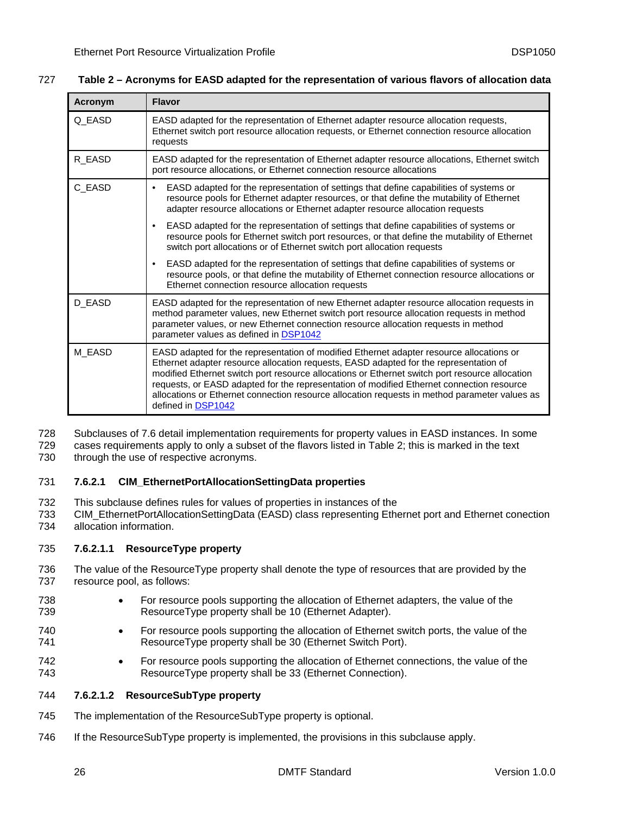| Acronym | <b>Flavor</b>                                                                                                                                                                                                                                                                                                                                                                                                                                                                                           |  |  |  |
|---------|---------------------------------------------------------------------------------------------------------------------------------------------------------------------------------------------------------------------------------------------------------------------------------------------------------------------------------------------------------------------------------------------------------------------------------------------------------------------------------------------------------|--|--|--|
| Q_EASD  | EASD adapted for the representation of Ethernet adapter resource allocation requests,<br>Ethernet switch port resource allocation requests, or Ethernet connection resource allocation<br>requests                                                                                                                                                                                                                                                                                                      |  |  |  |
| R_EASD  | EASD adapted for the representation of Ethernet adapter resource allocations, Ethernet switch<br>port resource allocations, or Ethernet connection resource allocations                                                                                                                                                                                                                                                                                                                                 |  |  |  |
| C_EASD  | EASD adapted for the representation of settings that define capabilities of systems or<br>$\bullet$<br>resource pools for Ethernet adapter resources, or that define the mutability of Ethernet<br>adapter resource allocations or Ethernet adapter resource allocation requests                                                                                                                                                                                                                        |  |  |  |
|         | EASD adapted for the representation of settings that define capabilities of systems or<br>$\bullet$<br>resource pools for Ethernet switch port resources, or that define the mutability of Ethernet<br>switch port allocations or of Ethernet switch port allocation requests                                                                                                                                                                                                                           |  |  |  |
|         | EASD adapted for the representation of settings that define capabilities of systems or<br>$\bullet$<br>resource pools, or that define the mutability of Ethernet connection resource allocations or<br>Ethernet connection resource allocation requests                                                                                                                                                                                                                                                 |  |  |  |
| D_EASD  | EASD adapted for the representation of new Ethernet adapter resource allocation requests in<br>method parameter values, new Ethernet switch port resource allocation requests in method<br>parameter values, or new Ethernet connection resource allocation requests in method<br>parameter values as defined in DSP1042                                                                                                                                                                                |  |  |  |
| M_EASD  | EASD adapted for the representation of modified Ethernet adapter resource allocations or<br>Ethernet adapter resource allocation requests, EASD adapted for the representation of<br>modified Ethernet switch port resource allocations or Ethernet switch port resource allocation<br>requests, or EASD adapted for the representation of modified Ethernet connection resource<br>allocations or Ethernet connection resource allocation requests in method parameter values as<br>defined in DSP1042 |  |  |  |

#### <span id="page-25-0"></span>727 **Table 2 – Acronyms for EASD adapted for the representation of various flavors of allocation data**

728 Subclauses of [7.6](#page-24-0) detail implementation requirements for property values in EASD instances. In some 729 cases requirements apply to only a subset of the flavors listed in [Table 2;](#page-25-0) this is marked in the text

730 through the use of respective acronyms.

### 731 **7.6.2.1 CIM\_EthernetPortAllocationSettingData properties**

- 732 This subclause defines rules for values of properties in instances of the
- 733 CIM\_EthernetPortAllocationSettingData (EASD) class representing Ethernet port and Ethernet conection 734 allocation information.

#### <span id="page-25-1"></span>735 **7.6.2.1.1 ResourceType property**

- 736 The value of the ResourceType property shall denote the type of resources that are provided by the 737 resource pool, as follows:
- 738 For resource pools supporting the allocation of Ethernet adapters, the value of the 739 ResourceType property shall be 10 (Ethernet Adapter).
- 740 For resource pools supporting the allocation of Ethernet switch ports, the value of the 741 ResourceType property shall be 30 (Ethernet Switch Port).
- 742 For resource pools supporting the allocation of Ethernet connections, the value of the 743 ResourceType property shall be 33 (Ethernet Connection).

#### <span id="page-25-2"></span>744 **7.6.2.1.2 ResourceSubType property**

- 745 The implementation of the ResourceSubType property is optional.
- 746 If the ResourceSubType property is implemented, the provisions in this subclause apply.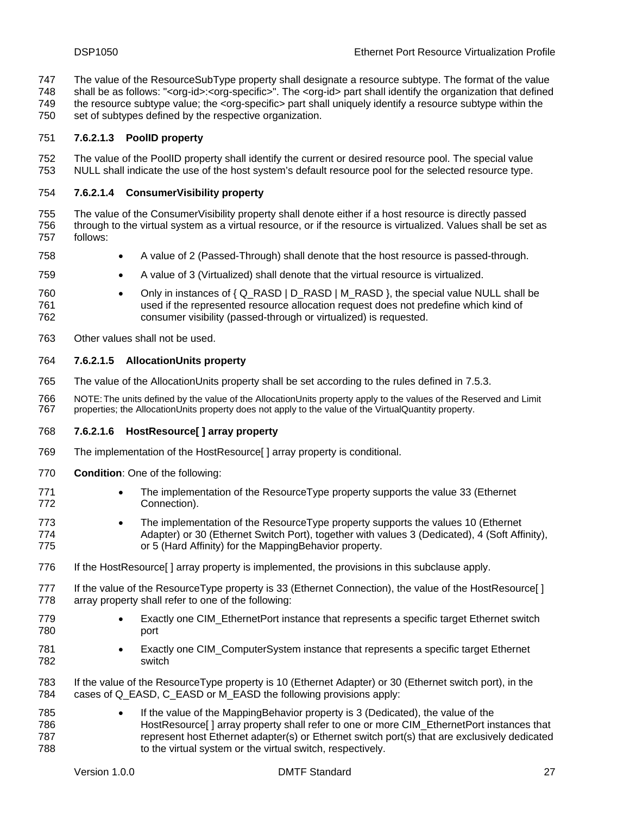- 747 The value of the ResourceSubType property shall designate a resource subtype. The format of the value
- 748 shall be as follows: "<org-id>:<org-specific>". The <org-id> part shall identify the organization that defined 749 the resource subtype value; the <org-specific> part shall uniquely identify a resource subtype within the
- 750 set of subtypes defined by the respective organization.

#### <span id="page-26-0"></span>751 **7.6.2.1.3 PoolID property**

752 The value of the PoolID property shall identify the current or desired resource pool. The special value 753 NULL shall indicate the use of the host system's default resource pool for the selected resource type.

#### <span id="page-26-1"></span>754 **7.6.2.1.4 ConsumerVisibility property**

- 755 The value of the ConsumerVisibility property shall denote either if a host resource is directly passed 756 through to the virtual system as a virtual resource, or if the resource is virtualized. Values shall be set as 757 follows:
- 758 A value of 2 (Passed-Through) shall denote that the host resource is passed-through.
- 759 A value of 3 (Virtualized) shall denote that the virtual resource is virtualized.
- 760 Only in instances of { Q\_RASD | D\_RASD | M\_RASD }, the special value NULL shall be 761 used if the represented resource allocation request does not predefine which kind of 762 consumer visibility (passed-through or virtualized) is requested.
- 763 Other values shall not be used.

#### <span id="page-26-3"></span>764 **7.6.2.1.5 AllocationUnits property**

- 765 The value of the AllocationUnits property shall be set according to the rules defined in [7.5.3](#page-22-2).
- 766 NOTE: The units defined by the value of the AllocationUnits property apply to the values of the Reserved and Limit 767 properties; the AllocationUnits property does not apply to the value of the VirtualQuantity property.

#### <span id="page-26-2"></span>768 **7.6.2.1.6 HostResource[ ] array property**

- 769 The implementation of the HostResource[ ] array property is conditional.
- 770 **Condition**: One of the following:
- 771 The implementation of the ResourceType property supports the value 33 (Ethernet 772 Connection).
- 773 The implementation of the ResourceType property supports the values 10 (Ethernet 774 **Adapter) or 30 (Ethernet Switch Port), together with values 3 (Dedicated), 4 (Soft Affinity),** 775 or 5 (Hard Affinity) for the MappingBehavior property.
- 776 If the HostResource[ ] array property is implemented, the provisions in this subclause apply.
- 777 If the value of the ResourceType property is 33 (Ethernet Connection), the value of the HostResource[] 778 array property shall refer to one of the following:
- 779 Exactly one CIM\_EthernetPort instance that represents a specific target Ethernet switch 780 port
- 781 Exactly one CIM\_ComputerSystem instance that represents a specific target Ethernet 782 switch
- 783 If the value of the ResourceType property is 10 (Ethernet Adapter) or 30 (Ethernet switch port), in the 784 cases of Q\_EASD, C\_EASD or M\_EASD the following provisions apply:
- 785 If the value of the MappingBehavior property is 3 (Dedicated), the value of the 786 **HostResource**[] array property shall refer to one or more CIM EthernetPort instances that 787 represent host Ethernet adapter(s) or Ethernet switch port(s) that are exclusively dedicated 788 to the virtual system or the virtual switch, respectively.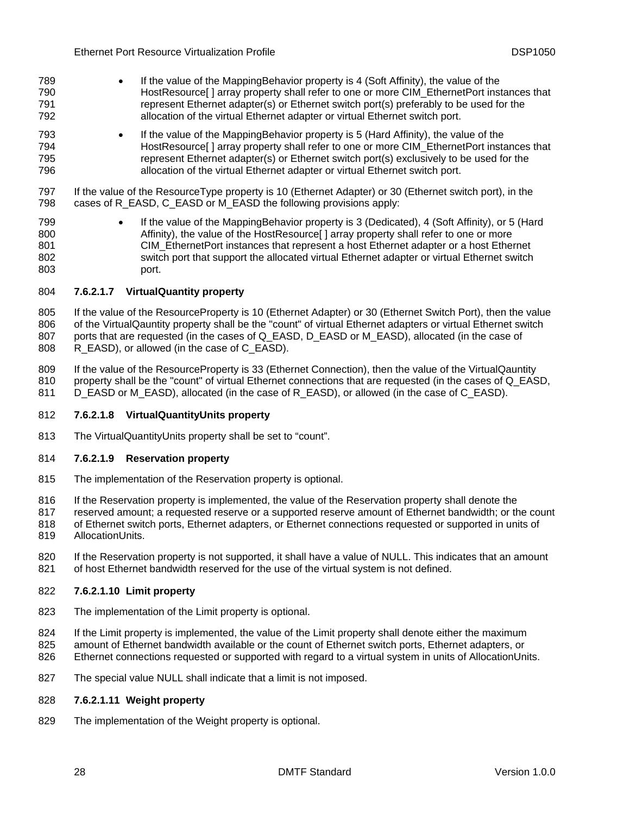- 789 If the value of the MappingBehavior property is 4 (Soft Affinity), the value of the 790 HostResource[ ] array property shall refer to one or more CIM\_EthernetPort instances that 791 represent Ethernet adapter(s) or Ethernet switch port(s) preferably to be used for the 792 allocation of the virtual Ethernet adapter or virtual Ethernet switch port.
- 793 If the value of the MappingBehavior property is 5 (Hard Affinity), the value of the 794 **HostResource**[] array property shall refer to one or more CIM\_EthernetPort instances that 795 represent Ethernet adapter(s) or Ethernet switch port(s) exclusively to be used for the 796 allocation of the virtual Ethernet adapter or virtual Ethernet switch port.
- 797 If the value of the ResourceType property is 10 (Ethernet Adapter) or 30 (Ethernet switch port), in the 798 cases of R\_EASD, C\_EASD or M\_EASD the following provisions apply:
- 799 If the value of the MappingBehavior property is 3 (Dedicated), 4 (Soft Affinity), or 5 (Hard 800 Affinity), the value of the HostResource[ ] array property shall refer to one or more 801 CIM\_EthernetPort instances that represent a host Ethernet adapter or a host Ethernet 802 switch port that support the allocated virtual Ethernet adapter or virtual Ethernet switch 803 port.

#### <span id="page-27-0"></span>804 **7.6.2.1.7 VirtualQuantity property**

805 If the value of the ResourceProperty is 10 (Ethernet Adapter) or 30 (Ethernet Switch Port), then the value 806 of the VirtualQauntity property shall be the "count" of virtual Ethernet adapters or virtual Ethernet switch 807 ports that are requested (in the cases of Q\_EASD, D\_EASD or M\_EASD), allocated (in the case of 808 R EASD), or allowed (in the case of C EASD).

809 If the value of the ResourceProperty is 33 (Ethernet Connection), then the value of the VirtualQauntity 810 property shall be the "count" of virtual Ethernet connections that are requested (in the cases of Q\_EASD,

811 D\_EASD or M\_EASD), allocated (in the case of R\_EASD), or allowed (in the case of C\_EASD).

#### <span id="page-27-2"></span>812 **7.6.2.1.8 VirtualQuantityUnits property**

813 The VirtualQuantityUnits property shall be set to "count".

#### <span id="page-27-1"></span>814 **7.6.2.1.9 Reservation property**

- 815 The implementation of the Reservation property is optional.
- 816 If the Reservation property is implemented, the value of the Reservation property shall denote the
- 817 reserved amount; a requested reserve or a supported reserve amount of Ethernet bandwidth; or the count
- 818 of Ethernet switch ports, Ethernet adapters, or Ethernet connections requested or supported in units of 819 AllocationUnits.
- 820 If the Reservation property is not supported, it shall have a value of NULL. This indicates that an amount 821 of host Ethernet bandwidth reserved for the use of the virtual system is not defined.

#### <span id="page-27-3"></span>822 **7.6.2.1.10 Limit property**

- 823 The implementation of the Limit property is optional.
- 824 If the Limit property is implemented, the value of the Limit property shall denote either the maximum
- 825 amount of Ethernet bandwidth available or the count of Ethernet switch ports, Ethernet adapters, or 826 Ethernet connections requested or supported with regard to a virtual system in units of AllocationUnits.
- 827 The special value NULL shall indicate that a limit is not imposed.

#### <span id="page-27-4"></span>828 **7.6.2.1.11 Weight property**

829 The implementation of the Weight property is optional.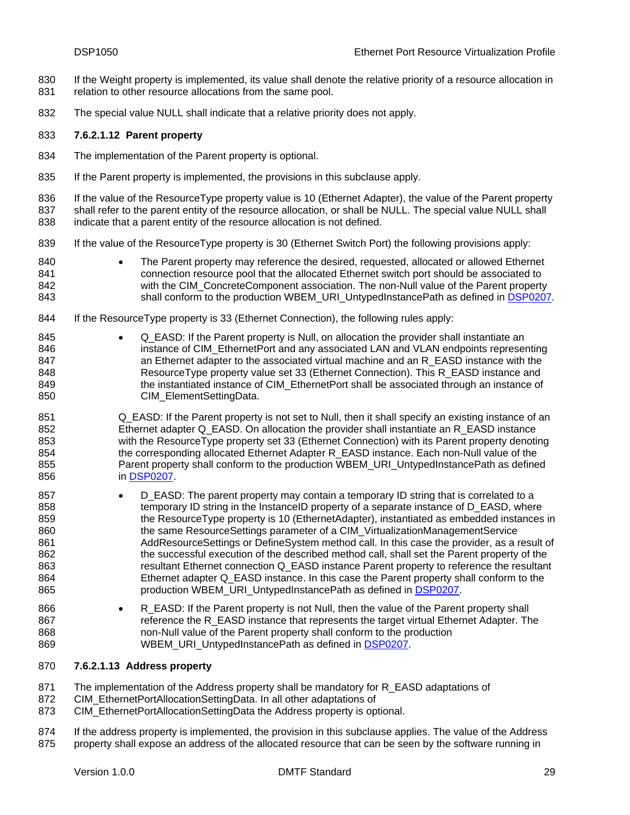- 830 If the Weight property is implemented, its value shall denote the relative priority of a resource allocation in 831 relation to other resource allocations from the same pool.
- 832 The special value NULL shall indicate that a relative priority does not apply.

#### <span id="page-28-0"></span>833 **7.6.2.1.12 Parent property**

- 834 The implementation of the Parent property is optional.
- 835 If the Parent property is implemented, the provisions in this subclause apply.

836 If the value of the ResourceType property value is 10 (Ethernet Adapter), the value of the Parent property 837 shall refer to the parent entity of the resource allocation, or shall be NULL. The special value NULL shall 838 indicate that a parent entity of the resource allocation is not defined.

- 839 If the value of the ResourceType property is 30 (Ethernet Switch Port) the following provisions apply:
- 840 The Parent property may reference the desired, requested, allocated or allowed Ethernet 841 connection resource pool that the allocated Ethernet switch port should be associated to 842 with the CIM\_ConcreteComponent association. The non-Null value of the Parent property 843 shall conform to the production WBEM\_URI\_UntypedInstancePath as defined in [DSP0207](#page-8-2).
- 844 If the ResourceType property is 33 (Ethernet Connection), the following rules apply:
- 845 Q EASD: If the Parent property is Null, on allocation the provider shall instantiate an 846 instance of CIM EthernetPort and any associated LAN and VLAN endpoints representing 847 **an Ethernet adapter to the associated virtual machine and an R\_EASD instance with the** 848 ResourceType property value set 33 (Ethernet Connection). This R\_EASD instance and 849 the instantiated instance of CIM\_EthernetPort shall be associated through an instance of 850 CIM ElementSettingData.
- 851 Q EASD: If the Parent property is not set to Null, then it shall specify an existing instance of an 852 Ethernet adapter Q\_EASD. On allocation the provider shall instantiate an R\_EASD instance 853 with the ResourceType property set 33 (Ethernet Connection) with its Parent property denoting 854 the corresponding allocated Ethernet Adapter R\_EASD instance. Each non-Null value of the 855 **Parent property shall conform to the production WBEM URI UntypedInstancePath as defined** 856 in [DSP0207.](#page-8-2)
- 857 D EASD: The parent property may contain a temporary ID string that is correlated to a 858 temporary ID string in the InstanceID property of a separate instance of D\_EASD, where 859 the ResourceType property is 10 (EthernetAdapter), instantiated as embedded instances in 860 **the same ResourceSettings parameter of a CIM\_VirtualizationManagementService** 861 AddResourceSettings or DefineSystem method call. In this case the provider, as a result of 862 the successful execution of the described method call, shall set the Parent property of the 863 resultant Ethernet connection Q\_EASD instance Parent property to reference the resultant 864 Ethernet adapter Q\_EASD instance. In this case the Parent property shall conform to the 865 production WBEM\_URI\_UntypedInstancePath as defined in [DSP0207](#page-8-2).
- 866 R EASD: If the Parent property is not Null, then the value of the Parent property shall 867 reference the R\_EASD instance that represents the target virtual Ethernet Adapter. The 868 non-Null value of the Parent property shall conform to the production 869 WBEM\_URI\_UntypedInstancePath as defined in [DSP0207](#page-8-2).
- <span id="page-28-1"></span>870 **7.6.2.1.13 Address property**
- 871 The implementation of the Address property shall be mandatory for R EASD adaptations of
- 872 CIM\_EthernetPortAllocationSettingData. In all other adaptations of
- 873 CIM EthernetPortAllocationSettingData the Address property is optional.
- 874 If the address property is implemented, the provision in this subclause applies. The value of the Address 875 property shall expose an address of the allocated resource that can be seen by the software running in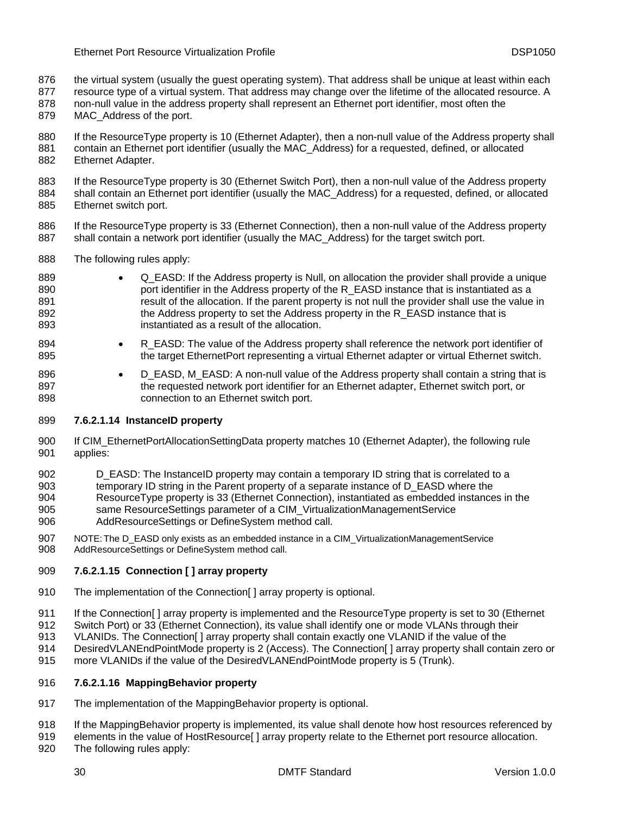- 876 the virtual system (usually the guest operating system). That address shall be unique at least within each
- 877 resource type of a virtual system. That address may change over the lifetime of the allocated resource. A
- 878 non-null value in the address property shall represent an Ethernet port identifier, most often the
- 879 MAC\_Address of the port.
- 880 If the ResourceType property is 10 (Ethernet Adapter), then a non-null value of the Address property shall 881 contain an Ethernet port identifier (usually the MAC\_Address) for a requested, defined, or allocated 882 Ethernet Adapter.
- 883 If the ResourceType property is 30 (Ethernet Switch Port), then a non-null value of the Address property 884 shall contain an Ethernet port identifier (usually the MAC Address) for a requested, defined, or allocated 885 Ethernet switch port.
- 886 If the ResourceType property is 33 (Ethernet Connection), then a non-null value of the Address property 887 shall contain a network port identifier (usually the MAC\_Address) for the target switch port.
- 888 The following rules apply:
- 889 Q\_EASD: If the Address property is Null, on allocation the provider shall provide a unique 890 bort identifier in the Address property of the R\_EASD instance that is instantiated as a 891 result of the allocation. If the parent property is not null the provider shall use the value in 892 the Address property to set the Address property in the R\_EASD instance that is 893 instantiated as a result of the allocation.
- 894 R EASD: The value of the Address property shall reference the network port identifier of 895 the target EthernetPort representing a virtual Ethernet adapter or virtual Ethernet switch.
- 896 D\_EASD, M\_EASD: A non-null value of the Address property shall contain a string that is 897 the requested network port identifier for an Ethernet adapter, Ethernet switch port, or 898 connection to an Ethernet switch port.

#### 899 **7.6.2.1.14 InstanceID property**

- 900 If CIM\_EthernetPortAllocationSettingData property matches 10 (Ethernet Adapter), the following rule 901 applies:
- 902 D EASD: The InstanceID property may contain a temporary ID string that is correlated to a
- 903 temporary ID string in the Parent property of a separate instance of D\_EASD where the
- 904 ResourceType property is 33 (Ethernet Connection), instantiated as embedded instances in the 905 same ResourceSettings parameter of a CIM\_VirtualizationManagementService
- 906 AddResourceSettings or DefineSystem method call.
- 907 NOTE: The D\_EASD only exists as an embedded instance in a CIM\_VirtualizationManagementService<br>908 AddResourceSettings or DefineSvstem method call. AddResourceSettings or DefineSystem method call.

#### <span id="page-29-1"></span>909 **7.6.2.1.15 Connection [ ] array property**

- 910 The implementation of the Connection[ ] array property is optional.
- 911 If the Connection [] array property is implemented and the ResourceType property is set to 30 (Ethernet
- 912 Switch Port) or 33 (Ethernet Connection), its value shall identify one or mode VLANs through their<br>913 VLANIDs. The Connection I array property shall contain exactly one VLANID if the value of the
- VLANIDs. The Connection [] array property shall contain exactly one VLANID if the value of the
- 914 DesiredVLANEndPointMode property is 2 (Access). The Connection [] array property shall contain zero or
- <span id="page-29-0"></span>915 more VLANIDs if the value of the DesiredVLANEndPointMode property is 5 (Trunk).

#### <span id="page-29-2"></span>916 **7.6.2.1.16 MappingBehavior property**

- 917 The implementation of the MappingBehavior property is optional.
- 918 If the MappingBehavior property is implemented, its value shall denote how host resources referenced by
- 919 elements in the value of HostResource[ ] array property relate to the Ethernet port resource allocation.
- 920 The following rules apply: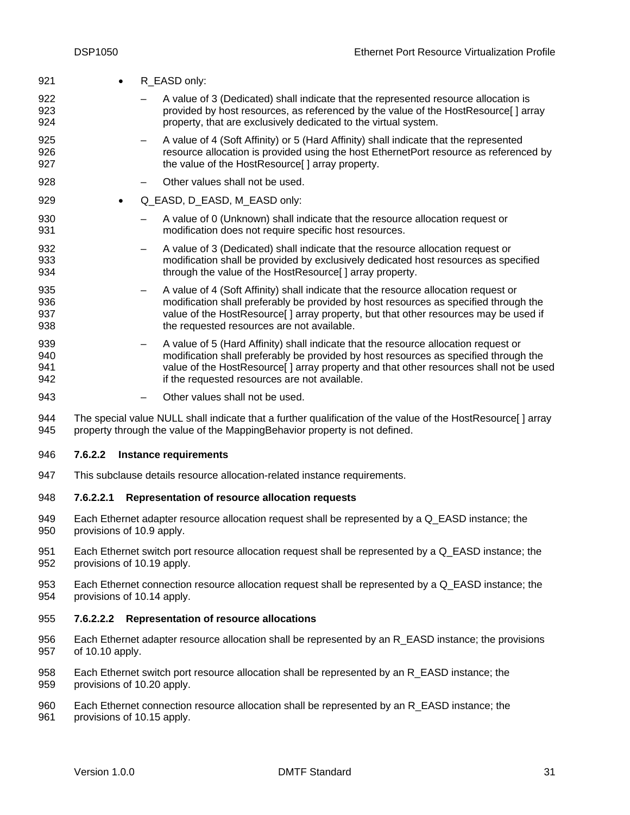- 921 R EASD only:
- 922 A value of 3 (Dedicated) shall indicate that the represented resource allocation is 923 provided by host resources, as referenced by the value of the HostResource[ ] array 924 property, that are exclusively dedicated to the virtual system.
- 925 A value of 4 (Soft Affinity) or 5 (Hard Affinity) shall indicate that the represented 926 resource allocation is provided using the host EthernetPort resource as referenced by 927 the value of the HostResource[] array property.
- 928 Other values shall not be used.
- 929 Q\_EASD, D\_EASD, M\_EASD only:
- 930 A value of 0 (Unknown) shall indicate that the resource allocation request or 931 modification does not require specific host resources.
- 932 A value of 3 (Dedicated) shall indicate that the resource allocation request or 933 modification shall be provided by exclusively dedicated host resources as specified 934 **through the value of the HostResource** [ ] array property.
- 935 A value of 4 (Soft Affinity) shall indicate that the resource allocation request or 936 modification shall preferably be provided by host resources as specified through the 937 value of the HostResource[ ] array property, but that other resources may be used if 938 the requested resources are not available.
- 939 A value of 5 (Hard Affinity) shall indicate that the resource allocation request or 940 modification shall preferably be provided by host resources as specified through the 941 value of the HostResource[ ] array property and that other resources shall not be used 942 if the requested resources are not available.
- 943 Other values shall not be used.

944 The special value NULL shall indicate that a further qualification of the value of the HostResource[ ] array 945 property through the value of the MappingBehavior property is not defined.

#### 946 **7.6.2.2 Instance requirements**

947 This subclause details resource allocation-related instance requirements.

#### 948 **7.6.2.2.1 Representation of resource allocation requests**

- 949 Each Ethernet adapter resource allocation request shall be represented by a Q\_EASD instance; the 950 provisions of [10.9](#page-53-1) apply.
- 951 Each Ethernet switch port resource allocation request shall be represented by a Q\_EASD instance; the 952 provisions of [10.19](#page-60-0) apply.
- 953 Each Ethernet connection resource allocation request shall be represented by a Q\_EASD instance; the 954 provisions of [10.14](#page-57-0) apply.

#### 955 **7.6.2.2.2 Representation of resource allocations**

- 956 Each Ethernet adapter resource allocation shall be represented by an R\_EASD instance; the provisions 957 of [10.10](#page-54-0) apply.
- 958 Each Ethernet switch port resource allocation shall be represented by an R\_EASD instance; the 959 provisions of [10.20](#page-61-0) apply.
- 960 Each Ethernet connection resource allocation shall be represented by an R\_EASD instance; the 961 provisions of [10.15](#page-57-1) apply.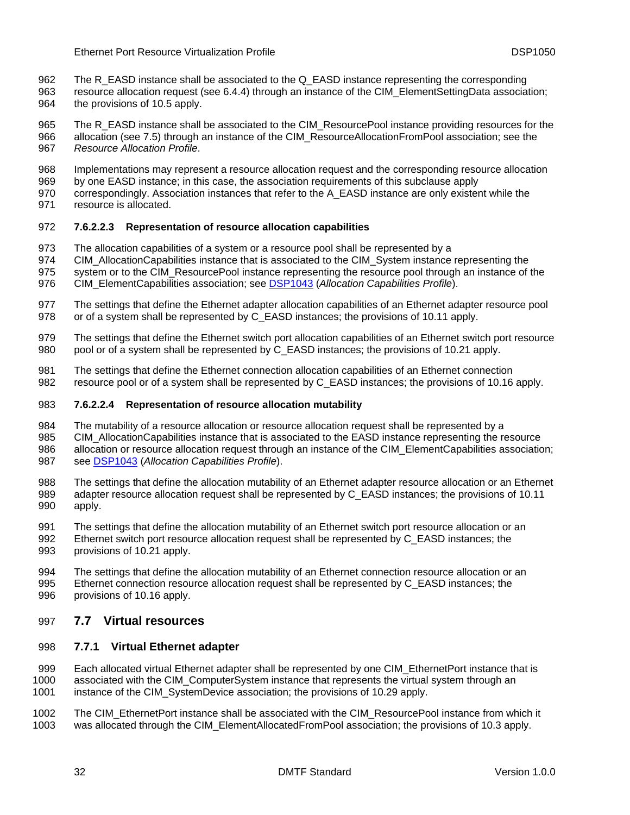- 962 The R\_EASD instance shall be associated to the Q\_EASD instance representing the corresponding
- 963 resource allocation request (see [6.4.4](#page-19-2)) through an instance of the CIM\_ElementSettingData association; 964 the provisions of [10.5](#page-51-1) apply.
- 965 The R\_EASD instance shall be associated to the CIM\_ResourcePool instance providing resources for the 966 allocation (see [7.5](#page-22-1)) through an instance of the CIM\_ResourceAllocationFromPool association; see the 967 *[Resource Allocation Profile](#page-8-3)*.
- 968 Implementations may represent a resource allocation request and the corresponding resource allocation
- 969 by one EASD instance; in this case, the association requirements of this subclause apply
- 970 correspondingly. Association instances that refer to the A\_EASD instance are only existent while the 971 resource is allocated.

#### 972 **7.6.2.2.3 Representation of resource allocation capabilities**

- 973 The allocation capabilities of a system or a resource pool shall be represented by a
- 974 CIM\_AllocationCapabilities instance that is associated to the CIM\_System instance representing the
- 975 system or to the CIM ResourcePool instance representing the resource pool through an instance of the
- 976 CIM\_ElementCapabilities association; see [DSP1043](#page-8-2) (*Allocation Capabilities Profile*).
- 977 The settings that define the Ethernet adapter allocation capabilities of an Ethernet adapter resource pool 978 or of a system shall be represented by C\_EASD instances; the provisions of [10.11](#page-54-1) apply.
- 979 The settings that define the Ethernet switch port allocation capabilities of an Ethernet switch port resource 980 pool or of a system shall be represented by C\_EASD instances; the provisions of [10.21](#page-62-0) apply.
- 981 The settings that define the Ethernet connection allocation capabilities of an Ethernet connection 982 resource pool or of a system shall be represented by C\_EASD instances; the provisions of [10.16](#page-58-0) apply.

#### 983 **7.6.2.2.4 Representation of resource allocation mutability**

- 984 The mutability of a resource allocation or resource allocation request shall be represented by a
- 985 CIM AllocationCapabilities instance that is associated to the EASD instance representing the resource 986 allocation or resource allocation request through an instance of the CIM ElementCapabilities association; 987 see [DSP1043](#page-8-2) (*Allocation Capabilities Profile*).
- 988 The settings that define the allocation mutability of an Ethernet adapter resource allocation or an Ethernet 989 adapter resource allocation request shall be represented by C\_EASD instances; the provisions of 10.11 990 apply.
- 991 The settings that define the allocation mutability of an Ethernet switch port resource allocation or an
- 992 Ethernet switch port resource allocation request shall be represented by C\_EASD instances; the 993 provisions of [10.21](#page-62-0) apply.
- 994 The settings that define the allocation mutability of an Ethernet connection resource allocation or an 995 Ethernet connection resource allocation request shall be represented by C\_EASD instances; the 996 provisions of [10.16](#page-58-0) apply.

### <span id="page-31-0"></span>997 **7.7 Virtual resources**

#### <span id="page-31-1"></span>998 **7.7.1 Virtual Ethernet adapter**

999 Each allocated virtual Ethernet adapter shall be represented by one CIM EthernetPort instance that is 1000 associated with the CIM ComputerSystem instance that represents the virtual system through an 1001 instance of the CIM\_SystemDevice association; the provisions of [10.29](#page-66-1) apply.

1002 The CIM\_EthernetPort instance shall be associated with the CIM\_ResourcePool instance from which it 1003 was allocated through the CIM\_ElementAllocatedFromPool association; the provisions of [10.3](#page-50-1) apply.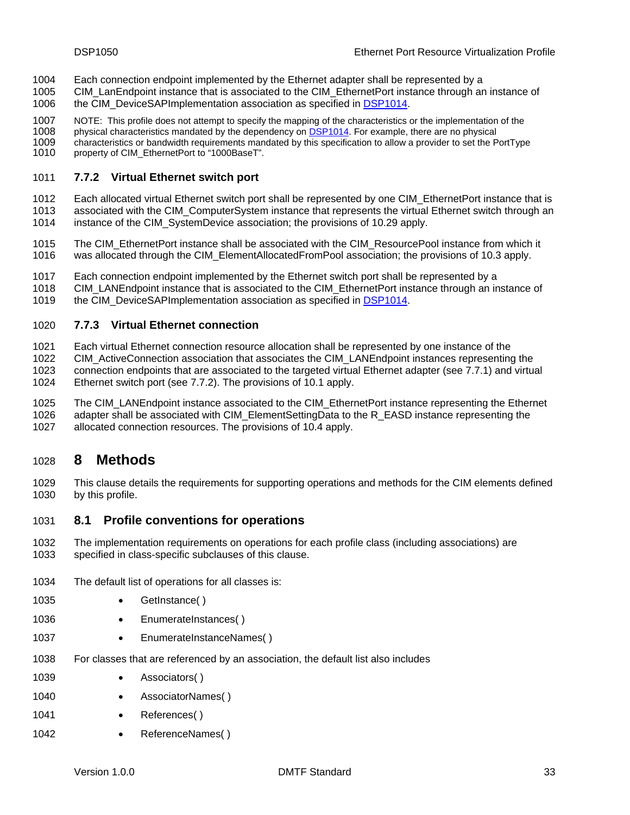- 1004 Each connection endpoint implemented by the Ethernet adapter shall be represented by a
- 1005 CIM\_LanEndpoint instance that is associated to the CIM\_EthernetPort instance through an instance of 1006 the CIM\_DeviceSAPImplementation association as specified in [DSP1014](#page-8-2).
- 1007 NOTE: This profile does not attempt to specify the mapping of the characteristics or the implementation of the<br>1008 physical characteristics mandated by the dependency on DSP1014. For example, there are no physical
- 1008 physical characteristics mandated by the dependency on **[DSP1014](#page-8-2)**. For example, there are no physical 1009 characteristics or bandwidth requirements mandated by this specification to allow a provider to set the P
- 1009 characteristics or bandwidth requirements mandated by this specification to allow a provider to set the PortType<br>1010 corporty of CIM EthernetPort to "1000BaseT". property of CIM\_EthernetPort to "1000BaseT".

#### <span id="page-32-2"></span>1011 **7.7.2 Virtual Ethernet switch port**

- 1012 Each allocated virtual Ethernet switch port shall be represented by one CIM\_EthernetPort instance that is
- 1013 associated with the CIM\_ComputerSystem instance that represents the virtual Ethernet switch through an
- 1014 instance of the CIM\_SystemDevice association; the provisions of [10.29](#page-66-1) apply.
- 1015 The CIM\_EthernetPort instance shall be associated with the CIM\_ResourcePool instance from which it 1016 was allocated through the CIM\_ElementAllocatedFromPool association; the provisions of [10.3](#page-50-1) apply.
- 1017 Each connection endpoint implemented by the Ethernet switch port shall be represented by a
- 1018 CIM\_LANEndpoint instance that is associated to the CIM\_EthernetPort instance through an instance of 1019 the CIM\_DeviceSAPImplementation association as specified in [DSP1014](#page-8-2).
- 

#### 1020 **7.7.3 Virtual Ethernet connection**

- 1021 Each virtual Ethernet connection resource allocation shall be represented by one instance of the
- 1022 CIM\_ActiveConnection association that associates the CIM\_LANEndpoint instances representing the 1023 connection endpoints that are associated to the targeted virtual Ethernet adapter (see [7.7.1](#page-31-1)) and virtual 1024 Ethernet switch port (see [7.7.2\)](#page-32-2). The provisions of [10.1](#page-49-0) apply.
- 1025 The CIM\_LANEndpoint instance associated to the CIM\_EthernetPort instance representing the Ethernet 1026 adapter shall be associated with CIM\_ElementSettingData to the R\_EASD instance representing the 1027 allocated connection resources. The provisions of [10.4](#page-51-0) apply.

## <span id="page-32-0"></span>1028 **8 Methods**

1029 This clause details the requirements for supporting operations and methods for the CIM elements defined 1030 by this profile.

### <span id="page-32-1"></span>1031 **8.1 Profile conventions for operations**

- 1032 The implementation requirements on operations for each profile class (including associations) are 1033 specified in class-specific subclauses of this clause.
- 1034 The default list of operations for all classes is:
- 1035 GetInstance()
- 1036 EnumerateInstances()
- 1037 EnumerateInstanceNames()
- 1038 For classes that are referenced by an association, the default list also includes
- 1039 Associators()
- 1040 AssociatorNames()
- 1041 References()
- 1042 ReferenceNames()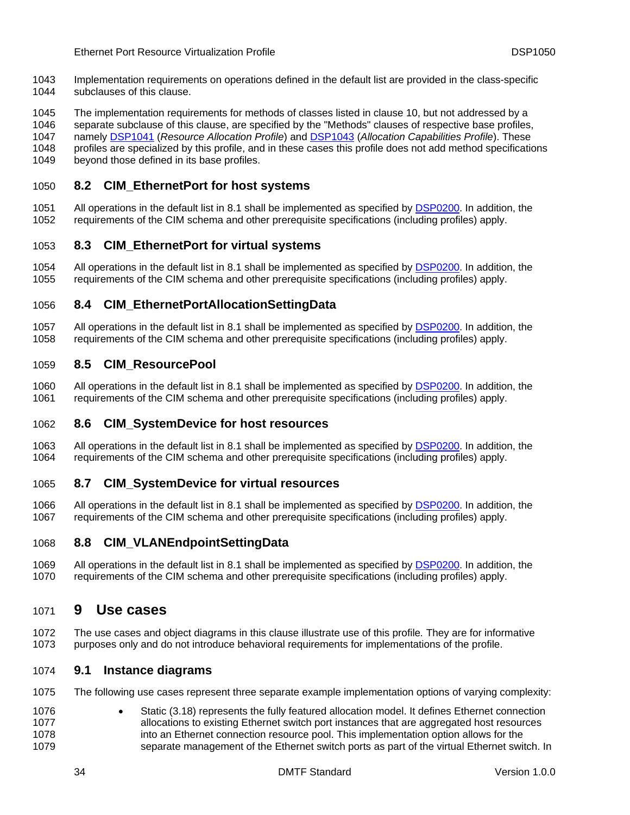- 1043 Implementation requirements on operations defined in the default list are provided in the class-specific 1044 subclauses of this clause.
- 1045 The implementation requirements for methods of classes listed in clause [10,](#page-48-0) but not addressed by a
- 1046 separate subclause of this clause, are specified by the "Methods" clauses of respective base profiles,
- 
- 1047 namely [DSP1041](#page-8-2) (*Resource Allocation Profile*) and [DSP1043](#page-8-2) (*Allocation Capabilities Profile*). These profiles are specialized by this profile, and in these cases this profile does not add method specifications 1049 beyond those defined in its base profiles.

## <span id="page-33-0"></span>1050 **8.2 CIM\_EthernetPort for host systems**

1051 All operations in the default list in [8.1](#page-32-1) shall be implemented as specified by [DSP0200.](#page-8-2) In addition, the 1052 requirements of the CIM schema and other prerequisite specifications (including profiles) apply.

## <span id="page-33-1"></span>1053 **8.3 CIM\_EthernetPort for virtual systems**

1054 All operations in the default list in [8.1](#page-32-1) shall be implemented as specified by [DSP0200.](#page-8-2) In addition, the 1055 requirements of the CIM schema and other prerequisite specifications (including profiles) apply.

## <span id="page-33-2"></span>1056 **8.4 CIM\_EthernetPortAllocationSettingData**

1057 All operations in the default list in [8.1](#page-32-1) shall be implemented as specified by **DSP0200**. In addition, the 1058 requirements of the CIM schema and other prerequisite specifications (including profiles) apply.

## <span id="page-33-3"></span>1059 **8.5 CIM\_ResourcePool**

1060 All operations in the default list in [8.1](#page-32-1) shall be implemented as specified by [DSP0200.](#page-8-2) In addition, the 1061 requirements of the CIM schema and other prerequisite specifications (including profiles) apply.

### <span id="page-33-4"></span>1062 **8.6 CIM\_SystemDevice for host resources**

1063 All operations in the default list in [8.1](#page-32-1) shall be implemented as specified by [DSP0200.](#page-8-2) In addition, the 1064 requirements of the CIM schema and other prerequisite specifications (including profiles) apply.

## <span id="page-33-5"></span>1065 **8.7 CIM\_SystemDevice for virtual resources**

1066 All operations in the default list in [8.1](#page-32-1) shall be implemented as specified by [DSP0200.](#page-8-2) In addition, the 1067 requirements of the CIM schema and other prerequisite specifications (including profiles) apply.

### <span id="page-33-6"></span>1068 **8.8 CIM\_VLANEndpointSettingData**

1069 All operations in the default list in [8.1](#page-32-1) shall be implemented as specified by [DSP0200.](#page-8-2) In addition, the 1070 requirements of the CIM schema and other prerequisite specifications (including profiles) apply.

## <span id="page-33-7"></span>1071 **9 Use cases**

1072 The use cases and object diagrams in this clause illustrate use of this profile*.* They are for informative 1073 purposes only and do not introduce behavioral requirements for implementations of the profile.

### <span id="page-33-8"></span>1074 **9.1 Instance diagrams**

- 1075 The following use cases represent three separate example implementation options of varying complexity:
- 1076 Static ([3.18](#page-10-0)) represents the fully featured allocation model. It defines Ethernet connection 1077 allocations to existing Ethernet switch port instances that are aggregated host resources 1078 into an Ethernet connection resource pool. This implementation option allows for the<br>1079 separate management of the Ethernet switch ports as part of the virtual Ethernet switch separate management of the Ethernet switch ports as part of the virtual Ethernet switch. In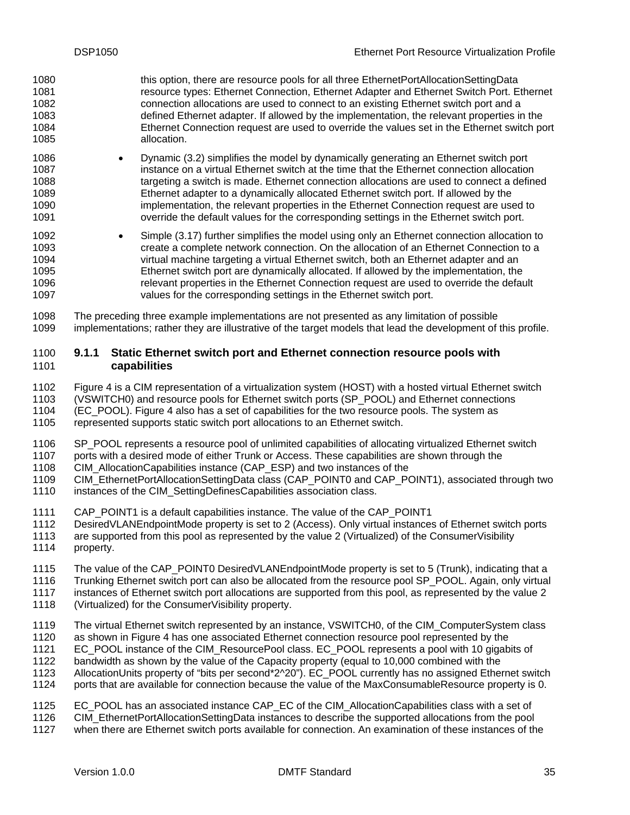- 1080 this option, there are resource pools for all three EthernetPortAllocationSettingData 1081 resource types: Ethernet Connection, Ethernet Adapter and Ethernet Switch Port. Ethernet 1082 connection allocations are used to connect to an existing Ethernet switch port and a 1083 defined Ethernet adapter. If allowed by the implementation, the relevant properties in the 1084 Ethernet Connection request are used to override the values set in the Ethernet switch port 1085 allocation.
- 1086 Dynamic ([3.2\)](#page-9-1) simplifies the model by dynamically generating an Ethernet switch port 1087 instance on a virtual Ethernet switch at the time that the Ethernet connection allocation<br>1088 fargeting a switch is made. Ethernet connection allocations are used to connect a define targeting a switch is made. Ethernet connection allocations are used to connect a defined 1089 Ethernet adapter to a dynamically allocated Ethernet switch port. If allowed by the 1090 implementation, the relevant properties in the Ethernet Connection request are used to 1091 override the default values for the corresponding settings in the Ethernet switch port.
- 1092 Simple [\(3.17\)](#page-10-1) further simplifies the model using only an Ethernet connection allocation to 1093 create a complete network connection. On the allocation of an Ethernet Connection to a 1094 virtual machine targeting a virtual Ethernet switch, both an Ethernet adapter and an 1095 Ethernet switch port are dynamically allocated. If allowed by the implementation, the 1096 relevant properties in the Ethernet Connection request are used to override the default 1097 values for the corresponding settings in the Ethernet switch port.
- 1098 The preceding three example implementations are not presented as any limitation of possible 1099 implementations; rather they are illustrative of the target models that lead the development of this profile.

#### 1100 **9.1.1 Static Ethernet switch port and Ethernet connection resource pools with**  1101 **capabilities**

- 1102 [Figure 4](#page-36-1) is a CIM representation of a virtualization system (HOST) with a hosted virtual Ethernet switch<br>1103 (VSWITCH0) and resource pools for Ethernet switch ports (SP POOL) and Ethernet connections
- (VSWITCH0) and resource pools for Ethernet switch ports (SP\_POOL) and Ethernet connections
- 1104 (EC\_POOL). [Figure 4](#page-36-1) also has a set of capabilities for the two resource pools. The system as
- 1105 represented supports static switch port allocations to an Ethernet switch.
- 1106 SP\_POOL represents a resource pool of unlimited capabilities of allocating virtualized Ethernet switch 107<br>1107 ports with a desired mode of either Trunk or Access. These capabilities are shown through the
- ports with a desired mode of either Trunk or Access. These capabilities are shown through the
- 1108 CIM\_AllocationCapabilities instance (CAP\_ESP) and two instances of the
- 1109 CIM\_EthernetPortAllocationSettingData class (CAP\_POINT0 and CAP\_POINT1), associated through two
- 1110 instances of the CIM\_SettingDefinesCapabilities association class.
- 1111 CAP\_POINT1 is a default capabilities instance. The value of the CAP\_POINT1
- 1112 DesiredVLANEndpointMode property is set to 2 (Access). Only virtual instances of Ethernet switch ports
- 1113 are supported from this pool as represented by the value 2 (Virtualized) of the ConsumerVisibility
- 1114 property.
- 1115 The value of the CAP\_POINT0 DesiredVLANEndpointMode property is set to 5 (Trunk), indicating that a 1116 Trunking Ethernet switch port can also be allocated from the resource pool SP\_POOL. Again, only virtual 1117 instances of Ethernet switch port allocations are supported from this pool, as represented by the value 2
- 1118 (Virtualized) for the ConsumerVisibility property.
- 1119 The virtual Ethernet switch represented by an instance, VSWITCH0, of the CIM\_ComputerSystem class
- 1120 as shown in [Figure 4](#page-36-1) has one associated Ethernet connection resource pool represented by the
- 1121 EC\_POOL instance of the CIM\_ResourcePool class. EC\_POOL represents a pool with 10 gigabits of
- 1122 bandwidth as shown by the value of the Capacity property (equal to 10,000 combined with the
- 1123 AllocationUnits property of "bits per second\*2^20"). EC\_POOL currently has no assigned Ethernet switch
- 1124 ports that are available for connection because the value of the MaxConsumableResource property is 0.
- 1125 EC\_POOL has an associated instance CAP\_EC of the CIM\_AllocationCapabilities class with a set of
- 1126 CIM\_EthernetPortAllocationSettingData instances to describe the supported allocations from the pool
- when there are Ethernet switch ports available for connection. An examination of these instances of the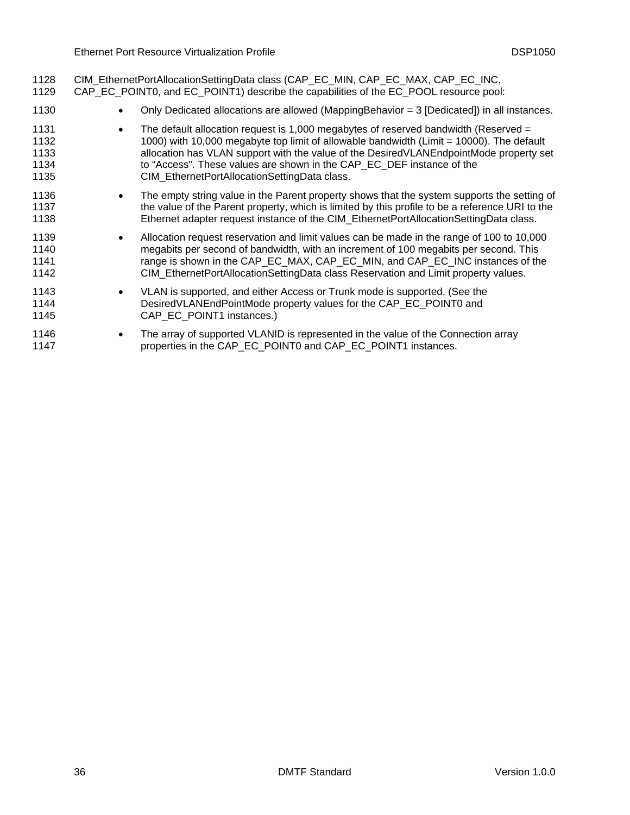| 1128<br>1129                         |           | CIM_EthernetPortAllocationSettingData class (CAP_EC_MIN, CAP_EC_MAX, CAP_EC_INC,<br>CAP_EC_POINT0, and EC_POINT1) describe the capabilities of the EC_POOL resource pool:                                                                                                                                                                                                                            |
|--------------------------------------|-----------|------------------------------------------------------------------------------------------------------------------------------------------------------------------------------------------------------------------------------------------------------------------------------------------------------------------------------------------------------------------------------------------------------|
| 1130                                 | $\bullet$ | Only Dedicated allocations are allowed (MappingBehavior = 3 [Dedicated]) in all instances.                                                                                                                                                                                                                                                                                                           |
| 1131<br>1132<br>1133<br>1134<br>1135 |           | The default allocation request is 1,000 megabytes of reserved bandwidth (Reserved $=$<br>1000) with 10,000 megabyte top limit of allowable bandwidth (Limit = 10000). The default<br>allocation has VLAN support with the value of the DesiredVLANEndpointMode property set<br>to "Access". These values are shown in the CAP_EC_DEF instance of the<br>CIM EthernetPortAllocationSettingData class. |
| 1136<br>1137<br>1138                 |           | The empty string value in the Parent property shows that the system supports the setting of<br>the value of the Parent property, which is limited by this profile to be a reference URI to the<br>Ethernet adapter request instance of the CIM_EthernetPortAllocationSettingData class.                                                                                                              |
| 1139<br>1140<br>1141<br>1142         |           | Allocation request reservation and limit values can be made in the range of 100 to 10,000<br>megabits per second of bandwidth, with an increment of 100 megabits per second. This<br>range is shown in the CAP_EC_MAX, CAP_EC_MIN, and CAP_EC_INC instances of the<br>CIM_EthernetPortAllocationSettingData class Reservation and Limit property values.                                             |
| 1143<br>1144<br>1145                 |           | VLAN is supported, and either Access or Trunk mode is supported. (See the<br>DesiredVLANEndPointMode property values for the CAP_EC_POINT0 and<br>CAP_EC_POINT1 instances.)                                                                                                                                                                                                                          |
| 1146<br>1147                         |           | The array of supported VLANID is represented in the value of the Connection array<br>properties in the CAP_EC_POINT0 and CAP_EC_POINT1 instances.                                                                                                                                                                                                                                                    |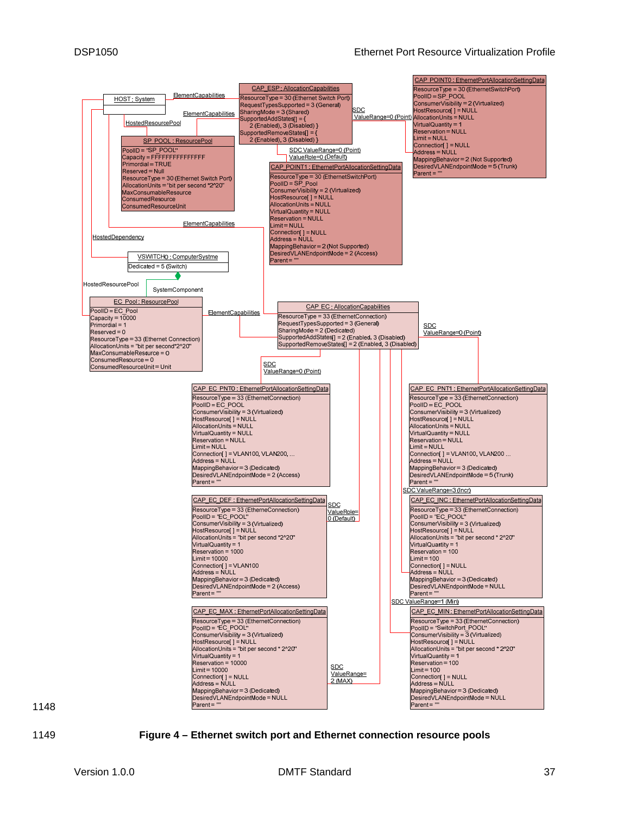<span id="page-36-0"></span>





<span id="page-36-1"></span>1149 **Figure 4 – Ethernet switch port and Ethernet connection resource pools**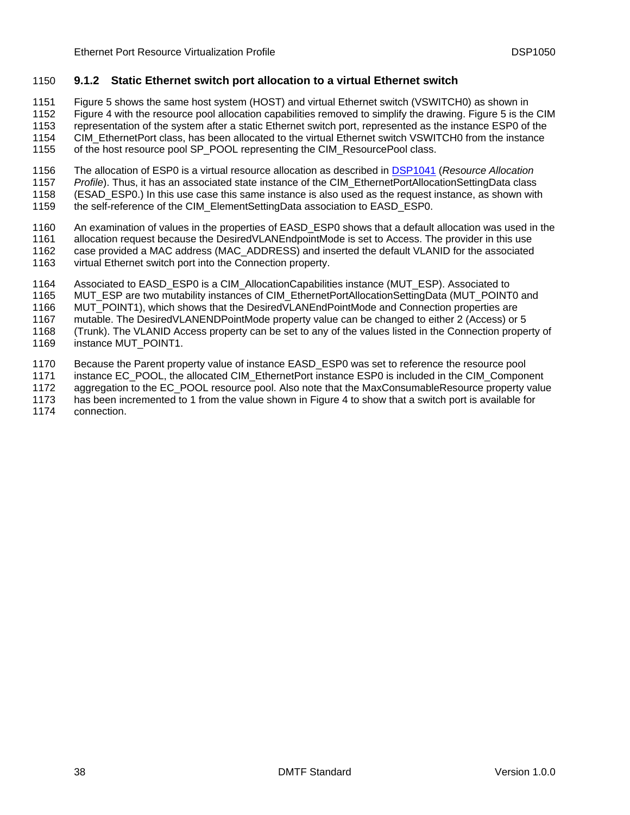#### 1150 **9.1.2 Static Ethernet switch port allocation to a virtual Ethernet switch**

1151 [Figure 5](#page-38-1) shows the same host system (HOST) and virtual Ethernet switch (VSWITCH0) as shown in

1152 [Figure 4](#page-36-1) with the resource pool allocation capabilities removed to simplify the drawing. [Figure 5](#page-38-1) is the CIM<br>1153 representation of the system after a static Ethernet switch port, represented as the instance ESP0 of t

1153 representation of the system after a static Ethernet switch port, represented as the instance ESP0 of the<br>1154 CIM EthernetPort class, has been allocated to the virtual Ethernet switch VSWITCH0 from the instance

1154 CIM\_EthernetPort class, has been allocated to the virtual Ethernet switch VSWITCH0 from the instance

1155 of the host resource pool SP\_POOL representing the CIM\_ResourcePool class.

1156 The allocation of ESP0 is a virtual resource allocation as described in [DSP1041](#page-8-2) (*Resource Allocation* 

1157 *Profile*). Thus, it has an associated state instance of the CIM\_EthernetPortAllocationSettingData class 1158 (ESAD ESP0.) In this use case this same instance is also used as the request instance, as shown with

1159 the self-reference of the CIM\_ElementSettingData association to EASD\_ESP0.

1160 An examination of values in the properties of EASD\_ESP0 shows that a default allocation was used in the 1161 allocation request because the DesiredVLANEndpointMode is set to Access. The provider in this use 1162 case provided a MAC address (MAC\_ADDRESS) and inserted the default VLANID for the associated 1163 virtual Ethernet switch port into the Connection property. virtual Ethernet switch port into the Connection property.

1164 Associated to EASD\_ESP0 is a CIM\_AllocationCapabilities instance (MUT\_ESP). Associated to

1165 MUT\_ESP are two mutability instances of CIM\_EthernetPortAllocationSettingData (MUT\_POINT0 and

1166 MUT POINT1), which shows that the DesiredVLANEndPointMode and Connection properties are

1167 mutable. The DesiredVLANENDPointMode property value can be changed to either 2 (Access) or 5

1168 (Trunk). The VLANID Access property can be set to any of the values listed in the Connection property of

1169 instance MUT\_POINT1.

1170 Because the Parent property value of instance EASD\_ESP0 was set to reference the resource pool

1171 instance EC\_POOL, the allocated CIM\_EthernetPort instance ESP0 is included in the CIM\_Component

1172 aggregation to the EC\_POOL resource pool. Also note that the MaxConsumableResource property value

1173 has been incremented to 1 from the value shown in [Figure 4](#page-36-1) to show that a switch port is available for

1174 connection.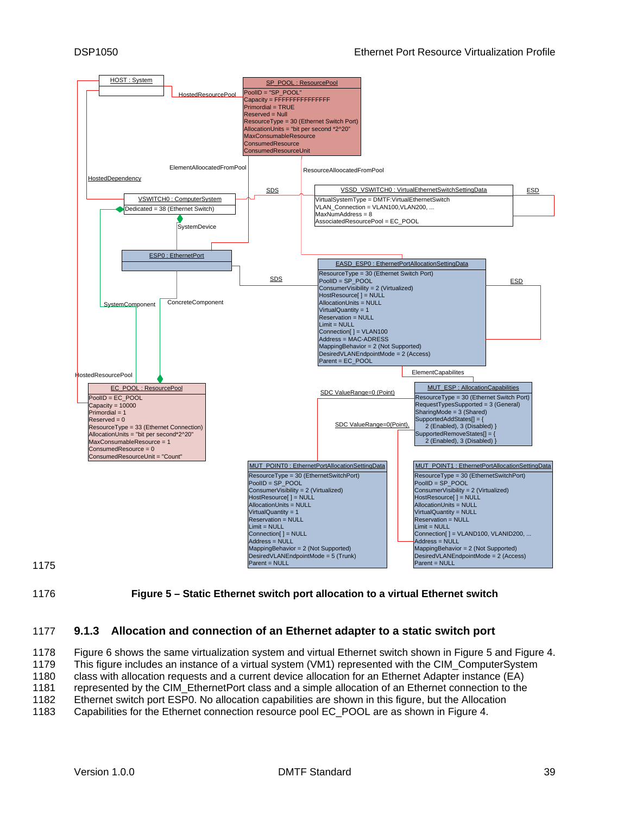<span id="page-38-0"></span>

1175

<span id="page-38-1"></span>

1176 **Figure 5 – Static Ethernet switch port allocation to a virtual Ethernet switch** 

### <span id="page-38-2"></span>1177 **9.1.3 Allocation and connection of an Ethernet adapter to a static switch port**

1178 [Figure 6](#page-40-1) shows the same virtualization system and virtual Ethernet switch shown in [Figure 5](#page-38-1) and [Figure 4](#page-36-1).

1179 This figure includes an instance of a virtual system (VM1) represented with the CIM\_ComputerSystem

1180 class with allocation requests and a current device allocation for an Ethernet Adapter instance (EA)

1181 represented by the CIM\_EthernetPort class and a simple allocation of an Ethernet connection to the

1182 Ethernet switch port ESP0. No allocation capabilities are shown in this figure, but the Allocation

1183 Capabilities for the Ethernet connection resource pool EC\_POOL are as shown in [Figure 4](#page-36-1).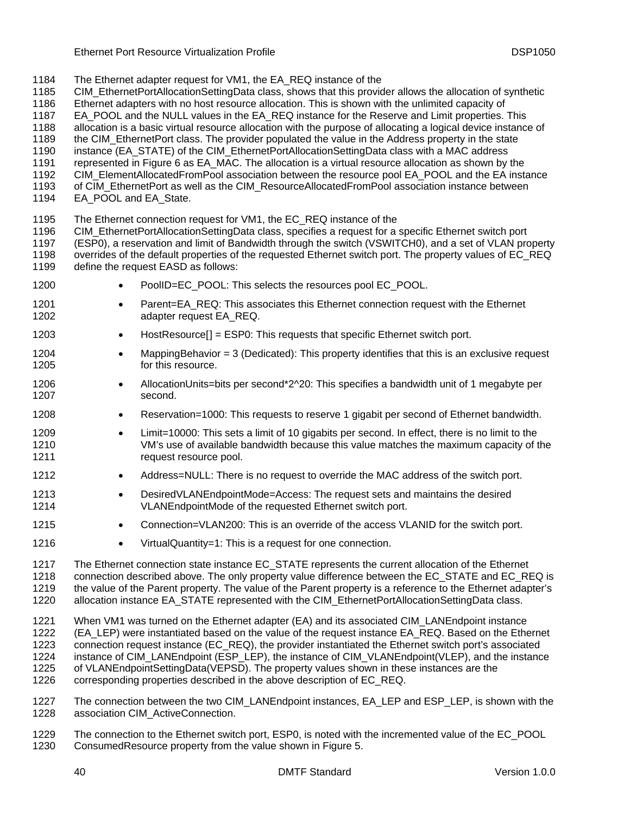- 1184 The Ethernet adapter request for VM1, the EA\_REQ instance of the
- 1185 CIM\_EthernetPortAllocationSettingData class, shows that this provider allows the allocation of synthetic
- 1186 Ethernet adapters with no host resource allocation. This is shown with the unlimited capacity of
- 1187 EA POOL and the NULL values in the EA REQ instance for the Reserve and Limit properties. This
- 1188 allocation is a basic virtual resource allocation with the purpose of allocating a logical device instance of
- 1189 the CIM EthernetPort class. The provider populated the value in the Address property in the state 1190 instance (EA\_STATE) of the CIM\_EthernetPortAllocationSettingData class with a MAC address
- 1191 represented in [Figure 6](#page-40-1) as EA\_MAC. The allocation is a virtual resource allocation as shown by the
- 
- 1192 CIM\_ElementAllocatedFromPool association between the resource pool EA\_POOL and the EA instance<br>1193 of CIM EthernetPort as well as the CIM ResourceAllocatedFromPool association instance between of CIM\_EthernetPort as well as the CIM\_ResourceAllocatedFromPool association instance between
- 1194 EA\_POOL and EA\_State.
- 1195 The Ethernet connection request for VM1, the EC\_REQ instance of the
- 1196 CIM EthernetPortAllocationSettingData class, specifies a request for a specific Ethernet switch port 1197 (ESP0), a reservation and limit of Bandwidth through the switch (VSWITCH0), and a set of VLAN property 1198 overrides of the default properties of the requested Ethernet switch port. The property values of EC\_REQ
- 1199 define the request EASD as follows:
- 1200 PoolID=EC\_POOL: This selects the resources pool EC\_POOL. 1201 • Parent=EA\_REQ: This associates this Ethernet connection request with the Ethernet 1202 adapter request EA\_REQ. 1203 • HostResource[] = ESP0: This requests that specific Ethernet switch port. 1204 • MappingBehavior = 3 (Dedicated): This property identifies that this is an exclusive request 1205 **for this resource.** 1206 • AllocationUnits=bits per second\*2^20: This specifies a bandwidth unit of 1 megabyte per 1207 second. 1208 • Reservation=1000: This requests to reserve 1 gigabit per second of Ethernet bandwidth. 1209 • Limit=10000: This sets a limit of 10 gigabits per second. In effect, there is no limit to the<br>1210 VM's use of available bandwidth because this value matches the maximum capacity of t VM's use of available bandwidth because this value matches the maximum capacity of the 1211 request resource pool. 1212 • Address=NULL: There is no request to override the MAC address of the switch port. 1213 • DesiredVLANEndpointMode=Access: The request sets and maintains the desired 1214 VLANEndpointMode of the requested Ethernet switch port.
- 1215 Connection=VLAN200: This is an override of the access VLANID for the switch port.
- 1216 VirtualQuantity=1: This is a request for one connection.

1217 The Ethernet connection state instance EC\_STATE represents the current allocation of the Ethernet 1218 connection described above. The only property value difference between the EC\_STATE and EC\_REQ is<br>1219 the value of the Parent property. The value of the Parent property is a reference to the Ethernet adapter's the value of the Parent property. The value of the Parent property is a reference to the Ethernet adapter's 1220 allocation instance EA\_STATE represented with the CIM\_EthernetPortAllocationSettingData class.

- 1221 When VM1 was turned on the Ethernet adapter (EA) and its associated CIM\_LANEndpoint instance 1222 (EA\_LEP) were instantiated based on the value of the request instance EA\_REQ. Based on the Ethernet 1223 connection request instance (EC REQ), the provider instantiated the Ethernet switch port's associated connection request instance (EC\_REQ), the provider instantiated the Ethernet switch port's associated 1224 instance of CIM\_LANEndpoint (ESP\_LEP), the instance of CIM\_VLANEndpoint(VLEP), and the instance 1225 of VLANEndpointSettingData(VEPSD). The property values shown in these instances are the 1226 corresponding properties described in the above description of EC\_REQ.
- 1227 The connection between the two CIM\_LANEndpoint instances, EA\_LEP and ESP\_LEP, is shown with the 1228 association CIM ActiveConnection. association CIM\_ActiveConnection.
- 1229 The connection to the Ethernet switch port, ESP0, is noted with the incremented value of the EC\_POOL 1230 ConsumedResource property from the value shown in [Figure 5](#page-38-1).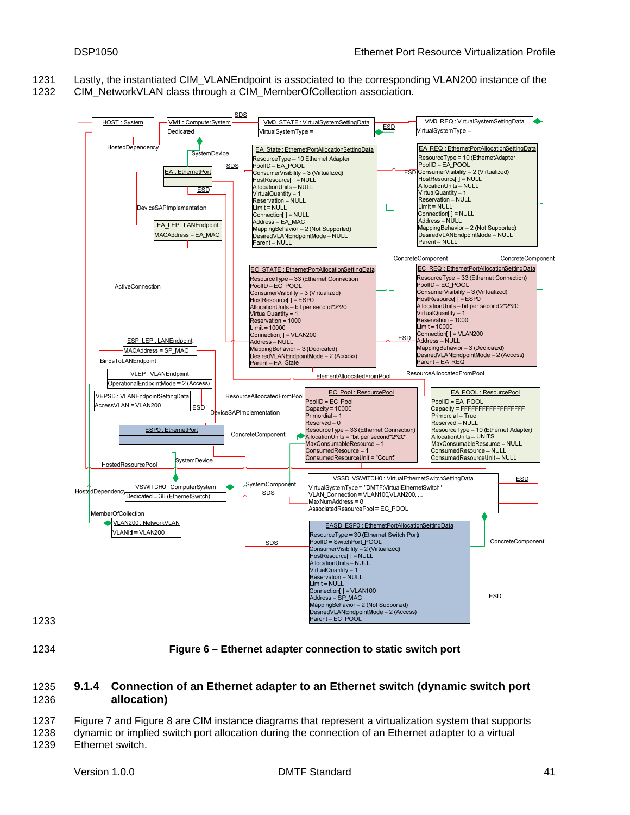- <span id="page-40-0"></span>1231 Lastly, the instantiated CIM\_VLANEndpoint is associated to the corresponding VLAN200 instance of the
- 1232 CIM\_NetworkVLAN class through a CIM\_MemberOfCollection association.



1233

<span id="page-40-1"></span>

1234 **Figure 6 – Ethernet adapter connection to static switch port** 

#### <span id="page-40-2"></span>1235 **9.1.4 Connection of an Ethernet adapter to an Ethernet switch (dynamic switch port**  1236 **allocation)**

1237 [Figure 7](#page-43-1) and [Figure 8](#page-44-1) are CIM instance diagrams that represent a virtualization system that supports 1238 dynamic or implied switch port allocation during the connection of an Ethernet adapter to a virtual 1239 Ethernet switch.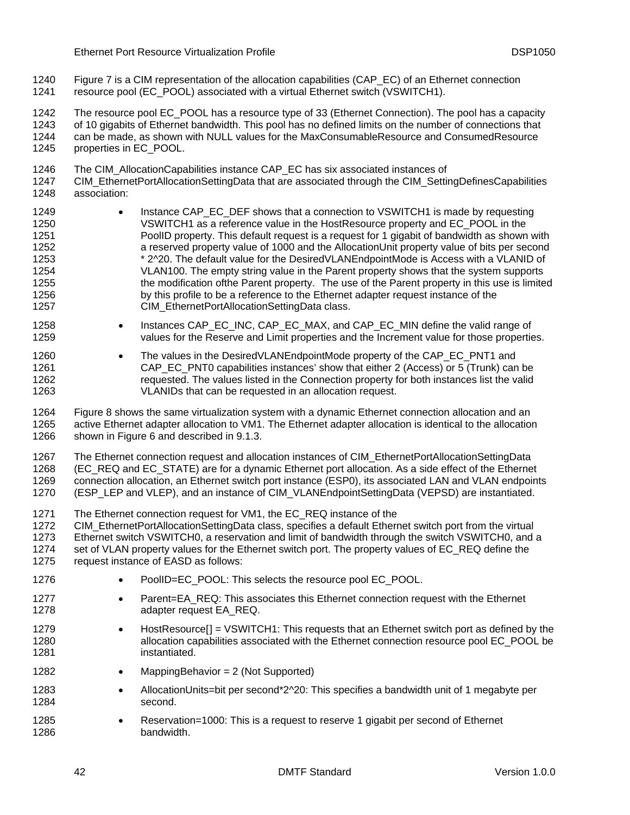1240 [Figure 7](#page-43-1) is a CIM representation of the allocation capabilities (CAP\_EC) of an Ethernet connection 1241 resource pool (EC\_POOL) associated with a virtual Ethernet switch (VSWITCH1).

1242 The resource pool EC\_POOL has a resource type of 33 (Ethernet Connection). The pool has a capacity 1243 of 10 gigabits of Ethernet bandwidth. This pool has no defined limits on the number of connections that of 10 gigabits of Ethernet bandwidth. This pool has no defined limits on the number of connections that 1244 can be made, as shown with NULL values for the MaxConsumableResource and ConsumedResource<br>1245 properties in EC POOL. properties in EC\_POOL.

- 1246 The CIM\_AllocationCapabilities instance CAP\_EC has six associated instances of
- 1247 CIM\_EthernetPortAllocationSettingData that are associated through the CIM\_SettingDefinesCapabilities 1248 association:
- 1249 Instance CAP\_EC\_DEF shows that a connection to VSWITCH1 is made by requesting 1250 VSWITCH1 as a reference value in the HostResource property and EC\_POOL in the 1251 PoolID property. This default request is a request for 1 gigabit of bandwidth as shown with 1252 a reserved property value of 1000 and the AllocationUnit property value of bits per second 1253  $^*$  2^20. The default value for the DesiredVLANEndpointMode is Access with a VLANID of 1254 VLAN100. The empty string value in the Parent property shows that the system supports 1255 the modification ofthe Parent property. The use of the Parent property in this use is limited 1256 by this profile to be a reference to the Ethernet adapter request instance of the 1257 CIM EthernetPortAllocationSettingData class.
- 1258 Instances CAP\_EC\_INC, CAP\_EC\_MAX, and CAP\_EC\_MIN define the valid range of 1259 values for the Reserve and Limit properties and the Increment value for those properties.
- 1260 The values in the DesiredVLANEndpointMode property of the CAP\_EC\_PNT1 and 1261 CAP\_EC\_PNT0 capabilities instances' show that either 2 (Access) or 5 (Trunk) can be<br>1262 frequested. The values listed in the Connection property for both instances list the valid requested. The values listed in the Connection property for both instances list the valid 1263 VLANIDs that can be requested in an allocation request.
- 1264 [Figure 8](#page-44-1) shows the same virtualization system with a dynamic Ethernet connection allocation and an 1265 active Ethernet adapter allocation to VM1. The Ethernet adapter allocation is identical to the allocation 1266 shown in [Figure 6](#page-40-1) and described in [9.1.3](#page-38-2).
- 1267 The Ethernet connection request and allocation instances of CIM\_EthernetPortAllocationSettingData 1268 (EC\_REQ and EC\_STATE) are for a dynamic Ethernet port allocation. As a side effect of the Ethernet 1269 connection allocation, an Ethernet switch port instance (ESP0), its associated LAN and VLAN endpoints 1270 (ESP\_LEP and VLEP), and an instance of CIM\_VLANEndpointSettingData (VEPSD) are instantiated.
- 1271 The Ethernet connection request for VM1, the EC\_REQ instance of the
- 1272 CIM\_EthernetPortAllocationSettingData class, specifies a default Ethernet switch port from the virtual<br>1273 Ethernet switch VSWITCH0, a reservation and limit of bandwidth through the switch VSWITCH0, and a Ethernet switch VSWITCH0, a reservation and limit of bandwidth through the switch VSWITCH0, and a 1274 set of VLAN property values for the Ethernet switch port. The property values of EC\_REQ define the 1275 request instance of EASD as follows:
- 1276 PoolID=EC\_POOL: This selects the resource pool EC\_POOL.
- 1277 Parent=EA\_REQ: This associates this Ethernet connection request with the Ethernet 1278 adapter request EA\_REQ.
- 1279 HostResource[] = VSWITCH1: This requests that an Ethernet switch port as defined by the<br>1280  **The allocation capabilities associated with the Ethernet connection resource pool EC POOL be** allocation capabilities associated with the Ethernet connection resource pool EC\_POOL be 1281 instantiated.
- 1282 MappingBehavior = 2 (Not Supported)
- 1283 AllocationUnits=bit per second\*2^20: This specifies a bandwidth unit of 1 megabyte per second.
- 1285 Reservation=1000: This is a request to reserve 1 gigabit per second of Ethernet 1286 bandwidth.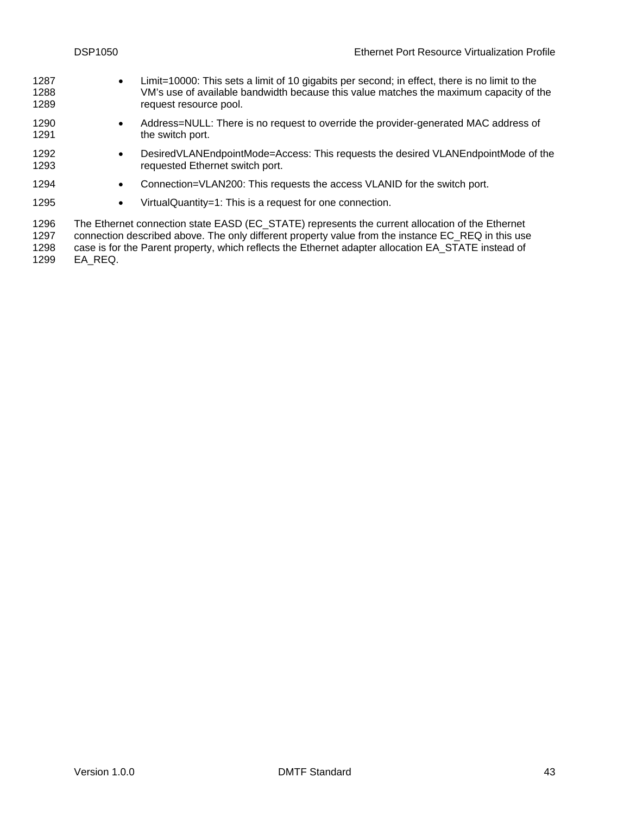- 1287 Limit=10000: This sets a limit of 10 gigabits per second; in effect, there is no limit to the 1288 VM's use of available bandwidth because this value matches the maximum capacity of the 1289 request resource pool.
- 1290 Address=NULL: There is no request to override the provider-generated MAC address of 1291 **the switch port.**
- 1292 DesiredVLANEndpointMode=Access: This requests the desired VLANEndpointMode of the 1293 requested Ethernet switch port.
- 1294 Connection=VLAN200: This requests the access VLANID for the switch port.
- 1295 VirtualQuantity=1: This is a request for one connection.

1296 The Ethernet connection state EASD (EC\_STATE) represents the current allocation of the Ethernet 1297 connection described above. The only different property value from the instance EC\_REQ in this use 1298 case is for the Parent property, which reflects the Ethernet adapter allocation EA\_STATE instead of 1299 EA\_REQ.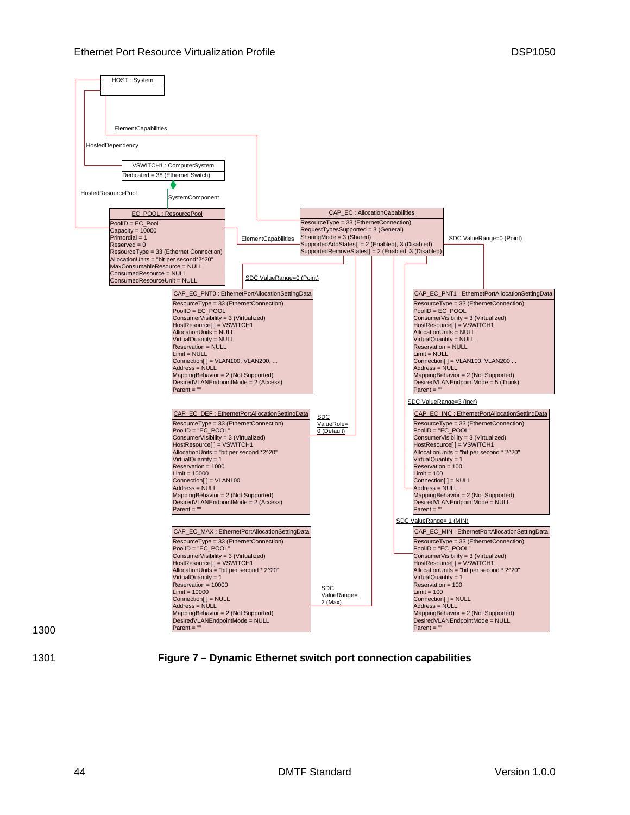<span id="page-43-0"></span>

<span id="page-43-1"></span>

1301 **Figure 7 – Dynamic Ethernet switch port connection capabilities**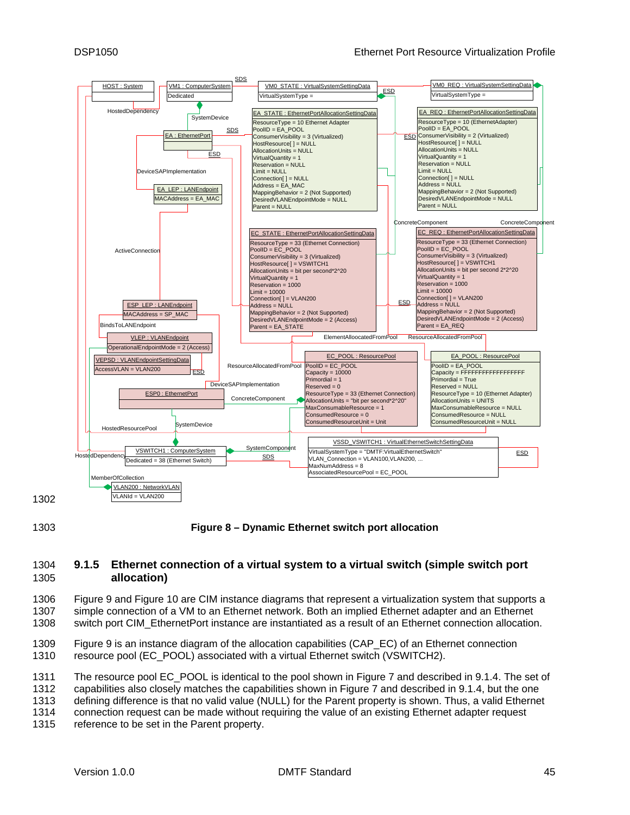<span id="page-44-0"></span>

<span id="page-44-1"></span>

1303 **Figure 8 – Dynamic Ethernet switch port allocation** 

#### <span id="page-44-2"></span>1304 **9.1.5 Ethernet connection of a virtual system to a virtual switch (simple switch port**  1305 **allocation)**

1306 [Figure 9](#page-45-1) and [Figure 10](#page-46-2) are CIM instance diagrams that represent a virtualization system that supports a 1307 simple connection of a VM to an Ethernet network. Both an implied Ethernet adapter and an Ethernet 1308 switch port CIM\_EthernetPort instance are instantiated as a result of an Ethernet connection allocation.

1309 [Figure 9](#page-45-1) is an instance diagram of the allocation capabilities (CAP\_EC) of an Ethernet connection 1310 resource pool (EC\_POOL) associated with a virtual Ethernet switch (VSWITCH2).

1311 The resource pool EC\_POOL is identical to the pool shown in [Figure 7](#page-43-1) and described in [9.1.4](#page-40-2). The set of

1312 capabilities also closely matches the capabilities shown in [Figure 7](#page-43-1) and described in [9.1.4](#page-40-2), but the one 1313 defining difference is that no valid value (NULL) for the Parent property is shown. Thus, a valid Ethernet

1314 connection request can be made without requiring the value of an existing Ethernet adapter request

1315 reference to be set in the Parent property.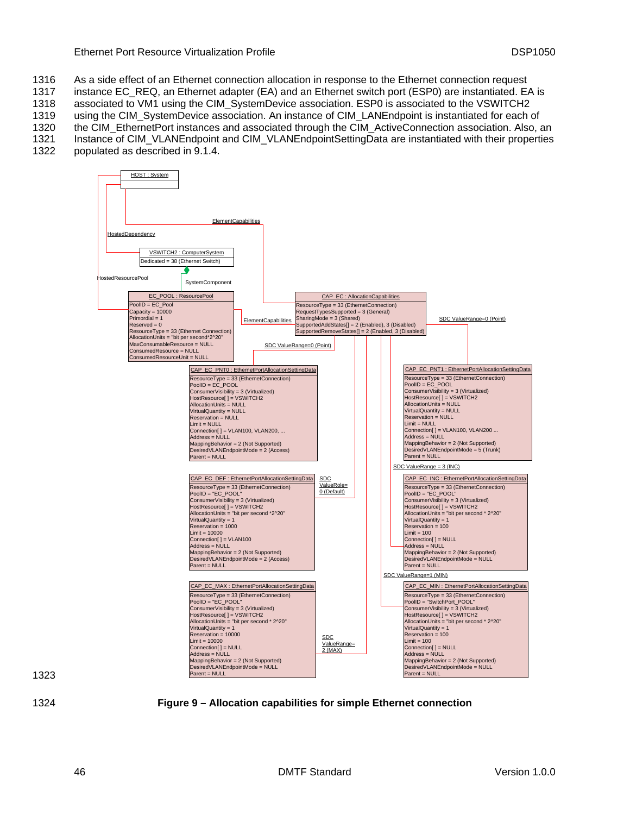- <span id="page-45-0"></span>1316 As a side effect of an Ethernet connection allocation in response to the Ethernet connection request
- 1317 instance EC\_REQ, an Ethernet adapter (EA) and an Ethernet switch port (ESP0) are instantiated. EA is
- 1318 associated to VM1 using the CIM\_SystemDevice association. ESP0 is associated to the VSWITCH2
- 1319 using the CIM\_SystemDevice association. An instance of CIM\_LANEndpoint is instantiated for each of
- 1320 the CIM\_EthernetPort instances and associated through the CIM\_ActiveConnection association. Also, an 1321 Instance of CIM\_VLANEndpoint and CIM\_VLANEndpointSettingData are instantiated with their properties
- 1322 populated as described in [9.1.4.](#page-40-2)





<span id="page-45-1"></span>

1324 **Figure 9 – Allocation capabilities for simple Ethernet connection**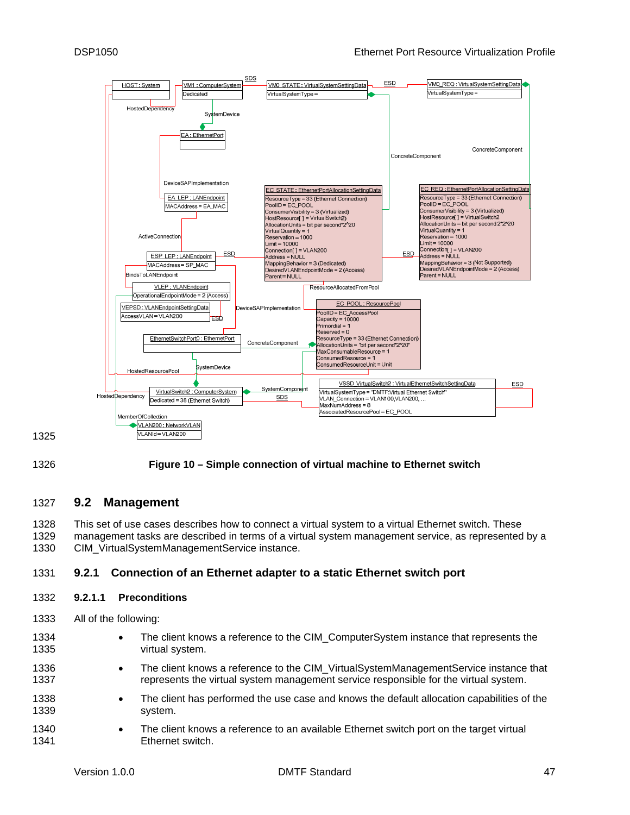<span id="page-46-1"></span>

1325

#### <span id="page-46-2"></span>1326 **Figure 10 – Simple connection of virtual machine to Ethernet switch**

#### <span id="page-46-0"></span>1327 **9.2 Management**

1328 This set of use cases describes how to connect a virtual system to a virtual Ethernet switch. These 1329 management tasks are described in terms of a virtual system management service, as represented by a 1330 CIM\_VirtualSystemManagementService instance.

### 1331 **9.2.1 Connection of an Ethernet adapter to a static Ethernet switch port**

- 1332 **9.2.1.1 Preconditions**
- 1333 All of the following:

| 1334<br>1335 | The client knows a reference to the CIM_ComputerSystem instance that represents the<br>$\bullet$<br>virtual system.                                                                       |  |
|--------------|-------------------------------------------------------------------------------------------------------------------------------------------------------------------------------------------|--|
| 1336<br>1337 | The client knows a reference to the CIM_VirtualSystemManagementService instance that<br>$\bullet$<br>represents the virtual system management service responsible for the virtual system. |  |
| 1338<br>1339 | The client has performed the use case and knows the default allocation capabilities of the<br>$\bullet$<br>system.                                                                        |  |
| 1340<br>1341 | The client knows a reference to an available Ethernet switch port on the target virtual<br>$\bullet$<br>Ethernet switch.                                                                  |  |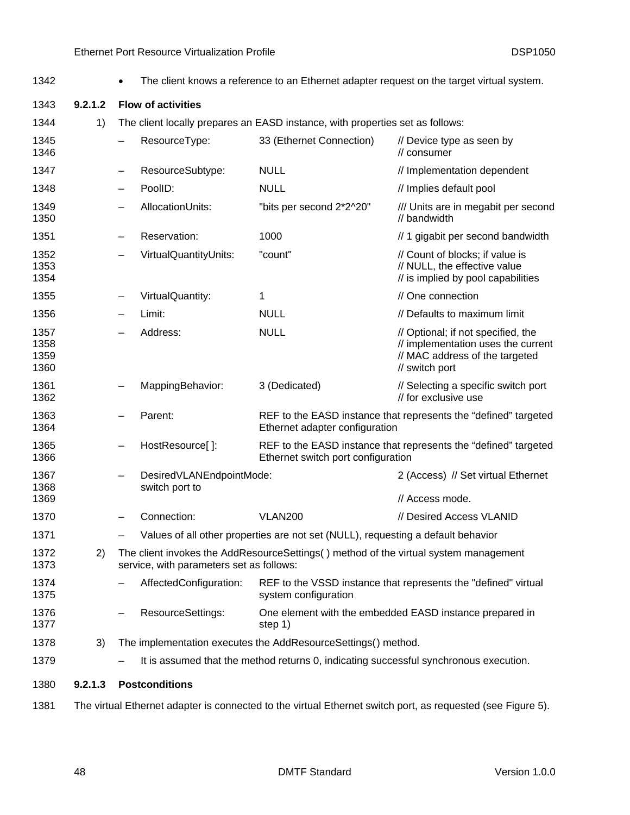<span id="page-47-0"></span>

| 1342                         |         | The client knows a reference to an Ethernet adapter request on the target virtual system.<br>$\bullet$ |                                                                                                                                  |                                                                                  |                                                                                                                              |  |  |
|------------------------------|---------|--------------------------------------------------------------------------------------------------------|----------------------------------------------------------------------------------------------------------------------------------|----------------------------------------------------------------------------------|------------------------------------------------------------------------------------------------------------------------------|--|--|
| 1343                         | 9.2.1.2 |                                                                                                        | <b>Flow of activities</b>                                                                                                        |                                                                                  |                                                                                                                              |  |  |
| 1344                         | 1)      |                                                                                                        |                                                                                                                                  | The client locally prepares an EASD instance, with properties set as follows:    |                                                                                                                              |  |  |
| 1345<br>1346                 |         |                                                                                                        | ResourceType:                                                                                                                    | 33 (Ethernet Connection)                                                         | // Device type as seen by<br>$\prime\prime$ consumer                                                                         |  |  |
| 1347                         |         |                                                                                                        | ResourceSubtype:                                                                                                                 | <b>NULL</b>                                                                      | // Implementation dependent                                                                                                  |  |  |
| 1348                         |         |                                                                                                        | PoolID:                                                                                                                          | <b>NULL</b>                                                                      | // Implies default pool                                                                                                      |  |  |
| 1349<br>1350                 |         |                                                                                                        | AllocationUnits:                                                                                                                 | "bits per second 2*2^20"                                                         | /// Units are in megabit per second<br>// bandwidth                                                                          |  |  |
| 1351                         |         |                                                                                                        | Reservation:                                                                                                                     | 1000                                                                             | // 1 gigabit per second bandwidth                                                                                            |  |  |
| 1352<br>1353<br>1354         |         |                                                                                                        | VirtualQuantityUnits:                                                                                                            | "count"                                                                          | // Count of blocks; if value is<br>// NULL, the effective value<br>// is implied by pool capabilities                        |  |  |
| 1355                         |         |                                                                                                        | VirtualQuantity:                                                                                                                 | 1                                                                                | // One connection                                                                                                            |  |  |
| 1356                         |         |                                                                                                        | Limit:                                                                                                                           | <b>NULL</b>                                                                      | // Defaults to maximum limit                                                                                                 |  |  |
| 1357<br>1358<br>1359<br>1360 |         |                                                                                                        | Address:                                                                                                                         | <b>NULL</b>                                                                      | // Optional; if not specified, the<br>// implementation uses the current<br>// MAC address of the targeted<br>// switch port |  |  |
| 1361<br>1362                 |         |                                                                                                        | MappingBehavior:                                                                                                                 | 3 (Dedicated)                                                                    | // Selecting a specific switch port<br>// for exclusive use                                                                  |  |  |
| 1363<br>1364                 |         |                                                                                                        | Parent:                                                                                                                          | Ethernet adapter configuration                                                   | REF to the EASD instance that represents the "defined" targeted                                                              |  |  |
| 1365<br>1366                 |         |                                                                                                        | HostResource[]:                                                                                                                  | Ethernet switch port configuration                                               | REF to the EASD instance that represents the "defined" targeted                                                              |  |  |
| 1367                         |         |                                                                                                        | DesiredVLANEndpointMode:                                                                                                         |                                                                                  | 2 (Access) // Set virtual Ethernet                                                                                           |  |  |
| 1368<br>1369                 |         |                                                                                                        | switch port to                                                                                                                   |                                                                                  | // Access mode.                                                                                                              |  |  |
| 1370                         |         |                                                                                                        | Connection:                                                                                                                      | <b>VLAN200</b>                                                                   | // Desired Access VLANID                                                                                                     |  |  |
| 1371                         |         |                                                                                                        |                                                                                                                                  | Values of all other properties are not set (NULL), requesting a default behavior |                                                                                                                              |  |  |
| 1372<br>1373                 | 2)      |                                                                                                        | The client invokes the AddResourceSettings() method of the virtual system management<br>service, with parameters set as follows: |                                                                                  |                                                                                                                              |  |  |
| 1374<br>1375                 |         |                                                                                                        | AffectedConfiguration:                                                                                                           | system configuration                                                             | REF to the VSSD instance that represents the "defined" virtual                                                               |  |  |
| 1376<br>1377                 |         |                                                                                                        | ResourceSettings:                                                                                                                | step 1)                                                                          | One element with the embedded EASD instance prepared in                                                                      |  |  |
| 1378                         | 3)      |                                                                                                        | The implementation executes the AddResourceSettings() method.                                                                    |                                                                                  |                                                                                                                              |  |  |
| 1379                         |         |                                                                                                        | It is assumed that the method returns 0, indicating successful synchronous execution.                                            |                                                                                  |                                                                                                                              |  |  |
| 1380                         | 9.2.1.3 | <b>Postconditions</b>                                                                                  |                                                                                                                                  |                                                                                  |                                                                                                                              |  |  |

1381 The virtual Ethernet adapter is connected to the virtual Ethernet switch port, as requested (see [Figure 5](#page-38-1)).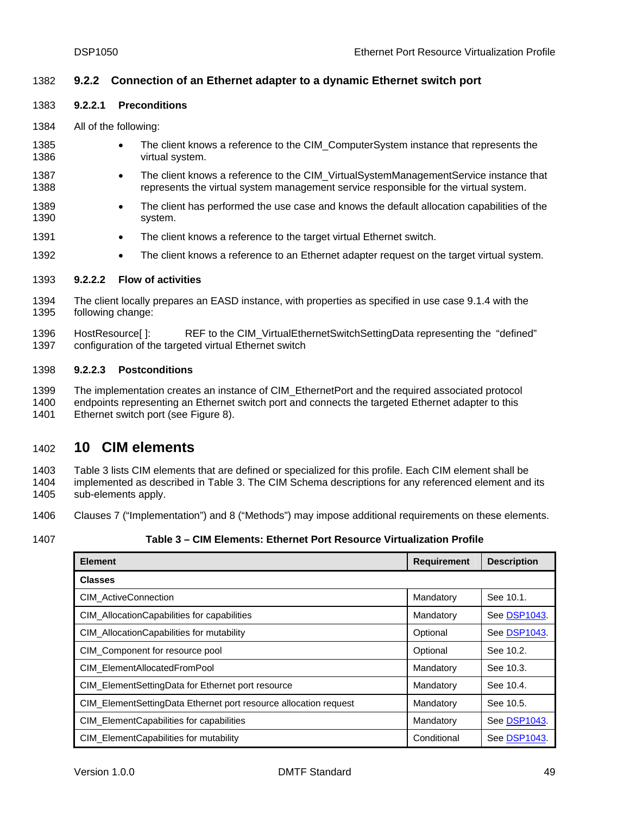#### 1382 **9.2.2 Connection of an Ethernet adapter to a dynamic Ethernet switch port**

- 1383 **9.2.2.1 Preconditions**
- 1384 All of the following:
- 1385 The client knows a reference to the CIM\_ComputerSystem instance that represents the 1386 virtual system.
- 1387 The client knows a reference to the CIM\_VirtualSystemManagementService instance that 1388 represents the virtual system management service responsible for the virtual system.
- 1389 The client has performed the use case and knows the default allocation capabilities of the 1390 system.
- 1391 The client knows a reference to the target virtual Ethernet switch.
- 1392 The client knows a reference to an Ethernet adapter request on the target virtual system.

#### 1393 **9.2.2.2 Flow of activities**

- 1394 The client locally prepares an EASD instance, with properties as specified in use case [9.1.4](#page-40-2) with the 1395 following change:
- 1396 HostResource[ ]: REF to the CIM\_VirtualEthernetSwitchSettingData representing the "defined" 1397 configuration of the targeted virtual Ethernet switch

#### 1398 **9.2.2.3 Postconditions**

1399 The implementation creates an instance of CIM\_EthernetPort and the required associated protocol 1400 endpoints representing an Ethernet switch port and connects the targeted Ethernet adapter to this 1401 Ethernet switch port (see [Figure 8](#page-44-1)).

## <span id="page-48-0"></span>1402 **10 CIM elements**

1403 [Table 3](#page-48-1) lists CIM elements that are defined or specialized for this profile. Each CIM element shall be<br>1404 Implemented as described in Table 3. The CIM Schema descriptions for any referenced element and implemented as described in [Table 3](#page-48-1). The CIM Schema descriptions for any referenced element and its 1405 sub-elements apply.

- 1406 Clauses [7](#page-21-0) ("[Implementation](#page-21-0)") and [8](#page-32-0) ("Methods") may impose additional requirements on these elements.
- 

#### <span id="page-48-1"></span>1407 **Table 3 – CIM Elements: Ethernet Port Resource Virtualization Profile**

| <b>Element</b>                                                   | <b>Requirement</b> | <b>Description</b> |
|------------------------------------------------------------------|--------------------|--------------------|
| <b>Classes</b>                                                   |                    |                    |
| CIM ActiveConnection                                             | Mandatory          | See 10.1.          |
| CIM Allocation Capabilities for capabilities                     | Mandatory          | See DSP1043.       |
| CIM_AllocationCapabilities for mutability                        | Optional           | See DSP1043.       |
| CIM_Component for resource pool                                  | Optional           | See 10.2.          |
| CIM ElementAllocatedFromPool                                     | Mandatory          | See 10.3.          |
| CIM Element Setting Data for Ethernet port resource              | Mandatory          | See 10.4.          |
| CIM_ElementSettingData Ethernet port resource allocation request | Mandatory          | See 10.5.          |
| CIM_ElementCapabilities for capabilities                         | Mandatory          | See DSP1043.       |
| CIM Element Capabilities for mutability                          | Conditional        | See DSP1043.       |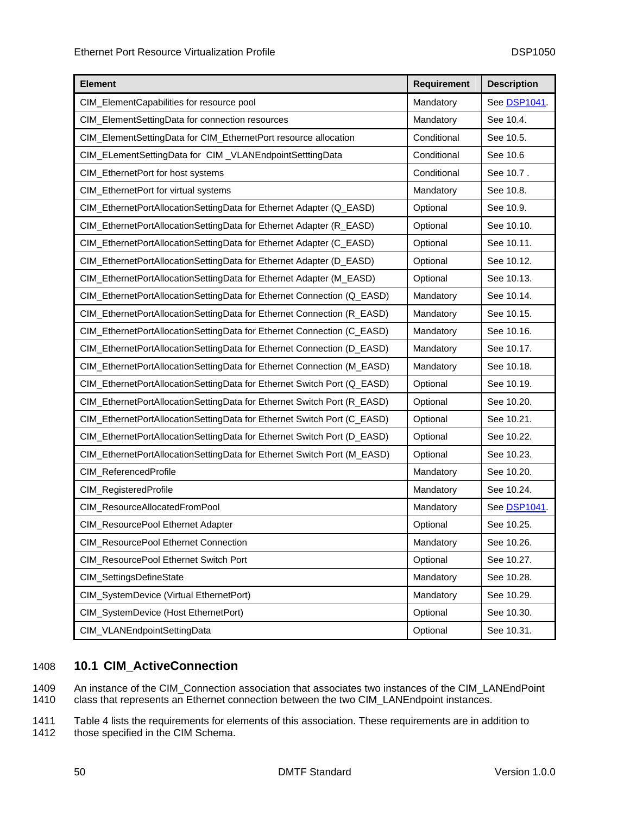| <b>Element</b>                                                          | Requirement | <b>Description</b> |
|-------------------------------------------------------------------------|-------------|--------------------|
| CIM_ElementCapabilities for resource pool                               | Mandatory   | See DSP1041.       |
| CIM_ElementSettingData for connection resources                         | Mandatory   | See 10.4.          |
| CIM_ElementSettingData for CIM_EthernetPort resource allocation         | Conditional | See 10.5.          |
| CIM_ELementSettingData for CIM_VLANEndpointSetttingData                 | Conditional | See 10.6           |
| CIM_EthernetPort for host systems                                       | Conditional | See 10.7.          |
| CIM_EthernetPort for virtual systems                                    | Mandatory   | See 10.8.          |
| CIM_EthernetPortAllocationSettingData for Ethernet Adapter (Q_EASD)     | Optional    | See 10.9.          |
| CIM_EthernetPortAllocationSettingData for Ethernet Adapter (R_EASD)     | Optional    | See 10.10.         |
| CIM_EthernetPortAllocationSettingData for Ethernet Adapter (C_EASD)     | Optional    | See 10.11.         |
| CIM_EthernetPortAllocationSettingData for Ethernet Adapter (D_EASD)     | Optional    | See 10.12.         |
| CIM_EthernetPortAllocationSettingData for Ethernet Adapter (M_EASD)     | Optional    | See 10.13.         |
| CIM_EthernetPortAllocationSettingData for Ethernet Connection (Q_EASD)  | Mandatory   | See 10.14.         |
| CIM_EthernetPortAllocationSettingData for Ethernet Connection (R_EASD)  | Mandatory   | See 10.15.         |
| CIM_EthernetPortAllocationSettingData for Ethernet Connection (C_EASD)  | Mandatory   | See 10.16.         |
| CIM_EthernetPortAllocationSettingData for Ethernet Connection (D_EASD)  | Mandatory   | See 10.17.         |
| CIM_EthernetPortAllocationSettingData for Ethernet Connection (M_EASD)  | Mandatory   | See 10.18.         |
| CIM_EthernetPortAllocationSettingData for Ethernet Switch Port (Q_EASD) | Optional    | See 10.19.         |
| CIM_EthernetPortAllocationSettingData for Ethernet Switch Port (R_EASD) | Optional    | See 10.20.         |
| CIM_EthernetPortAllocationSettingData for Ethernet Switch Port (C_EASD) | Optional    | See 10.21.         |
| CIM_EthernetPortAllocationSettingData for Ethernet Switch Port (D_EASD) | Optional    | See 10.22.         |
| CIM_EthernetPortAllocationSettingData for Ethernet Switch Port (M_EASD) | Optional    | See 10.23.         |
| CIM_ReferencedProfile                                                   | Mandatory   | See 10.20.         |
| CIM_RegisteredProfile                                                   | Mandatory   | See 10.24.         |
| CIM_ResourceAllocatedFromPool                                           | Mandatory   | See DSP1041.       |
| CIM_ResourcePool Ethernet Adapter                                       | Optional    | See 10.25.         |
| CIM_ResourcePool Ethernet Connection                                    | Mandatory   | See 10.26.         |
| CIM_ResourcePool Ethernet Switch Port                                   | Optional    | See 10.27.         |
| CIM_SettingsDefineState                                                 | Mandatory   | See 10.28.         |
| CIM_SystemDevice (Virtual EthernetPort)                                 | Mandatory   | See 10.29.         |
| CIM_SystemDevice (Host EthernetPort)                                    | Optional    | See 10.30.         |
| CIM_VLANEndpointSettingData                                             | Optional    | See 10.31.         |

## <span id="page-49-0"></span>1408 **10.1 CIM\_ActiveConnection**

1409 An instance of the CIM\_Connection association that associates two instances of the CIM\_LANEndPoint 1410 class that represents an Ethernet connection between the two CIM\_LANEndpoint instances.

1411 [Table 4](#page-50-2) lists the requirements for elements of this association. These requirements are in addition to 1412 those specified in the CIM Schema.

those specified in the CIM Schema.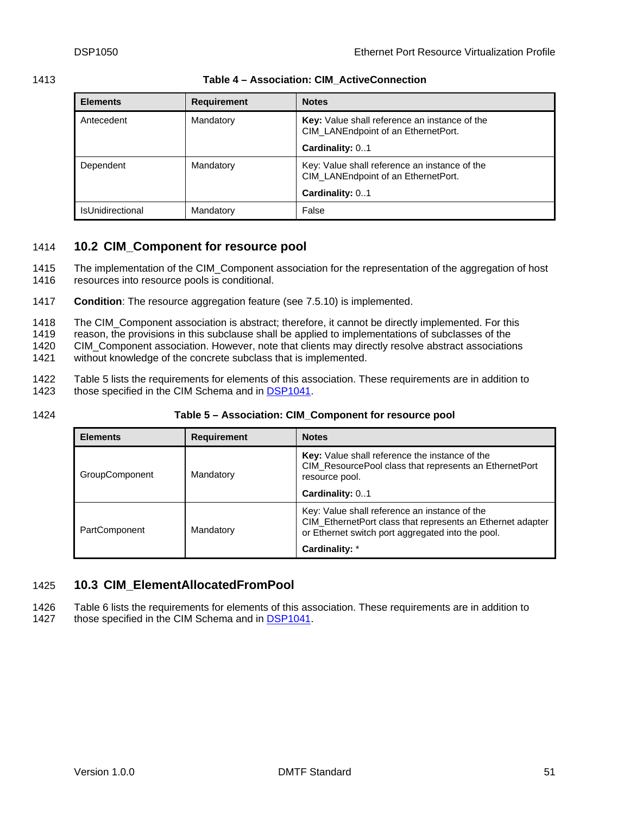<span id="page-50-2"></span>

| 1413 | Table 4 – Association: CIM ActiveConnection |
|------|---------------------------------------------|
|------|---------------------------------------------|

| <b>Elements</b>         | <b>Requirement</b> | <b>Notes</b>                                                                         |
|-------------------------|--------------------|--------------------------------------------------------------------------------------|
| Antecedent              | Mandatory          | Key: Value shall reference an instance of the<br>CIM_LANEndpoint of an EthernetPort. |
|                         |                    | Cardinality: 01                                                                      |
| Dependent               | Mandatory          | Key: Value shall reference an instance of the<br>CIM_LANEndpoint of an EthernetPort. |
|                         |                    | Cardinality: 01                                                                      |
| <b>IsUnidirectional</b> | Mandatory          | False                                                                                |

## <span id="page-50-0"></span>1414 **10.2 CIM\_Component for resource pool**

1415 The implementation of the CIM Component association for the representation of the aggregation of host 1416 resources into resource pools is conditional.

1417 **Condition**: The resource aggregation feature (see [7.5.10\)](#page-24-1) is implemented.

1418 The CIM\_Component association is abstract; therefore, it cannot be directly implemented. For this

1419 reason, the provisions in this subclause shall be applied to implementations of subclasses of the 1420 CIM Component association. However, note that clients may directly resolve abstract association

1420 CIM\_Component association. However, note that clients may directly resolve abstract associations<br>1421 without knowledge of the concrete subclass that is implemented. without knowledge of the concrete subclass that is implemented.

- 1422 [Table 5](#page-50-3) lists the requirements for elements of this association. These requirements are in addition to 1423 those specified in the CIM Schema and in DSP1041. those specified in the CIM Schema and in [DSP1041](#page-8-2).
- 

#### <span id="page-50-3"></span>1424 **Table 5 – Association: CIM\_Component for resource pool**

| <b>Elements</b>       | <b>Requirement</b> | <b>Notes</b>                                                                                                                                                     |
|-----------------------|--------------------|------------------------------------------------------------------------------------------------------------------------------------------------------------------|
| <b>GroupComponent</b> | Mandatory          | Key: Value shall reference the instance of the<br>CIM_ResourcePool class that represents an EthernetPort<br>resource pool.                                       |
|                       |                    | Cardinality: 01                                                                                                                                                  |
| PartComponent         | Mandatory          | Key: Value shall reference an instance of the<br>CIM_EthernetPort class that represents an Ethernet adapter<br>or Ethernet switch port aggregated into the pool. |
|                       |                    | Cardinality: *                                                                                                                                                   |

## <span id="page-50-1"></span>1425 **10.3 CIM\_ElementAllocatedFromPool**

1426 [Table 6](#page-51-2) lists the requirements for elements of this association. These requirements are in addition to

1427 those specified in the CIM Schema and in [DSP1041](#page-8-2).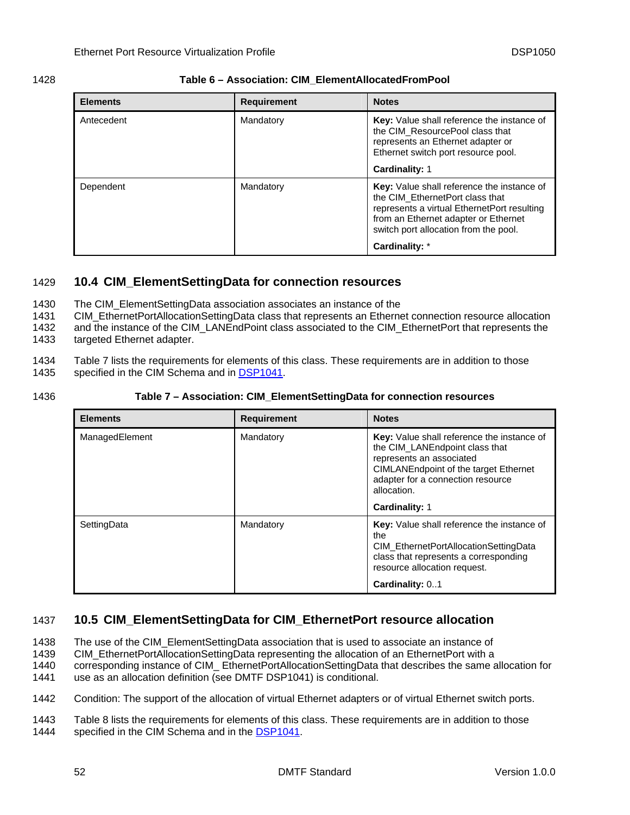<span id="page-51-2"></span>

1428 **Table 6 – Association: CIM\_ElementAllocatedFromPool** 

| <b>Elements</b> | <b>Requirement</b> | <b>Notes</b>                                                                                                                                                                                                         |
|-----------------|--------------------|----------------------------------------------------------------------------------------------------------------------------------------------------------------------------------------------------------------------|
| Antecedent      | Mandatory          | Key: Value shall reference the instance of<br>the CIM ResourcePool class that<br>represents an Ethernet adapter or<br>Ethernet switch port resource pool.<br><b>Cardinality: 1</b>                                   |
| Dependent       | Mandatory          | <b>Key:</b> Value shall reference the instance of<br>the CIM EthernetPort class that<br>represents a virtual EthernetPort resulting<br>from an Ethernet adapter or Ethernet<br>switch port allocation from the pool. |
|                 |                    | Cardinality: *                                                                                                                                                                                                       |

## <span id="page-51-0"></span>1429 **10.4 CIM\_ElementSettingData for connection resources**

1430 The CIM\_ElementSettingData association associates an instance of the

1431 CIM\_EthernetPortAllocationSettingData class that represents an Ethernet connection resource allocation

1432 and the instance of the CIM\_LANEndPoint class associated to the CIM\_EthernetPort that represents the

1433 targeted Ethernet adapter.

1434 [Table 7](#page-51-3) lists the requirements for elements of this class. These requirements are in addition to those 1435 specified in the CIM Schema and in [DSP1041.](#page-8-2)

<span id="page-51-3"></span>

#### 1436 **Table 7 – Association: CIM\_ElementSettingData for connection resources**

| <b>Elements</b> | <b>Requirement</b> | <b>Notes</b>                                                                                                                                                                                                                   |
|-----------------|--------------------|--------------------------------------------------------------------------------------------------------------------------------------------------------------------------------------------------------------------------------|
| ManagedElement  | Mandatory          | Key: Value shall reference the instance of<br>the CIM LANEndpoint class that<br>represents an associated<br><b>CIMLANEndpoint of the target Ethernet</b><br>adapter for a connection resource<br>allocation.<br>Cardinality: 1 |
| SettingData     | Mandatory          | <b>Key:</b> Value shall reference the instance of<br>the<br>CIM EthernetPortAllocationSettingData<br>class that represents a corresponding<br>resource allocation request.<br>Cardinality: 01                                  |

## <span id="page-51-1"></span>1437 **10.5 CIM\_ElementSettingData for CIM\_EthernetPort resource allocation**

1438 The use of the CIM\_ElementSettingData association that is used to associate an instance of

1439 CIM EthernetPortAllocationSettingData representing the allocation of an EthernetPort with a

1440 corresponding instance of CIM\_ EthernetPortAllocationSettingData that describes the same allocation for 1441 use as an allocation definition (see [DMTF DSP1041\)](#page-8-3) is conditional.

1442 Condition: The support of the allocation of virtual Ethernet adapters or of virtual Ethernet switch ports.

1443 [Table 8](#page-52-2) lists the requirements for elements of this class. These requirements are in addition to those 1444 specified in the CIM Schema and in the [DSP1041.](#page-8-2)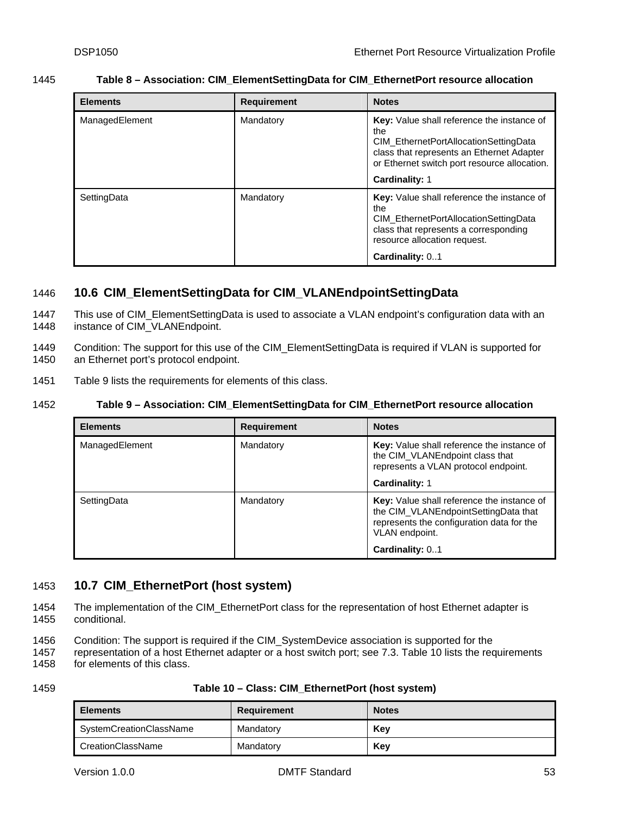<span id="page-52-2"></span>

| 1445 |  | Table 8 - Association: CIM_ElementSettingData for CIM_EthernetPort resource allocation |
|------|--|----------------------------------------------------------------------------------------|
|      |  |                                                                                        |

| <b>Elements</b> | <b>Requirement</b> | <b>Notes</b>                                                                                                                                                                                                     |
|-----------------|--------------------|------------------------------------------------------------------------------------------------------------------------------------------------------------------------------------------------------------------|
| ManagedElement  | Mandatory          | Key: Value shall reference the instance of<br>the<br>CIM EthernetPortAllocationSettingData<br>class that represents an Ethernet Adapter<br>or Ethernet switch port resource allocation.<br><b>Cardinality: 1</b> |
| SettingData     | Mandatory          | <b>Key:</b> Value shall reference the instance of<br>the<br>CIM EthernetPortAllocationSettingData<br>class that represents a corresponding<br>resource allocation request.<br>Cardinality: 01                    |

## <span id="page-52-0"></span>1446 **10.6 CIM\_ElementSettingData for CIM\_VLANEndpointSettingData**

1447 This use of CIM\_ElementSettingData is used to associate a VLAN endpoint's configuration data with an 1448 instance of CIM\_VLANEndpoint.

- 1449 Condition: The support for this use of the CIM\_ElementSettingData is required if VLAN is supported for 1450 an Ethernet port's protocol endpoint.
- 1451 [Table 9](#page-52-3) lists the requirements for elements of this class.

#### <span id="page-52-3"></span>1452 **Table 9 – Association: CIM\_ElementSettingData for CIM\_EthernetPort resource allocation**

| <b>Elements</b> | <b>Requirement</b> | <b>Notes</b>                                                                                                                                                                  |
|-----------------|--------------------|-------------------------------------------------------------------------------------------------------------------------------------------------------------------------------|
| ManagedElement  | Mandatory          | Key: Value shall reference the instance of<br>the CIM_VLANEndpoint class that<br>represents a VLAN protocol endpoint.                                                         |
|                 |                    | <b>Cardinality: 1</b>                                                                                                                                                         |
| SettingData     | Mandatory          | <b>Key:</b> Value shall reference the instance of<br>the CIM VLANEndpoint Setting Data that<br>represents the configuration data for the<br>VLAN endpoint.<br>Cardinality: 01 |

## <span id="page-52-1"></span>1453 **10.7 CIM\_EthernetPort (host system)**

- 1454 The implementation of the CIM\_EthernetPort class for the representation of host Ethernet adapter is 1455 conditional.
- 1456 Condition: The support is required if the CIM\_SystemDevice association is supported for the
- 1457 representation of a host Ethernet adapter or a host switch port; see [7.3.](#page-21-3) [Table 10](#page-52-4) lists the requirements 1458 for elements of this class.
- for elements of this class.
- <span id="page-52-4"></span>

| 1459 | Table 10 - Class: CIM_EthernetPort (host system) |
|------|--------------------------------------------------|
|------|--------------------------------------------------|

| <b>Elements</b>         | Requirement | <b>Notes</b> |
|-------------------------|-------------|--------------|
| SystemCreationClassName | Mandatory   | Kev          |
| CreationClassName       | Mandatory   | Kev          |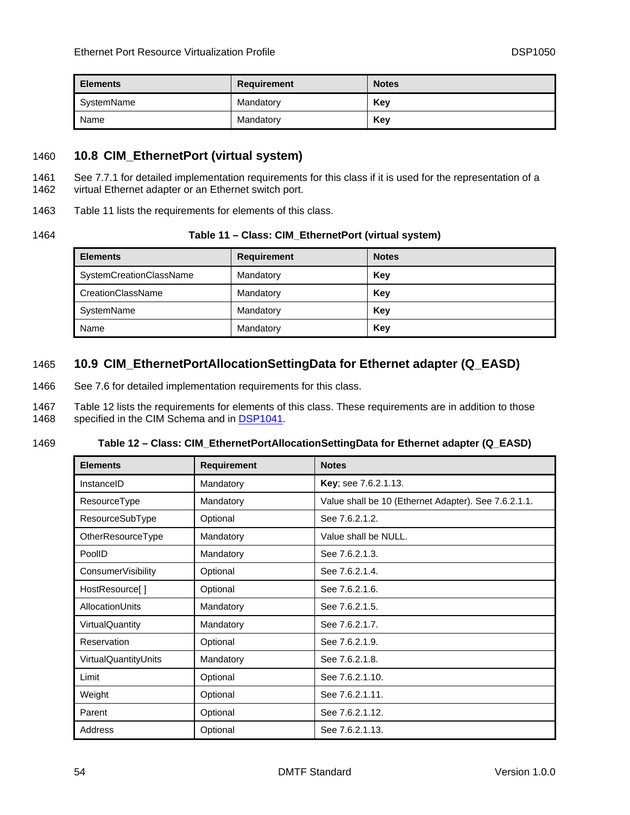| <b>Elements</b> | <b>Requirement</b> | <b>Notes</b> |
|-----------------|--------------------|--------------|
| SystemName      | Mandatory          | Key          |
| Name            | Mandatory          | Key          |

### <span id="page-53-0"></span>1460 **10.8 CIM\_EthernetPort (virtual system)**

1461 See [7.7.1](#page-31-1) for detailed implementation requirements for this class if it is used for the representation of a<br>1462 virtual Ethernet adapter or an Ethernet switch port. virtual Ethernet adapter or an Ethernet switch port.

- 
- 1463 [Table 11](#page-53-2) lists the requirements for elements of this class.
- 

#### <span id="page-53-2"></span>1464 **Table 11 – Class: CIM\_EthernetPort (virtual system)**

| <b>Elements</b>         | <b>Requirement</b> | <b>Notes</b> |
|-------------------------|--------------------|--------------|
| SystemCreationClassName | Mandatory          | Key          |
| CreationClassName       | Mandatory          | Key          |
| SystemName              | Mandatory          | Key          |
| Name                    | Mandatory          | Key          |

## <span id="page-53-1"></span>1465 **10.9 CIM\_EthernetPortAllocationSettingData for Ethernet adapter (Q\_EASD)**

- 1466 See [7.6](#page-24-0) for detailed implementation requirements for this class.
- 1467 [Table 12](#page-53-3) lists the requirements for elements of this class. These requirements are in addition to those 1468 specified in the CIM Schema and in **DSP1041**.
- 

#### <span id="page-53-3"></span>1469 **Table 12 – Class: CIM\_EthernetPortAllocationSettingData for Ethernet adapter (Q\_EASD)**

| <b>Elements</b>      | <b>Requirement</b> | <b>Notes</b>                                         |
|----------------------|--------------------|------------------------------------------------------|
| InstanceID           | Mandatory          | Key; see 7.6.2.1.13.                                 |
| ResourceType         | Mandatory          | Value shall be 10 (Ethernet Adapter). See 7.6.2.1.1. |
| ResourceSubType      | Optional           | See 7.6.2.1.2.                                       |
| OtherResourceType    | Mandatory          | Value shall be NULL.                                 |
| PoolID               | Mandatory          | See 7.6.2.1.3.                                       |
| ConsumerVisibility   | Optional           | See 7.6.2.1.4.                                       |
| HostResource[]       | Optional           | See 7.6.2.1.6.                                       |
| AllocationUnits      | Mandatory          | See 7.6.2.1.5.                                       |
| VirtualQuantity      | Mandatory          | See 7.6.2.1.7.                                       |
| Reservation          | Optional           | See 7.6.2.1.9.                                       |
| VirtualQuantityUnits | Mandatory          | See 7.6.2.1.8.                                       |
| Limit                | Optional           | See 7.6.2.1.10.                                      |
| Weight               | Optional           | See 7.6.2.1.11.                                      |
| Parent               | Optional           | See 7.6.2.1.12.                                      |
| Address              | Optional           | See 7.6.2.1.13.                                      |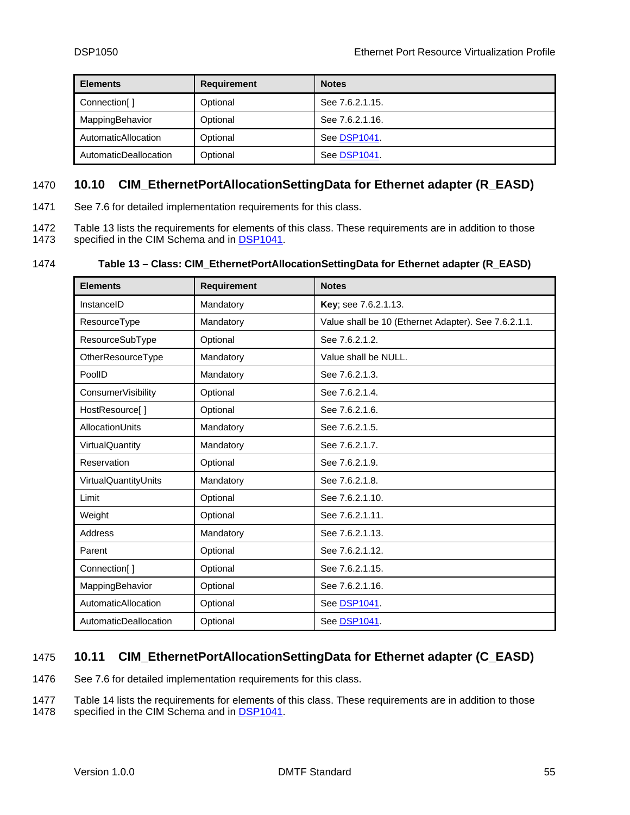| <b>Elements</b>       | <b>Requirement</b> | <b>Notes</b>    |
|-----------------------|--------------------|-----------------|
| Connection[]          | Optional           | See 7.6.2.1.15. |
| MappingBehavior       | Optional           | See 7.6.2.1.16. |
| AutomaticAllocation   | Optional           | See DSP1041.    |
| AutomaticDeallocation | Optional           | See DSP1041.    |

## <span id="page-54-0"></span>1470 **10.10 CIM\_EthernetPortAllocationSettingData for Ethernet adapter (R\_EASD)**

1471 See [7.6](#page-24-0) for detailed implementation requirements for this class.

1472 [Table 13](#page-54-2) lists the requirements for elements of this class. These requirements are in addition to those 1473 specified in the CIM Schema and in [DSP1041.](#page-8-2)

#### <span id="page-54-2"></span>1474 **Table 13 – Class: CIM\_EthernetPortAllocationSettingData for Ethernet adapter (R\_EASD)**

| <b>Elements</b>       | Requirement | <b>Notes</b>                                         |
|-----------------------|-------------|------------------------------------------------------|
| InstanceID            | Mandatory   | Key; see 7.6.2.1.13.                                 |
| ResourceType          | Mandatory   | Value shall be 10 (Ethernet Adapter). See 7.6.2.1.1. |
| ResourceSubType       | Optional    | See 7.6.2.1.2.                                       |
| OtherResourceType     | Mandatory   | Value shall be NULL.                                 |
| PoolID                | Mandatory   | See 7.6.2.1.3.                                       |
| ConsumerVisibility    | Optional    | See 7.6.2.1.4.                                       |
| HostResource[]        | Optional    | See 7.6.2.1.6.                                       |
| AllocationUnits       | Mandatory   | See 7.6.2.1.5.                                       |
| VirtualQuantity       | Mandatory   | See 7.6.2.1.7.                                       |
| Reservation           | Optional    | See 7.6.2.1.9.                                       |
| VirtualQuantityUnits  | Mandatory   | See 7.6.2.1.8.                                       |
| Limit                 | Optional    | See 7.6.2.1.10.                                      |
| Weight                | Optional    | See 7.6.2.1.11.                                      |
| Address               | Mandatory   | See 7.6.2.1.13.                                      |
| Parent                | Optional    | See 7.6.2.1.12.                                      |
| Connection[]          | Optional    | See 7.6.2.1.15.                                      |
| MappingBehavior       | Optional    | See 7.6.2.1.16.                                      |
| AutomaticAllocation   | Optional    | See DSP1041.                                         |
| AutomaticDeallocation | Optional    | See DSP1041.                                         |

## <span id="page-54-1"></span>1475 **10.11 CIM\_EthernetPortAllocationSettingData for Ethernet adapter (C\_EASD)**

1476 See [7.6](#page-24-0) for detailed implementation requirements for this class.

1477 [Table 14](#page-55-1) lists the requirements for elements of this class. These requirements are in addition to those 1478 specified in the CIM Schema and in [DSP1041.](#page-8-2)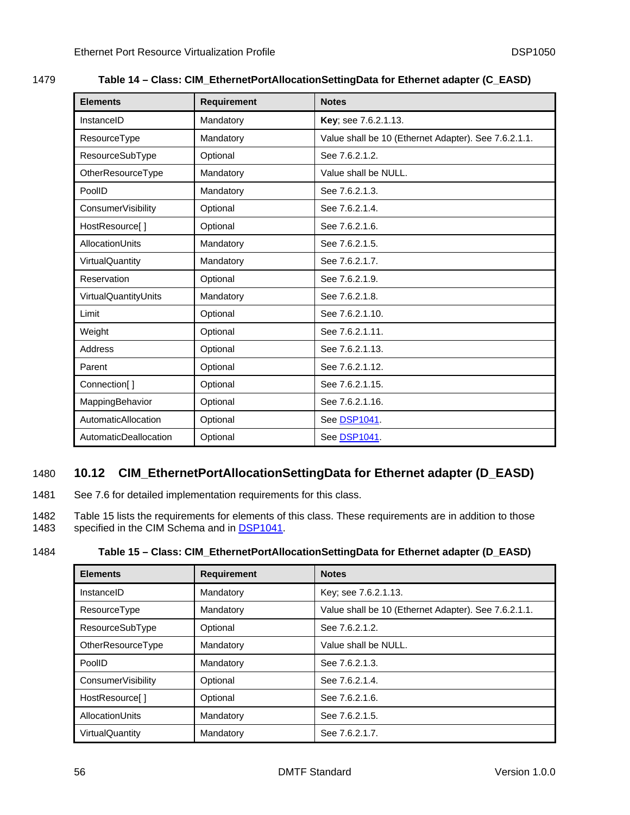<span id="page-55-1"></span>

|  | ۰, |  |
|--|----|--|
|--|----|--|

Table 14 – Class: CIM\_EthernetPortAllocationSettingData for Ethernet adapter (C\_EASD)

| <b>Elements</b>       | <b>Requirement</b> | <b>Notes</b>                                         |
|-----------------------|--------------------|------------------------------------------------------|
| InstanceID            | Mandatory          | Key; see 7.6.2.1.13.                                 |
| ResourceType          | Mandatory          | Value shall be 10 (Ethernet Adapter). See 7.6.2.1.1. |
| ResourceSubType       | Optional           | See 7.6.2.1.2.                                       |
| OtherResourceType     | Mandatory          | Value shall be NULL.                                 |
| PoolID                | Mandatory          | See 7.6.2.1.3.                                       |
| ConsumerVisibility    | Optional           | See 7.6.2.1.4.                                       |
| HostResource[]        | Optional           | See 7.6.2.1.6.                                       |
| AllocationUnits       | Mandatory          | See 7.6.2.1.5.                                       |
| VirtualQuantity       | Mandatory          | See 7.6.2.1.7.                                       |
| Reservation           | Optional           | See 7.6.2.1.9.                                       |
| VirtualQuantityUnits  | Mandatory          | See 7.6.2.1.8.                                       |
| Limit                 | Optional           | See 7.6.2.1.10.                                      |
| Weight                | Optional           | See 7.6.2.1.11.                                      |
| Address               | Optional           | See 7.6.2.1.13.                                      |
| Parent                | Optional           | See 7.6.2.1.12.                                      |
| Connection[]          | Optional           | See 7.6.2.1.15.                                      |
| MappingBehavior       | Optional           | See 7.6.2.1.16.                                      |
| AutomaticAllocation   | Optional           | See DSP1041.                                         |
| AutomaticDeallocation | Optional           | See DSP1041.                                         |

## <span id="page-55-0"></span>1480 **10.12 CIM\_EthernetPortAllocationSettingData for Ethernet adapter (D\_EASD)**

1481 See [7.6](#page-24-0) for detailed implementation requirements for this class.

1482 [Table 15](#page-55-2) lists the requirements for elements of this class. These requirements are in addition to those 1483 specified in the CIM Schema and in **DSP1041**.

### <span id="page-55-2"></span>1484 **Table 15 – Class: CIM\_EthernetPortAllocationSettingData for Ethernet adapter (D\_EASD)**

| <b>Elements</b>     | <b>Requirement</b> | <b>Notes</b>                                         |
|---------------------|--------------------|------------------------------------------------------|
| InstanceID          | Mandatory          | Key; see 7.6.2.1.13.                                 |
| <b>ResourceType</b> | Mandatory          | Value shall be 10 (Ethernet Adapter). See 7.6.2.1.1. |
| ResourceSubType     | Optional           | See 7.6.2.1.2.                                       |
| OtherResourceType   | Mandatory          | Value shall be NULL.                                 |
| PoolID              | Mandatory          | See 7.6.2.1.3.                                       |
| ConsumerVisibility  | Optional           | See 7.6.2.1.4.                                       |
| HostResourcel 1     | Optional           | See 7.6.2.1.6.                                       |
| AllocationUnits     | Mandatory          | See 7.6.2.1.5.                                       |
| VirtualQuantity     | Mandatory          | See 7.6.2.1.7.                                       |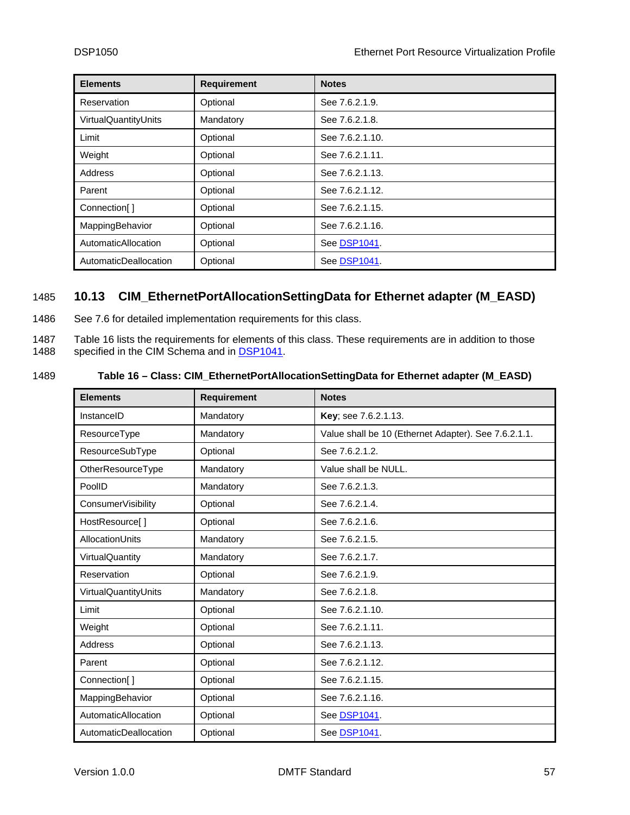| <b>Elements</b>       | <b>Requirement</b> | <b>Notes</b>    |
|-----------------------|--------------------|-----------------|
| Reservation           | Optional           | See 7.6.2.1.9.  |
| VirtualQuantityUnits  | Mandatory          | See 7.6.2.1.8.  |
| Limit                 | Optional           | See 7.6.2.1.10. |
| Weight                | Optional           | See 7.6.2.1.11. |
| Address               | Optional           | See 7.6.2.1.13. |
| Parent                | Optional           | See 7.6.2.1.12. |
| Connection[]          | Optional           | See 7.6.2.1.15. |
| MappingBehavior       | Optional           | See 7.6.2.1.16. |
| AutomaticAllocation   | Optional           | See DSP1041.    |
| AutomaticDeallocation | Optional           | See DSP1041.    |

## <span id="page-56-0"></span>1485 **10.13 CIM\_EthernetPortAllocationSettingData for Ethernet adapter (M\_EASD)**

- 1486 See [7.6](#page-24-0) for detailed implementation requirements for this class.
- 1487 [Table 16](#page-56-1) lists the requirements for elements of this class. These requirements are in addition to those<br>1488 specified in the CIM Schema and in **DSP1041**. specified in the CIM Schema and in [DSP1041.](#page-8-2)
- 

#### <span id="page-56-1"></span>1489 **Table 16 – Class: CIM\_EthernetPortAllocationSettingData for Ethernet adapter (M\_EASD)**

| <b>Elements</b>       | <b>Requirement</b> | <b>Notes</b>                                         |
|-----------------------|--------------------|------------------------------------------------------|
| InstanceID            | Mandatory          | Key; see 7.6.2.1.13.                                 |
| ResourceType          | Mandatory          | Value shall be 10 (Ethernet Adapter). See 7.6.2.1.1. |
| ResourceSubType       | Optional           | See 7.6.2.1.2.                                       |
| OtherResourceType     | Mandatory          | Value shall be NULL.                                 |
| PoolID                | Mandatory          | See 7.6.2.1.3.                                       |
| ConsumerVisibility    | Optional           | See 7.6.2.1.4.                                       |
| HostResource[]        | Optional           | See 7.6.2.1.6.                                       |
| AllocationUnits       | Mandatory          | See 7.6.2.1.5.                                       |
| VirtualQuantity       | Mandatory          | See 7.6.2.1.7.                                       |
| Reservation           | Optional           | See 7.6.2.1.9.                                       |
| VirtualQuantityUnits  | Mandatory          | See 7.6.2.1.8.                                       |
| Limit                 | Optional           | See 7.6.2.1.10.                                      |
| Weight                | Optional           | See 7.6.2.1.11.                                      |
| Address               | Optional           | See 7.6.2.1.13.                                      |
| Parent                | Optional           | See 7.6.2.1.12.                                      |
| Connection[]          | Optional           | See 7.6.2.1.15.                                      |
| MappingBehavior       | Optional           | See 7.6.2.1.16.                                      |
| AutomaticAllocation   | Optional           | See DSP1041.                                         |
| AutomaticDeallocation | Optional           | See DSP1041.                                         |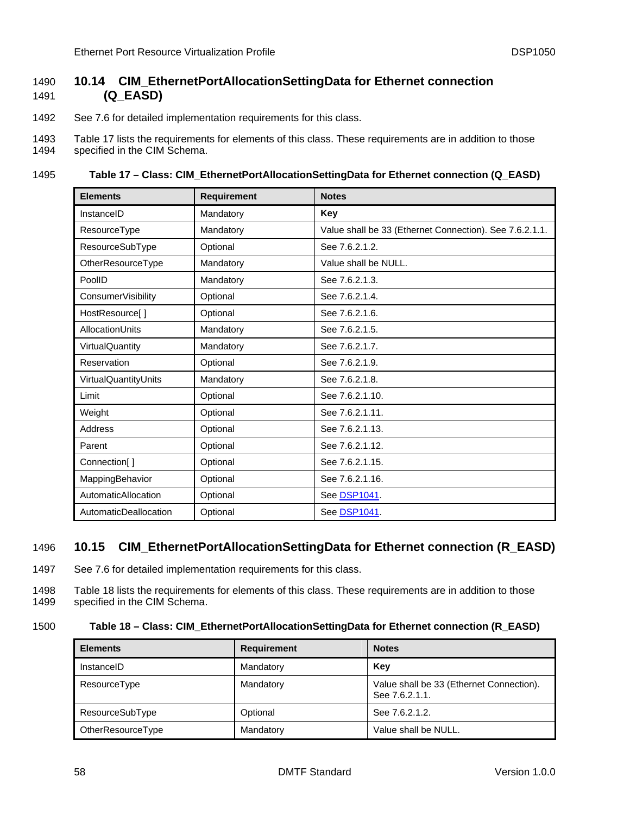## <span id="page-57-0"></span>1490 **10.14 CIM\_EthernetPortAllocationSettingData for Ethernet connection**  1491 **(Q\_EASD)**

- 1492 See [7.6](#page-24-0) for detailed implementation requirements for this class.
- 1493 [Table 17](#page-57-2) lists the requirements for elements of this class. These requirements are in addition to those
- 1494 specified in the CIM Schema.

#### <span id="page-57-2"></span>1495 **Table 17 – Class: CIM\_EthernetPortAllocationSettingData for Ethernet connection (Q\_EASD)**

| <b>Elements</b>       | <b>Requirement</b> | <b>Notes</b>                                            |
|-----------------------|--------------------|---------------------------------------------------------|
| InstanceID            | Mandatory          | <b>Key</b>                                              |
| ResourceType          | Mandatory          | Value shall be 33 (Ethernet Connection). See 7.6.2.1.1. |
| ResourceSubType       | Optional           | See 7.6.2.1.2.                                          |
| OtherResourceType     | Mandatory          | Value shall be NULL.                                    |
| PoolID                | Mandatory          | See 7.6.2.1.3.                                          |
| ConsumerVisibility    | Optional           | See 7.6.2.1.4.                                          |
| HostResourcel 1       | Optional           | See 7.6.2.1.6.                                          |
| AllocationUnits       | Mandatory          | See 7.6.2.1.5.                                          |
| VirtualQuantity       | Mandatory          | See 7.6.2.1.7.                                          |
| Reservation           | Optional           | See 7.6.2.1.9.                                          |
| VirtualQuantityUnits  | Mandatory          | See 7.6.2.1.8.                                          |
| Limit                 | Optional           | See 7.6.2.1.10.                                         |
| Weight                | Optional           | See 7.6.2.1.11.                                         |
| Address               | Optional           | See 7.6.2.1.13.                                         |
| Parent                | Optional           | See 7.6.2.1.12.                                         |
| Connection[]          | Optional           | See 7.6.2.1.15.                                         |
| MappingBehavior       | Optional           | See 7.6.2.1.16.                                         |
| AutomaticAllocation   | Optional           | See DSP1041.                                            |
| AutomaticDeallocation | Optional           | See DSP1041.                                            |

## <span id="page-57-1"></span>1496 **10.15 CIM\_EthernetPortAllocationSettingData for Ethernet connection (R\_EASD)**

1497 See [7.6](#page-24-0) for detailed implementation requirements for this class.

1498 [Table 18](#page-57-3) lists the requirements for elements of this class. These requirements are in addition to those 1499 specified in the CIM Schema.

#### <span id="page-57-3"></span>1500 **Table 18 – Class: CIM\_EthernetPortAllocationSettingData for Ethernet connection (R\_EASD)**

| <b>Elements</b>   | <b>Requirement</b> | <b>Notes</b>                                               |
|-------------------|--------------------|------------------------------------------------------------|
| InstanceID        | Mandatory          | Key                                                        |
| ResourceType      | Mandatory          | Value shall be 33 (Ethernet Connection).<br>See 7.6.2.1.1. |
| ResourceSubType   | Optional           | See 7.6.2.1.2.                                             |
| OtherResourceType | Mandatory          | Value shall be NULL.                                       |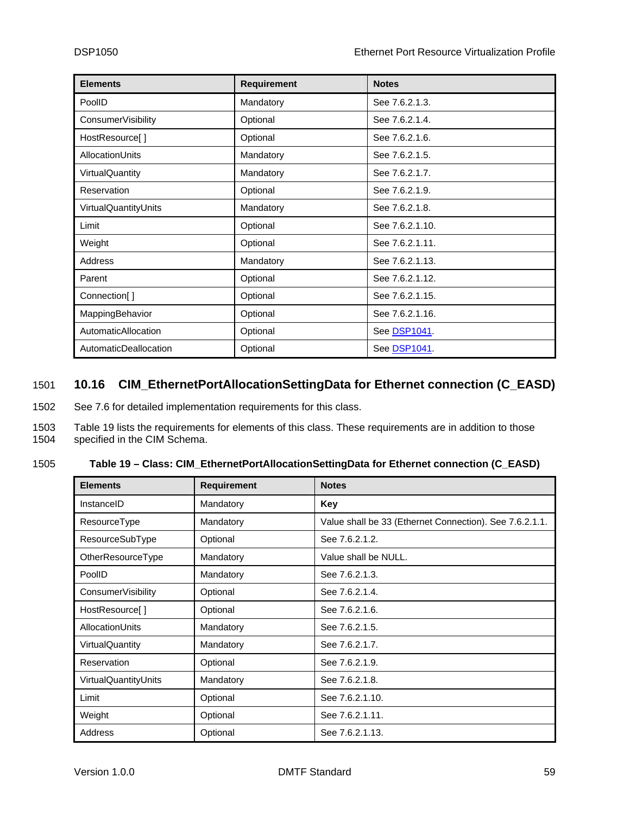| <b>Elements</b>       | <b>Requirement</b> | <b>Notes</b>    |
|-----------------------|--------------------|-----------------|
| PoolID                | Mandatory          | See 7.6.2.1.3.  |
| ConsumerVisibility    | Optional           | See 7.6.2.1.4.  |
| HostResource[]        | Optional           | See 7.6.2.1.6.  |
| AllocationUnits       | Mandatory          | See 7.6.2.1.5.  |
| VirtualQuantity       | Mandatory          | See 7.6.2.1.7.  |
| Reservation           | Optional           | See 7.6.2.1.9.  |
| VirtualQuantityUnits  | Mandatory          | See 7.6.2.1.8.  |
| Limit                 | Optional           | See 7.6.2.1.10. |
| Weight                | Optional           | See 7.6.2.1.11. |
| Address               | Mandatory          | See 7.6.2.1.13. |
| Parent                | Optional           | See 7.6.2.1.12. |
| Connection[]          | Optional           | See 7.6.2.1.15. |
| MappingBehavior       | Optional           | See 7.6.2.1.16. |
| AutomaticAllocation   | Optional           | See DSP1041.    |
| AutomaticDeallocation | Optional           | See DSP1041.    |

## <span id="page-58-0"></span>1501 **10.16 CIM\_EthernetPortAllocationSettingData for Ethernet connection (C\_EASD)**

1502 See [7.6](#page-24-0) for detailed implementation requirements for this class.

1503 [Table 19](#page-58-1) lists the requirements for elements of this class. These requirements are in addition to those 1504 specified in the CIM Schema. specified in the CIM Schema.

#### <span id="page-58-1"></span>1505 **Table 19 – Class: CIM\_EthernetPortAllocationSettingData for Ethernet connection (C\_EASD)**

| <b>Elements</b>      | <b>Requirement</b> | <b>Notes</b>                                            |
|----------------------|--------------------|---------------------------------------------------------|
| InstanceID           | Mandatory          | Key                                                     |
| ResourceType         | Mandatory          | Value shall be 33 (Ethernet Connection). See 7.6.2.1.1. |
| ResourceSubType      | Optional           | See 7.6.2.1.2.                                          |
| OtherResourceType    | Mandatory          | Value shall be NULL.                                    |
| PoolID               | Mandatory          | See 7.6.2.1.3.                                          |
| ConsumerVisibility   | Optional           | See 7.6.2.1.4.                                          |
| HostResource[]       | Optional           | See 7.6.2.1.6.                                          |
| AllocationUnits      | Mandatory          | See 7.6.2.1.5.                                          |
| VirtualQuantity      | Mandatory          | See 7.6.2.1.7.                                          |
| Reservation          | Optional           | See 7.6.2.1.9.                                          |
| VirtualQuantityUnits | Mandatory          | See 7.6.2.1.8.                                          |
| Limit                | Optional           | See 7.6.2.1.10.                                         |
| Weight               | Optional           | See 7.6.2.1.11.                                         |
| Address              | Optional           | See 7.6.2.1.13.                                         |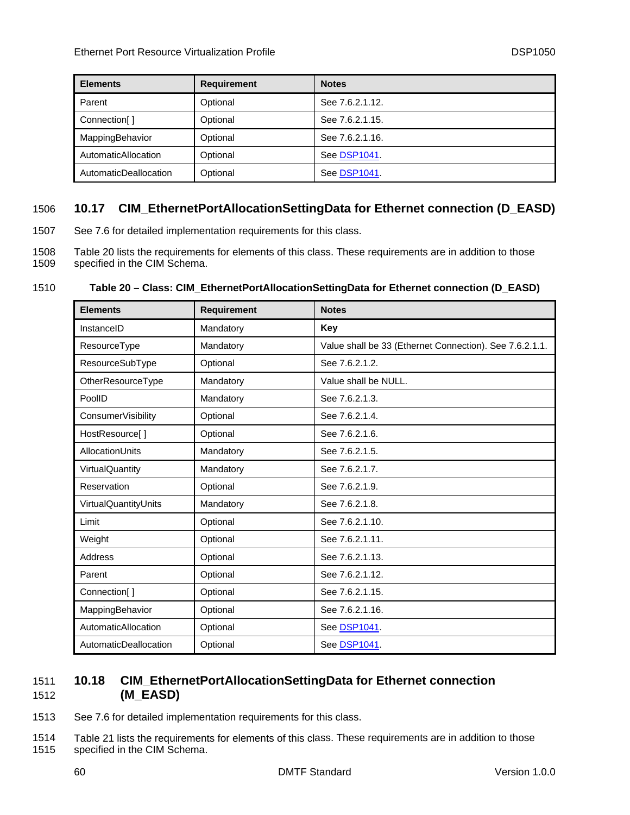| <b>Elements</b>       | <b>Requirement</b> | <b>Notes</b>    |
|-----------------------|--------------------|-----------------|
| Parent                | Optional           | See 7.6.2.1.12. |
| Connection[]          | Optional           | See 7.6.2.1.15. |
| MappingBehavior       | Optional           | See 7.6.2.1.16. |
| AutomaticAllocation   | Optional           | See DSP1041.    |
| AutomaticDeallocation | Optional           | See DSP1041.    |

## <span id="page-59-0"></span>1506 **10.17 CIM\_EthernetPortAllocationSettingData for Ethernet connection (D\_EASD)**

- 1507 See [7.6](#page-24-0) for detailed implementation requirements for this class.
- 1508 [Table 20](#page-59-2) lists the requirements for elements of this class. These requirements are in addition to those 1509 specified in the CIM Schema.

| <b>Elements</b>       | <b>Requirement</b> | <b>Notes</b>                                            |
|-----------------------|--------------------|---------------------------------------------------------|
| InstanceID            | Mandatory          | Key                                                     |
| ResourceType          | Mandatory          | Value shall be 33 (Ethernet Connection). See 7.6.2.1.1. |
| ResourceSubType       | Optional           | See 7.6.2.1.2.                                          |
| OtherResourceType     | Mandatory          | Value shall be NULL.                                    |
| PoolID                | Mandatory          | See 7.6.2.1.3.                                          |
| ConsumerVisibility    | Optional           | See 7.6.2.1.4.                                          |
| HostResource[]        | Optional           | See 7.6.2.1.6.                                          |
| AllocationUnits       | Mandatory          | See 7.6.2.1.5.                                          |
| VirtualQuantity       | Mandatory          | See 7.6.2.1.7.                                          |
| Reservation           | Optional           | See 7.6.2.1.9.                                          |
| VirtualQuantityUnits  | Mandatory          | See 7.6.2.1.8.                                          |
| Limit                 | Optional           | See 7.6.2.1.10.                                         |
| Weight                | Optional           | See 7.6.2.1.11.                                         |
| <b>Address</b>        | Optional           | See 7.6.2.1.13.                                         |
| Parent                | Optional           | See 7.6.2.1.12.                                         |
| Connection[]          | Optional           | See 7.6.2.1.15.                                         |
| MappingBehavior       | Optional           | See 7.6.2.1.16.                                         |
| AutomaticAllocation   | Optional           | See DSP1041.                                            |
| AutomaticDeallocation | Optional           | See DSP1041.                                            |

#### <span id="page-59-2"></span>1510 **Table 20 – Class: CIM\_EthernetPortAllocationSettingData for Ethernet connection (D\_EASD)**

## <span id="page-59-1"></span>1511 **10.18 CIM\_EthernetPortAllocationSettingData for Ethernet connection**  1512 **(M\_EASD)**

- 1513 See [7.6](#page-24-0) for detailed implementation requirements for this class.
- 1514 [Table 21](#page-60-1) lists the requirements for elements of this class. These requirements are in addition to those 1515 specified in the CIM Schema.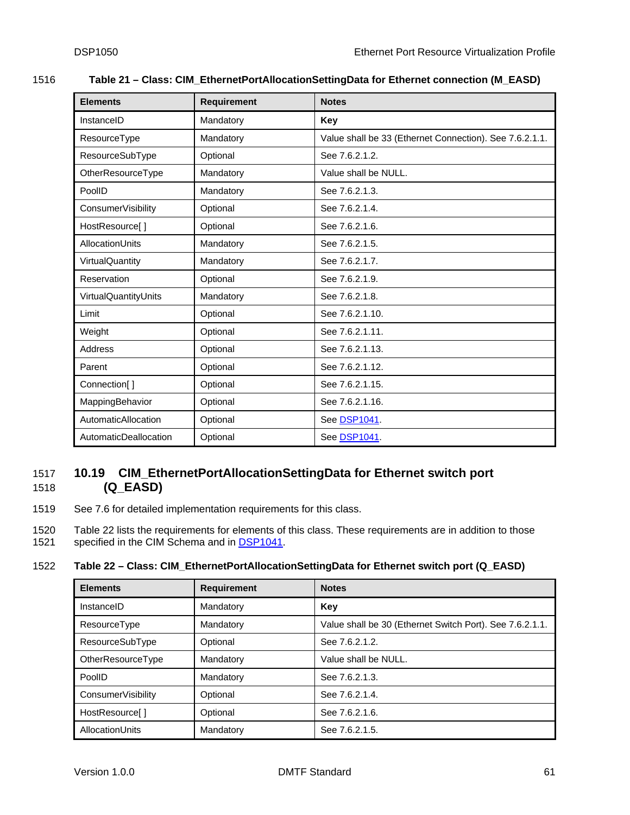<span id="page-60-1"></span>

| w<br>۰. |  | ×<br>۰. |
|---------|--|---------|
|---------|--|---------|

1516 **Table 21 – Class: CIM\_EthernetPortAllocationSettingData for Ethernet connection (M\_EASD)** 

| <b>Elements</b>       | <b>Requirement</b> | <b>Notes</b>                                            |
|-----------------------|--------------------|---------------------------------------------------------|
| InstanceID            | Mandatory          | Key                                                     |
| ResourceType          | Mandatory          | Value shall be 33 (Ethernet Connection). See 7.6.2.1.1. |
| ResourceSubType       | Optional           | See 7.6.2.1.2.                                          |
| OtherResourceType     | Mandatory          | Value shall be NULL.                                    |
| PoolID                | Mandatory          | See 7.6.2.1.3.                                          |
| ConsumerVisibility    | Optional           | See 7.6.2.1.4.                                          |
| HostResource[]        | Optional           | See 7.6.2.1.6.                                          |
| AllocationUnits       | Mandatory          | See 7.6.2.1.5.                                          |
| VirtualQuantity       | Mandatory          | See 7.6.2.1.7.                                          |
| Reservation           | Optional           | See 7.6.2.1.9.                                          |
| VirtualQuantityUnits  | Mandatory          | See 7.6.2.1.8.                                          |
| Limit                 | Optional           | See 7.6.2.1.10.                                         |
| Weight                | Optional           | See 7.6.2.1.11.                                         |
| Address               | Optional           | See 7.6.2.1.13.                                         |
| Parent                | Optional           | See 7.6.2.1.12.                                         |
| Connection[]          | Optional           | See 7.6.2.1.15.                                         |
| MappingBehavior       | Optional           | See 7.6.2.1.16.                                         |
| AutomaticAllocation   | Optional           | See DSP1041.                                            |
| AutomaticDeallocation | Optional           | See DSP1041.                                            |

## <span id="page-60-0"></span>1517 **10.19 CIM\_EthernetPortAllocationSettingData for Ethernet switch port**  1518 **(Q\_EASD)**

1519 See [7.6](#page-24-0) for detailed implementation requirements for this class.

1520 [Table 22](#page-60-2) lists the requirements for elements of this class. These requirements are in addition to those 1521 specified in the CIM Schema and in **DSP1041**. specified in the CIM Schema and in [DSP1041.](#page-8-2)

#### <span id="page-60-2"></span>1522 **Table 22 – Class: CIM\_EthernetPortAllocationSettingData for Ethernet switch port (Q\_EASD)**

| <b>Elements</b>    | <b>Requirement</b> | <b>Notes</b>                                             |
|--------------------|--------------------|----------------------------------------------------------|
| InstanceID         | Mandatory          | Key                                                      |
| ResourceType       | Mandatory          | Value shall be 30 (Ethernet Switch Port). See 7.6.2.1.1. |
| ResourceSubType    | Optional           | See 7.6.2.1.2.                                           |
| OtherResourceType  | Mandatory          | Value shall be NULL.                                     |
| PoolID             | Mandatory          | See 7.6.2.1.3.                                           |
| ConsumerVisibility | Optional           | See 7.6.2.1.4.                                           |
| HostResourcel 1    | Optional           | See 7.6.2.1.6.                                           |
| AllocationUnits    | Mandatory          | See 7.6.2.1.5.                                           |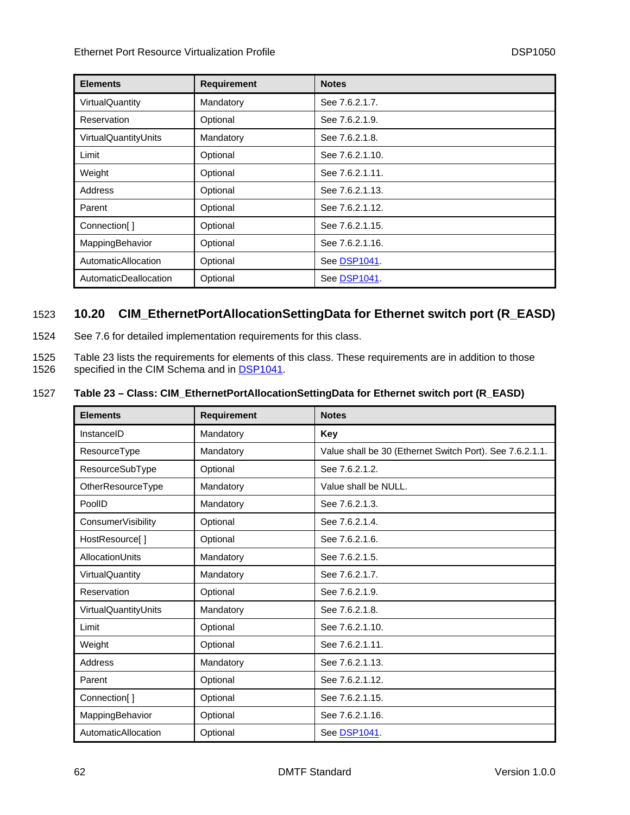| <b>Elements</b>            | <b>Requirement</b> | <b>Notes</b>    |
|----------------------------|--------------------|-----------------|
| VirtualQuantity            | Mandatory          | See 7.6.2.1.7.  |
| Reservation                | Optional           | See 7.6.2.1.9.  |
| VirtualQuantityUnits       | Mandatory          | See 7.6.2.1.8.  |
| Limit                      | Optional           | See 7.6.2.1.10. |
| Weight                     | Optional           | See 7.6.2.1.11. |
| Address                    | Optional           | See 7.6.2.1.13. |
| Parent                     | Optional           | See 7.6.2.1.12. |
| Connection <sup>[1</sup> ] | Optional           | See 7.6.2.1.15. |
| MappingBehavior            | Optional           | See 7.6.2.1.16. |
| AutomaticAllocation        | Optional           | See DSP1041.    |
| AutomaticDeallocation      | Optional           | See DSP1041.    |

## <span id="page-61-0"></span>1523 **10.20 CIM\_EthernetPortAllocationSettingData for Ethernet switch port (R\_EASD)**

1524 See [7.6](#page-24-0) for detailed implementation requirements for this class.

1525 [Table 23](#page-61-1) lists the requirements for elements of this class. These requirements are in addition to those<br>1526 specified in the CIM Schema and in DSP1041. specified in the CIM Schema and in [DSP1041.](#page-8-2)

#### <span id="page-61-1"></span>1527 **Table 23 – Class: CIM\_EthernetPortAllocationSettingData for Ethernet switch port (R\_EASD)**

| <b>Elements</b>      | <b>Requirement</b> | <b>Notes</b>                                             |
|----------------------|--------------------|----------------------------------------------------------|
| InstanceID           | Mandatory          | <b>Key</b>                                               |
| ResourceType         | Mandatory          | Value shall be 30 (Ethernet Switch Port). See 7.6.2.1.1. |
| ResourceSubType      | Optional           | See 7.6.2.1.2.                                           |
| OtherResourceType    | Mandatory          | Value shall be NULL.                                     |
| PoolID               | Mandatory          | See 7.6.2.1.3.                                           |
| ConsumerVisibility   | Optional           | See 7.6.2.1.4.                                           |
| HostResource[]       | Optional           | See 7.6.2.1.6.                                           |
| AllocationUnits      | Mandatory          | See 7.6.2.1.5.                                           |
| VirtualQuantity      | Mandatory          | See 7.6.2.1.7.                                           |
| Reservation          | Optional           | See 7.6.2.1.9.                                           |
| VirtualQuantityUnits | Mandatory          | See 7.6.2.1.8.                                           |
| Limit                | Optional           | See 7.6.2.1.10.                                          |
| Weight               | Optional           | See 7.6.2.1.11.                                          |
| Address              | Mandatory          | See 7.6.2.1.13.                                          |
| Parent               | Optional           | See 7.6.2.1.12.                                          |
| Connection[]         | Optional           | See 7.6.2.1.15.                                          |
| MappingBehavior      | Optional           | See 7.6.2.1.16.                                          |
| AutomaticAllocation  | Optional           | See DSP1041.                                             |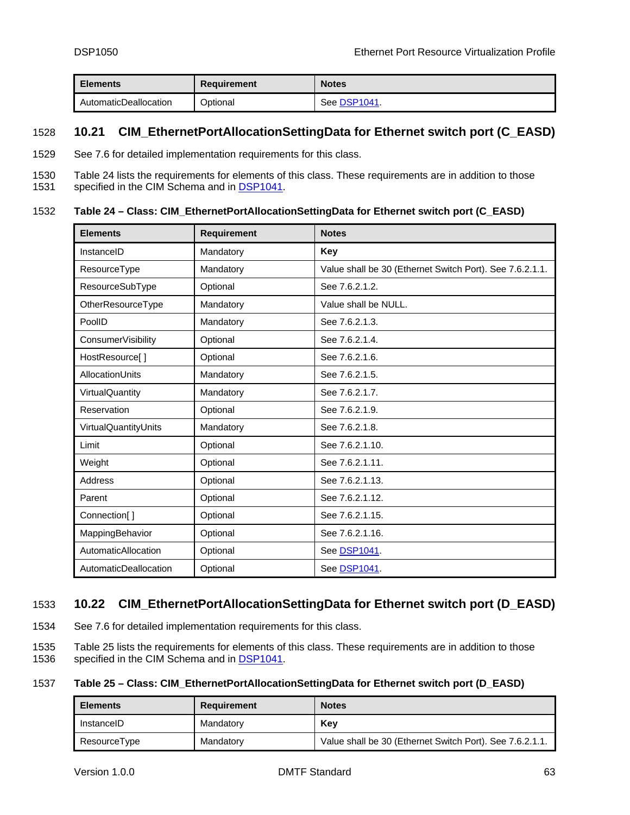| <b>Elements</b>       | Requirement | <b>Notes</b> |
|-----------------------|-------------|--------------|
| AutomaticDeallocation | Optional    | See DSP1041  |

## <span id="page-62-0"></span>1528 **10.21 CIM\_EthernetPortAllocationSettingData for Ethernet switch port (C\_EASD)**

1529 See [7.6](#page-24-0) for detailed implementation requirements for this class.

1530 [Table 24](#page-62-2) lists the requirements for elements of this class. These requirements are in addition to those 1531 specified in the CIM Schema and in [DSP1041.](#page-8-2)

#### <span id="page-62-2"></span>1532 **Table 24 – Class: CIM\_EthernetPortAllocationSettingData for Ethernet switch port (C\_EASD)**

| <b>Elements</b>       | <b>Requirement</b> | <b>Notes</b>                                             |
|-----------------------|--------------------|----------------------------------------------------------|
| InstanceID            | Mandatory          | <b>Key</b>                                               |
| ResourceType          | Mandatory          | Value shall be 30 (Ethernet Switch Port). See 7.6.2.1.1. |
| ResourceSubType       | Optional           | See 7.6.2.1.2.                                           |
| OtherResourceType     | Mandatory          | Value shall be NULL.                                     |
| PoolID                | Mandatory          | See 7.6.2.1.3.                                           |
| ConsumerVisibility    | Optional           | See 7.6.2.1.4.                                           |
| HostResource[]        | Optional           | See 7.6.2.1.6.                                           |
| AllocationUnits       | Mandatory          | See 7.6.2.1.5.                                           |
| VirtualQuantity       | Mandatory          | See 7.6.2.1.7.                                           |
| Reservation           | Optional           | See 7.6.2.1.9.                                           |
| VirtualQuantityUnits  | Mandatory          | See 7.6.2.1.8.                                           |
| Limit                 | Optional           | See 7.6.2.1.10.                                          |
| Weight                | Optional           | See 7.6.2.1.11.                                          |
| Address               | Optional           | See 7.6.2.1.13.                                          |
| Parent                | Optional           | See 7.6.2.1.12.                                          |
| Connection[]          | Optional           | See 7.6.2.1.15.                                          |
| MappingBehavior       | Optional           | See 7.6.2.1.16.                                          |
| AutomaticAllocation   | Optional           | See DSP1041.                                             |
| AutomaticDeallocation | Optional           | See DSP1041.                                             |

## <span id="page-62-1"></span>1533 **10.22 CIM\_EthernetPortAllocationSettingData for Ethernet switch port (D\_EASD)**

1534 See [7.6](#page-24-0) for detailed implementation requirements for this class.

1535 [Table 25](#page-62-3) lists the requirements for elements of this class. These requirements are in addition to those 1536 specified in the CIM Schema and in [DSP1041.](#page-8-2)

#### <span id="page-62-3"></span>1537 **Table 25 – Class: CIM\_EthernetPortAllocationSettingData for Ethernet switch port (D\_EASD)**

| <b>Elements</b> | Requirement | <b>Notes</b>                                             |
|-----------------|-------------|----------------------------------------------------------|
| InstanceID      | Mandatory   | Kev                                                      |
| ResourceType    | Mandatory   | Value shall be 30 (Ethernet Switch Port). See 7.6.2.1.1. |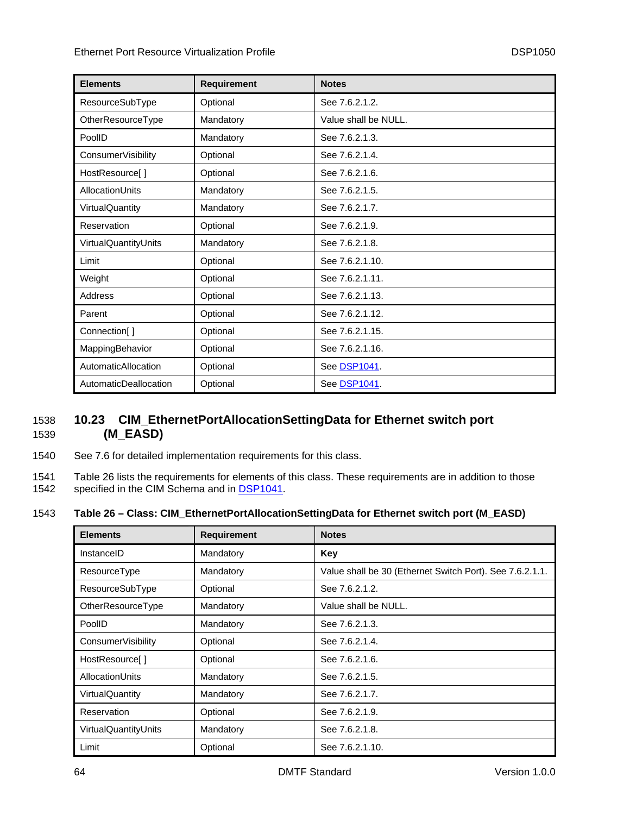| <b>Elements</b>       | <b>Requirement</b> | <b>Notes</b>         |
|-----------------------|--------------------|----------------------|
| ResourceSubType       | Optional           | See 7.6.2.1.2.       |
| OtherResourceType     | Mandatory          | Value shall be NULL. |
| PoolID                | Mandatory          | See 7.6.2.1.3.       |
| ConsumerVisibility    | Optional           | See 7.6.2.1.4.       |
| HostResource[]        | Optional           | See 7.6.2.1.6.       |
| AllocationUnits       | Mandatory          | See 7.6.2.1.5.       |
| VirtualQuantity       | Mandatory          | See 7.6.2.1.7.       |
| Reservation           | Optional           | See 7.6.2.1.9.       |
| VirtualQuantityUnits  | Mandatory          | See 7.6.2.1.8.       |
| Limit                 | Optional           | See 7.6.2.1.10.      |
| Weight                | Optional           | See 7.6.2.1.11.      |
| Address               | Optional           | See 7.6.2.1.13.      |
| Parent                | Optional           | See 7.6.2.1.12.      |
| Connection[]          | Optional           | See 7.6.2.1.15.      |
| MappingBehavior       | Optional           | See 7.6.2.1.16.      |
| AutomaticAllocation   | Optional           | See DSP1041.         |
| AutomaticDeallocation | Optional           | See DSP1041.         |

## <span id="page-63-0"></span>1538 **10.23 CIM\_EthernetPortAllocationSettingData for Ethernet switch port**  1539 **(M\_EASD)**

1540 See [7.6](#page-24-0) for detailed implementation requirements for this class.

1541 [Table 26](#page-63-1) lists the requirements for elements of this class. These requirements are in addition to those 1542 specified in the CIM Schema and in DSP1041. specified in the CIM Schema and in [DSP1041.](#page-8-2)

#### <span id="page-63-1"></span>1543 **Table 26 – Class: CIM\_EthernetPortAllocationSettingData for Ethernet switch port (M\_EASD)**

| <b>Elements</b>            | <b>Requirement</b> | <b>Notes</b>                                             |
|----------------------------|--------------------|----------------------------------------------------------|
| InstanceID                 | Mandatory          | Key                                                      |
| ResourceType               | Mandatory          | Value shall be 30 (Ethernet Switch Port). See 7.6.2.1.1. |
| ResourceSubType            | Optional           | See 7.6.2.1.2.                                           |
| OtherResourceType          | Mandatory          | Value shall be NULL.                                     |
| PoolID                     | Mandatory          | See 7.6.2.1.3.                                           |
| Consumer Visibility        | Optional           | See 7.6.2.1.4.                                           |
| HostResource <sup>[]</sup> | Optional           | See 7.6.2.1.6.                                           |
| AllocationUnits            | Mandatory          | See 7.6.2.1.5.                                           |
| VirtualQuantity            | Mandatory          | See 7.6.2.1.7.                                           |
| Reservation                | Optional           | See 7.6.2.1.9.                                           |
| VirtualQuantityUnits       | Mandatory          | See 7.6.2.1.8.                                           |
| Limit                      | Optional           | See 7.6.2.1.10.                                          |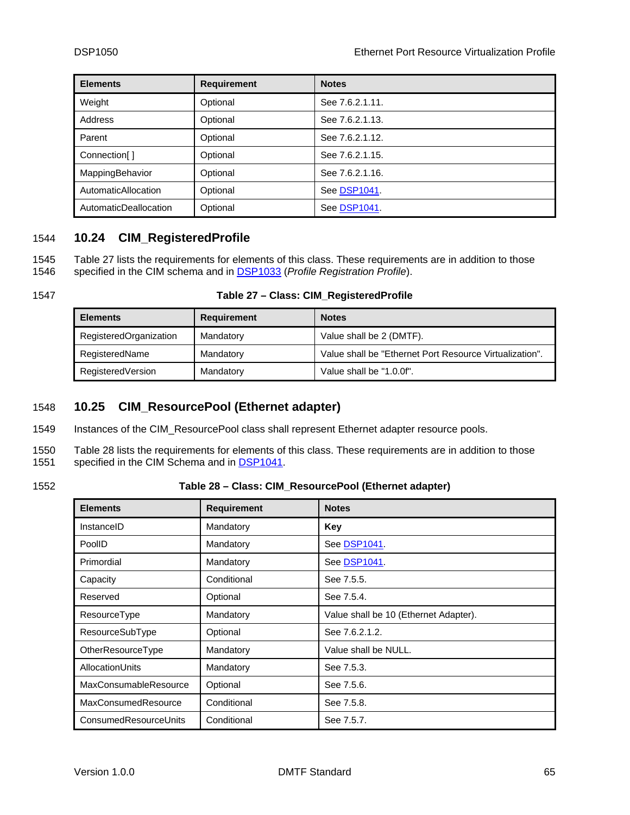| <b>Elements</b>       | <b>Requirement</b> | <b>Notes</b>    |
|-----------------------|--------------------|-----------------|
| Weight                | Optional           | See 7.6.2.1.11. |
| Address               | Optional           | See 7.6.2.1.13. |
| Parent                | Optional           | See 7.6.2.1.12. |
| Connection[]          | Optional           | See 7.6.2.1.15. |
| MappingBehavior       | Optional           | See 7.6.2.1.16. |
| AutomaticAllocation   | Optional           | See DSP1041.    |
| AutomaticDeallocation | Optional           | See DSP1041.    |

## <span id="page-64-0"></span>1544 **10.24 CIM\_RegisteredProfile**

- 1545 [Table 27](#page-64-2) lists the requirements for elements of this class. These requirements are in addition to those 1546 specified in the CIM schema and in DSP1033 (*Profile Registration Profile*).
- specified in the CIM schema and in **DSP1033** (*Profile Registration Profile*).

<span id="page-64-4"></span><span id="page-64-2"></span>1547 **Table 27 – Class: CIM\_RegisteredProfile** 

| <b>Elements</b>        | <b>Requirement</b> | <b>Notes</b>                                            |
|------------------------|--------------------|---------------------------------------------------------|
| RegisteredOrganization | Mandatory          | Value shall be 2 (DMTF).                                |
| RegisteredName         | Mandatory          | Value shall be "Ethernet Port Resource Virtualization". |
| RegisteredVersion      | Mandatory          | Value shall be "1.0.0f".                                |

## <span id="page-64-1"></span>1548 **10.25 CIM\_ResourcePool (Ethernet adapter)**

- 1549 Instances of the CIM\_ResourcePool class shall represent Ethernet adapter resource pools.
- 1550 [Table 28](#page-64-3) lists the requirements for elements of this class. These requirements are in addition to those 1551 specified in the CIM Schema and in **DSP1041**.

### <span id="page-64-3"></span>1552 **Table 28 – Class: CIM\_ResourcePool (Ethernet adapter)**

| <b>Elements</b>              | Requirement | <b>Notes</b>                          |
|------------------------------|-------------|---------------------------------------|
| InstanceID                   | Mandatory   | Key                                   |
| PoolID                       | Mandatory   | See DSP1041.                          |
| Primordial                   | Mandatory   | See DSP1041                           |
| Capacity                     | Conditional | See 7.5.5.                            |
| Reserved                     | Optional    | See 7.5.4.                            |
| ResourceType                 | Mandatory   | Value shall be 10 (Ethernet Adapter). |
| ResourceSubType              | Optional    | See 7.6.2.1.2.                        |
| OtherResourceType            | Mandatory   | Value shall be NULL.                  |
| AllocationUnits              | Mandatory   | See 7.5.3.                            |
| <b>MaxConsumableResource</b> | Optional    | See 7.5.6.                            |
| <b>MaxConsumedResource</b>   | Conditional | See 7.5.8.                            |
| ConsumedResourceUnits        | Conditional | See 7.5.7.                            |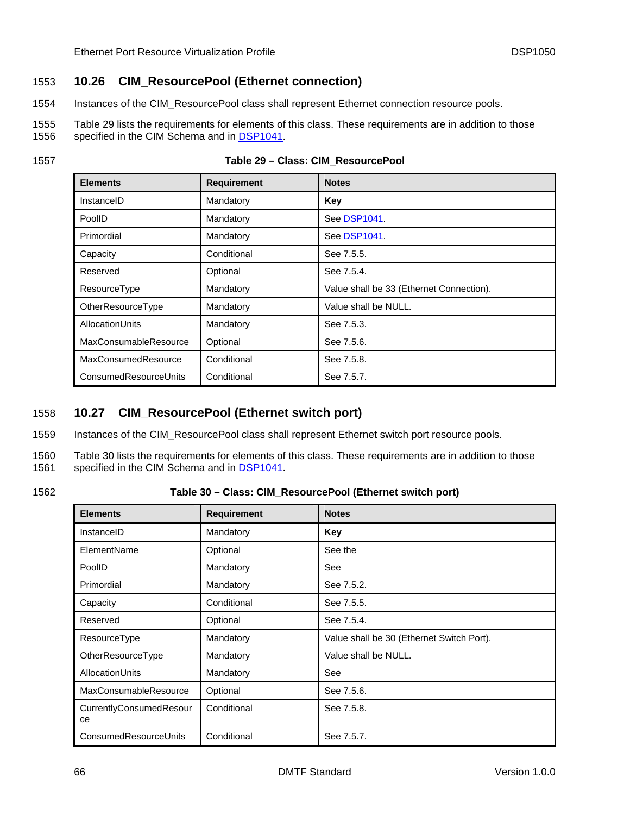## <span id="page-65-0"></span>1553 **10.26 CIM\_ResourcePool (Ethernet connection)**

- 1554 Instances of the CIM\_ResourcePool class shall represent Ethernet connection resource pools.
- 1555 [Table 29](#page-65-2) lists the requirements for elements of this class. These requirements are in addition to those 1556 specified in the CIM Schema and in [DSP1041.](#page-8-2)
- 

#### <span id="page-65-2"></span>1557 **Table 29 – Class: CIM\_ResourcePool**

| <b>Elements</b>              | <b>Requirement</b> | <b>Notes</b>                             |
|------------------------------|--------------------|------------------------------------------|
| InstanceID                   | Mandatory          | Key                                      |
| PoolID                       | Mandatory          | See DSP1041.                             |
| Primordial                   | Mandatory          | See DSP1041.                             |
| Capacity                     | Conditional        | See 7.5.5.                               |
| Reserved                     | Optional           | See 7.5.4.                               |
| ResourceType                 | Mandatory          | Value shall be 33 (Ethernet Connection). |
| OtherResourceType            | Mandatory          | Value shall be NULL.                     |
| AllocationUnits              | Mandatory          | See 7.5.3.                               |
| <b>MaxConsumableResource</b> | Optional           | See 7.5.6.                               |
| MaxConsumedResource          | Conditional        | See 7.5.8.                               |
| ConsumedResourceUnits        | Conditional        | See 7.5.7.                               |

## <span id="page-65-1"></span>1558 **10.27 CIM\_ResourcePool (Ethernet switch port)**

1559 Instances of the CIM\_ResourcePool class shall represent Ethernet switch port resource pools.

1560 [Table 30](#page-65-3) lists the requirements for elements of this class. These requirements are in addition to those 1561 specified in the CIM Schema and in [DSP1041.](#page-8-2)

#### <span id="page-65-3"></span>1562 **Table 30 – Class: CIM\_ResourcePool (Ethernet switch port)**

| <b>Elements</b>               | <b>Requirement</b> | <b>Notes</b>                              |
|-------------------------------|--------------------|-------------------------------------------|
| InstanceID                    | Mandatory          | Key                                       |
| ElementName                   | Optional           | See the                                   |
| PoolID                        | Mandatory          | See                                       |
| Primordial                    | Mandatory          | See 7.5.2.                                |
| Capacity                      | Conditional        | See 7.5.5.                                |
| Reserved                      | Optional           | See 7.5.4.                                |
| ResourceType                  | Mandatory          | Value shall be 30 (Ethernet Switch Port). |
| OtherResourceType             | Mandatory          | Value shall be NULL.                      |
| AllocationUnits               | Mandatory          | See                                       |
| MaxConsumableResource         | Optional           | See 7.5.6.                                |
| CurrentlyConsumedResour<br>ce | Conditional        | See 7.5.8.                                |
| ConsumedResourceUnits         | Conditional        | See 7.5.7.                                |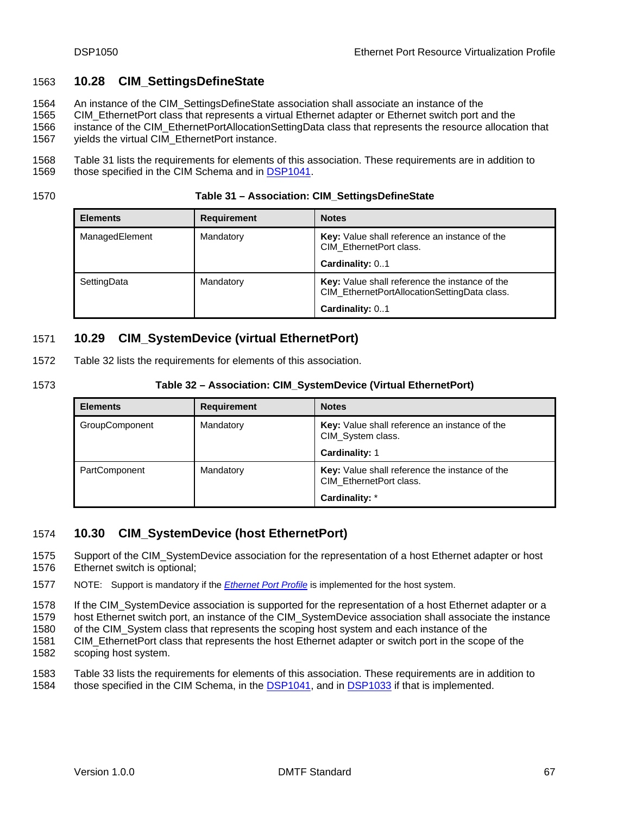### <span id="page-66-0"></span>1563 **10.28 CIM\_SettingsDefineState**

- 1564 An instance of the CIM\_SettingsDefineState association shall associate an instance of the
- 1565 CIM\_EthernetPort class that represents a virtual Ethernet adapter or Ethernet switch port and the 1566 instance of the CIM\_EthernetPortAllocationSettingData class that represents the resource allocation that
- 1567 yields the virtual CIM\_EthernetPort instance.
- 1568 [Table 31](#page-66-3) lists the requirements for elements of this association. These requirements are in addition to 1569 those specified in the CIM Schema and in [DSP1041](#page-8-2).

<span id="page-66-3"></span>

| 1570 | Table 31 - Association: CIM_SettingsDefineState |  |
|------|-------------------------------------------------|--|
|      |                                                 |  |

| <b>Elements</b> | <b>Requirement</b> | <b>Notes</b>                                                                                   |  |
|-----------------|--------------------|------------------------------------------------------------------------------------------------|--|
| ManagedElement  | Mandatory          | Key: Value shall reference an instance of the<br>CIM EthernetPort class.                       |  |
|                 |                    | Cardinality: 01                                                                                |  |
| SettingData     | Mandatory          | Key: Value shall reference the instance of the<br>CIM EthernetPortAllocationSettingData class. |  |
|                 |                    | Cardinality: 01                                                                                |  |

#### <span id="page-66-1"></span>1571 **10.29 CIM\_SystemDevice (virtual EthernetPort)**

1572 [Table 32](#page-66-4) lists the requirements for elements of this association.

<span id="page-66-4"></span>

| 1573 | Table 32 - Association: CIM_SystemDevice (Virtual EthernetPort) |  |  |
|------|-----------------------------------------------------------------|--|--|
|------|-----------------------------------------------------------------|--|--|

| <b>Elements</b>       | <b>Requirement</b> | <b>Notes</b>                                                              |  |
|-----------------------|--------------------|---------------------------------------------------------------------------|--|
| <b>GroupComponent</b> | Mandatory          | Key: Value shall reference an instance of the<br>CIM_System class.        |  |
|                       |                    | Cardinality: 1                                                            |  |
| PartComponent         | Mandatory          | Key: Value shall reference the instance of the<br>CIM EthernetPort class. |  |
|                       |                    | Cardinality: *                                                            |  |

### <span id="page-66-2"></span>1574 **10.30 CIM\_SystemDevice (host EthernetPort)**

- 1575 Support of the CIM\_SystemDevice association for the representation of a host Ethernet adapter or host 1576 Ethernet switch is optional;
- 1577 NOTE: Support is mandatory if the *[Ethernet Port Profile](#page-8-2)* is implemented for the host system.
- 1578 If the CIM SystemDevice association is supported for the representation of a host Ethernet adapter or a
- 1579 host Ethernet switch port, an instance of the CIM\_SystemDevice association shall associate the instance<br>1580 of the CIM System class that represents the scoping host system and each instance of the
- of the CIM System class that represents the scoping host system and each instance of the
- 1581 CIM\_EthernetPort class that represents the host Ethernet adapter or switch port in the scope of the 1582 scoping host system.
- 1583 [Table 33](#page-67-1) lists the requirements for elements of this association. These requirements are in addition to 1584 those specified in the CIM Schema, in the [DSP1041](#page-8-2), and in [DSP1033](#page-8-2) if that is implemented.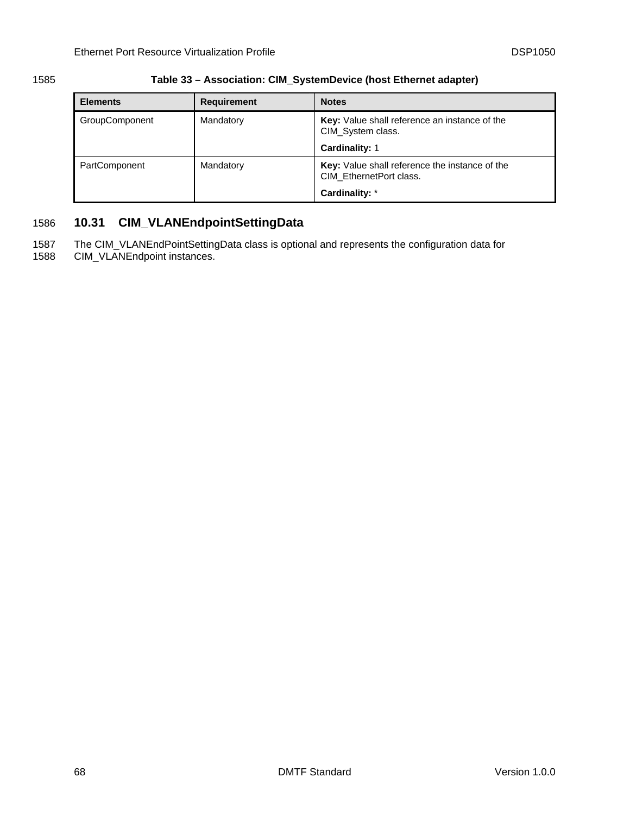<span id="page-67-1"></span>

| 1585<br>Table 33 - Association: CIM_SystemDevice (host Ethernet adapter) |
|--------------------------------------------------------------------------|
|--------------------------------------------------------------------------|

| <b>Elements</b>       | <b>Requirement</b> | <b>Notes</b>                                                              |
|-----------------------|--------------------|---------------------------------------------------------------------------|
| <b>GroupComponent</b> | Mandatory          | Key: Value shall reference an instance of the<br>CIM_System class.        |
|                       |                    | <b>Cardinality: 1</b>                                                     |
| PartComponent         | Mandatory          | Key: Value shall reference the instance of the<br>CIM EthernetPort class. |
|                       |                    | Cardinality: *                                                            |

## <span id="page-67-0"></span>1586 **10.31 CIM\_VLANEndpointSettingData**

1587 The CIM\_VLANEndPointSettingData class is optional and represents the configuration data for<br>1588 CIM\_VLANEndpoint instances.

CIM\_VLANEndpoint instances.